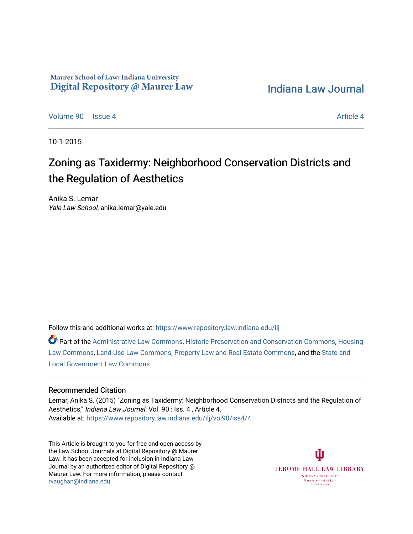# Maurer School of Law: Indiana University Digital Repository @ Maurer Law

[Indiana Law Journal](https://www.repository.law.indiana.edu/ilj) 

[Volume 90](https://www.repository.law.indiana.edu/ilj/vol90) | [Issue 4](https://www.repository.law.indiana.edu/ilj/vol90/iss4) [Article 4](https://www.repository.law.indiana.edu/ilj/vol90/iss4/4) Article 4 Article 4 Article 4 Article 4 Article 4 Article 4

10-1-2015

# Zoning as Taxidermy: Neighborhood Conservation Districts and the Regulation of Aesthetics

Anika S. Lemar Yale Law School, anika.lemar@yale.edu

Follow this and additional works at: [https://www.repository.law.indiana.edu/ilj](https://www.repository.law.indiana.edu/ilj?utm_source=www.repository.law.indiana.edu%2Filj%2Fvol90%2Fiss4%2F4&utm_medium=PDF&utm_campaign=PDFCoverPages) 

Part of the [Administrative Law Commons,](http://network.bepress.com/hgg/discipline/579?utm_source=www.repository.law.indiana.edu%2Filj%2Fvol90%2Fiss4%2F4&utm_medium=PDF&utm_campaign=PDFCoverPages) [Historic Preservation and Conservation Commons](http://network.bepress.com/hgg/discipline/781?utm_source=www.repository.law.indiana.edu%2Filj%2Fvol90%2Fiss4%2F4&utm_medium=PDF&utm_campaign=PDFCoverPages), [Housing](http://network.bepress.com/hgg/discipline/846?utm_source=www.repository.law.indiana.edu%2Filj%2Fvol90%2Fiss4%2F4&utm_medium=PDF&utm_campaign=PDFCoverPages)  [Law Commons,](http://network.bepress.com/hgg/discipline/846?utm_source=www.repository.law.indiana.edu%2Filj%2Fvol90%2Fiss4%2F4&utm_medium=PDF&utm_campaign=PDFCoverPages) [Land Use Law Commons](http://network.bepress.com/hgg/discipline/852?utm_source=www.repository.law.indiana.edu%2Filj%2Fvol90%2Fiss4%2F4&utm_medium=PDF&utm_campaign=PDFCoverPages), [Property Law and Real Estate Commons](http://network.bepress.com/hgg/discipline/897?utm_source=www.repository.law.indiana.edu%2Filj%2Fvol90%2Fiss4%2F4&utm_medium=PDF&utm_campaign=PDFCoverPages), and the [State and](http://network.bepress.com/hgg/discipline/879?utm_source=www.repository.law.indiana.edu%2Filj%2Fvol90%2Fiss4%2F4&utm_medium=PDF&utm_campaign=PDFCoverPages)  [Local Government Law Commons](http://network.bepress.com/hgg/discipline/879?utm_source=www.repository.law.indiana.edu%2Filj%2Fvol90%2Fiss4%2F4&utm_medium=PDF&utm_campaign=PDFCoverPages)

# Recommended Citation

Lemar, Anika S. (2015) "Zoning as Taxidermy: Neighborhood Conservation Districts and the Regulation of Aesthetics," Indiana Law Journal: Vol. 90 : Iss. 4 , Article 4. Available at: [https://www.repository.law.indiana.edu/ilj/vol90/iss4/4](https://www.repository.law.indiana.edu/ilj/vol90/iss4/4?utm_source=www.repository.law.indiana.edu%2Filj%2Fvol90%2Fiss4%2F4&utm_medium=PDF&utm_campaign=PDFCoverPages) 

This Article is brought to you for free and open access by the Law School Journals at Digital Repository @ Maurer Law. It has been accepted for inclusion in Indiana Law Journal by an authorized editor of Digital Repository @ Maurer Law. For more information, please contact [rvaughan@indiana.edu.](mailto:rvaughan@indiana.edu)

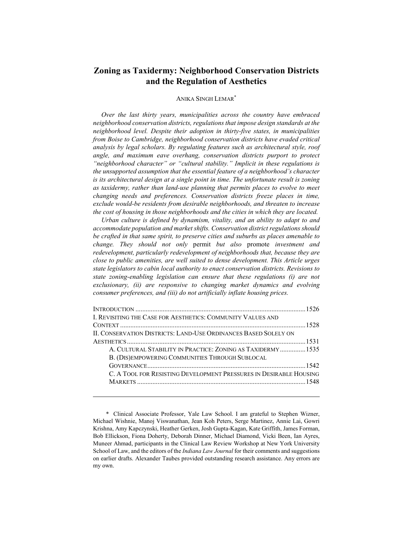# **Zoning as Taxidermy: Neighborhood Conservation Districts and the Regulation of Aesthetics**

# ANIKA SINGH LEMAR\*

*Over the last thirty years, municipalities across the country have embraced neighborhood conservation districts, regulations that impose design standards at the neighborhood level. Despite their adoption in thirty-five states, in municipalities from Boise to Cambridge, neighborhood conservation districts have evaded critical analysis by legal scholars. By regulating features such as architectural style, roof angle, and maximum eave overhang, conservation districts purport to protect "neighborhood character" or "cultural stability." Implicit in these regulations is the unsupported assumption that the essential feature of a neighborhood's character is its architectural design at a single point in time. The unfortunate result is zoning as taxidermy, rather than land-use planning that permits places to evolve to meet changing needs and preferences. Conservation districts freeze places in time, exclude would-be residents from desirable neighborhoods, and threaten to increase the cost of housing in those neighborhoods and the cities in which they are located.* 

*Urban culture is defined by dynamism, vitality, and an ability to adapt to and accommodate population and market shifts. Conservation district regulations should be crafted in that same spirit, to preserve cities and suburbs as places amenable to change. They should not only* permit *but also* promote *investment and redevelopment, particularly redevelopment of neighborhoods that, because they are close to public amenities, are well suited to dense development. This Article urges state legislators to cabin local authority to enact conservation districts. Revisions to state zoning-enabling legislation can ensure that these regulations (i) are not exclusionary, (ii) are responsive to changing market dynamics and evolving consumer preferences, and (iii) do not artificially inflate housing prices.* 

| I. REVISITING THE CASE FOR AESTHETICS: COMMUNITY VALUES AND        |  |
|--------------------------------------------------------------------|--|
|                                                                    |  |
| II. CONSERVATION DISTRICTS: LAND-USE ORDINANCES BASED SOLELY ON    |  |
|                                                                    |  |
| A. CULTURAL STABILITY IN PRACTICE: ZONING AS TAXIDERMY 1535        |  |
| B. (DIS) EMPOWERING COMMUNITIES THROUGH SUBLOCAL                   |  |
|                                                                    |  |
| C. A TOOL FOR RESISTING DEVELOPMENT PRESSURES IN DESIRABLE HOUSING |  |
|                                                                    |  |
|                                                                    |  |

 <sup>\*</sup> Clinical Associate Professor, Yale Law School. I am grateful to Stephen Wizner, Michael Wishnie, Manoj Viswanathan, Jean Koh Peters, Serge Martinez, Annie Lai, Gowri Krishna, Amy Kapczynski, Heather Gerken, Josh Gupta-Kagan, Kate Griffith, James Forman, Bob Ellickson, Fiona Doherty, Deborah Dinner, Michael Diamond, Vicki Been, Ian Ayres, Muneer Ahmad, participants in the Clinical Law Review Workshop at New York University School of Law, and the editors of the *Indiana Law Journal* for their comments and suggestions on earlier drafts. Alexander Taubes provided outstanding research assistance. Any errors are my own.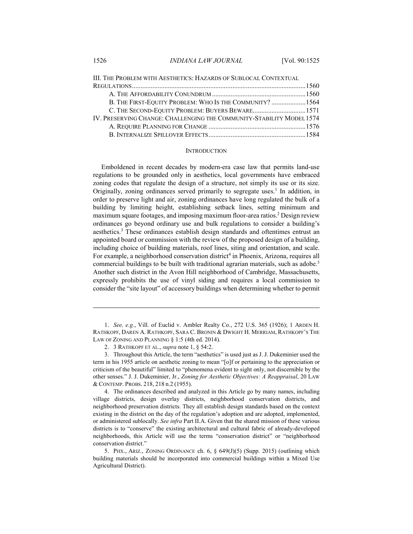| III. THE PROBLEM WITH AESTHETICS: HAZARDS OF SUBLOCAL CONTEXTUAL      |  |
|-----------------------------------------------------------------------|--|
|                                                                       |  |
|                                                                       |  |
| B. THE FIRST-EQUITY PROBLEM: WHO IS THE COMMUNITY?  1564              |  |
| C. THE SECOND-EQUITY PROBLEM: BUYERS BEWARE1571                       |  |
| IV. PRESERVING CHANGE: CHALLENGING THE COMMUNITY-STABILITY MODEL 1574 |  |
|                                                                       |  |
|                                                                       |  |
|                                                                       |  |

## **INTRODUCTION**

Emboldened in recent decades by modern-era case law that permits land-use regulations to be grounded only in aesthetics, local governments have embraced zoning codes that regulate the design of a structure, not simply its use or its size. Originally, zoning ordinances served primarily to segregate uses.<sup>1</sup> In addition, in order to preserve light and air, zoning ordinances have long regulated the bulk of a building by limiting height, establishing setback lines, setting minimum and maximum square footages, and imposing maximum floor-area ratios.2 Design review ordinances go beyond ordinary use and bulk regulations to consider a building's aesthetics.<sup>3</sup> These ordinances establish design standards and oftentimes entrust an appointed board or commission with the review of the proposed design of a building, including choice of building materials, roof lines, siting and orientation, and scale. For example, a neighborhood conservation district<sup>4</sup> in Phoenix, Arizona, requires all commercial buildings to be built with traditional agrarian materials, such as adobe.<sup>5</sup> Another such district in the Avon Hill neighborhood of Cambridge, Massachusetts, expressly prohibits the use of vinyl siding and requires a local commission to consider the "site layout" of accessory buildings when determining whether to permit

 <sup>1.</sup> *See, e.g.*, Vill. of Euclid v. Ambler Realty Co., 272 U.S. 365 (1926); 1 ARDEN H. RATHKOPF, DAREN A. RATHKOPF, SARA C. BRONIN & DWIGHT H. MERRIAM, RATHKOPF'S THE LAW OF ZONING AND PLANNING § 1:5 (4th ed. 2014).

 <sup>2. 3</sup> RATHKOPF ET AL., *supra* note 1, § 54:2.

 <sup>3.</sup> Throughout this Article, the term "aesthetics" is used just as J. J. Dukeminier used the term in his 1955 article on aesthetic zoning to mean "[o]f or pertaining to the appreciation or criticism of the beautiful" limited to "phenomena evident to sight only, not discernible by the other senses." J. J. Dukeminier, Jr., *Zoning for Aesthetic Objectives: A Reappraisal*, 20 LAW & CONTEMP. PROBS. 218, 218 n.2 (1955).

 <sup>4.</sup> The ordinances described and analyzed in this Article go by many names, including village districts, design overlay districts, neighborhood conservation districts, and neighborhood preservation districts. They all establish design standards based on the context existing in the district on the day of the regulation's adoption and are adopted, implemented, or administered sublocally. *See infra* Part II.A. Given that the shared mission of these various districts is to "conserve" the existing architectural and cultural fabric of already-developed neighborhoods, this Article will use the terms "conservation district" or "neighborhood conservation district."

 <sup>5.</sup> PHX., ARIZ., ZONING ORDINANCE ch. 6, § 649(J)(5) (Supp. 2015) (outlining which building materials should be incorporated into commercial buildings within a Mixed Use Agricultural District).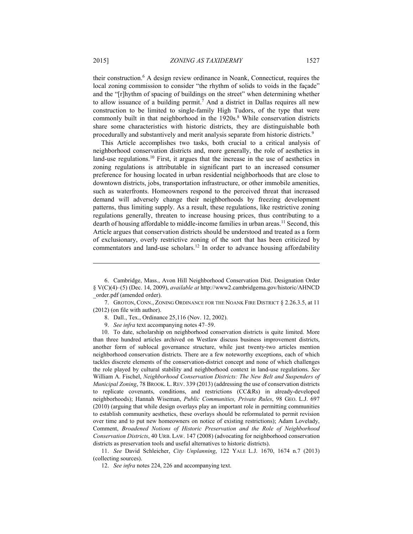their construction.6 A design review ordinance in Noank, Connecticut, requires the local zoning commission to consider "the rhythm of solids to voids in the façade" and the "[r]hythm of spacing of buildings on the street" when determining whether to allow issuance of a building permit.<sup>7</sup> And a district in Dallas requires all new construction to be limited to single-family High Tudors, of the type that were commonly built in that neighborhood in the 1920s.<sup>8</sup> While conservation districts share some characteristics with historic districts, they are distinguishable both procedurally and substantively and merit analysis separate from historic districts.9

This Article accomplishes two tasks, both crucial to a critical analysis of neighborhood conservation districts and, more generally, the role of aesthetics in land-use regulations.<sup>10</sup> First, it argues that the increase in the use of aesthetics in zoning regulations is attributable in significant part to an increased consumer preference for housing located in urban residential neighborhoods that are close to downtown districts, jobs, transportation infrastructure, or other immobile amenities, such as waterfronts. Homeowners respond to the perceived threat that increased demand will adversely change their neighborhoods by freezing development patterns, thus limiting supply. As a result, these regulations, like restrictive zoning regulations generally, threaten to increase housing prices, thus contributing to a dearth of housing affordable to middle-income families in urban areas.<sup>11</sup> Second, this Article argues that conservation districts should be understood and treated as a form of exclusionary, overly restrictive zoning of the sort that has been criticized by commentators and land-use scholars.12 In order to advance housing affordability

 11. *See* David Schleicher, *City Unplanning*, 122 YALE L.J. 1670, 1674 n.7 (2013) (collecting sources).

 <sup>6.</sup> Cambridge, Mass., Avon Hill Neighborhood Conservation Dist. Designation Order § V(C)(4)–(5) (Dec. 14, 2009), *available at* http://www2.cambridgema.gov/historic/AHNCD \_order.pdf (amended order).

 <sup>7.</sup> GROTON, CONN., ZONING ORDINANCE FOR THE NOANK FIRE DISTRICT § 2.26.3.5, at 11 (2012) (on file with author).

 <sup>8.</sup> Dall., Tex., Ordinance 25,116 (Nov. 12, 2002).

 <sup>9.</sup> *See infra* text accompanying notes 47–59.

 <sup>10.</sup> To date, scholarship on neighborhood conservation districts is quite limited. More than three hundred articles archived on Westlaw discuss business improvement districts, another form of sublocal governance structure, while just twenty-two articles mention neighborhood conservation districts. There are a few noteworthy exceptions, each of which tackles discrete elements of the conservation-district concept and none of which challenges the role played by cultural stability and neighborhood context in land-use regulations. *See*  William A. Fischel, *Neighborhood Conservation Districts: The New Belt and Suspenders of Municipal Zoning*, 78 BROOK. L. REV. 339 (2013) (addressing the use of conservation districts to replicate covenants, conditions, and restrictions (CC&Rs) in already-developed neighborhoods); Hannah Wiseman, *Public Communities, Private Rules*, 98 GEO. L.J. 697 (2010) (arguing that while design overlays play an important role in permitting communities to establish community aesthetics, these overlays should be reformulated to permit revision over time and to put new homeowners on notice of existing restrictions); Adam Lovelady, Comment, *Broadened Notions of Historic Preservation and the Role of Neighborhood Conservation Districts*, 40 URB. LAW. 147 (2008) (advocating for neighborhood conservation districts as preservation tools and useful alternatives to historic districts).

 <sup>12.</sup> *See infra* notes 224, 226 and accompanying text.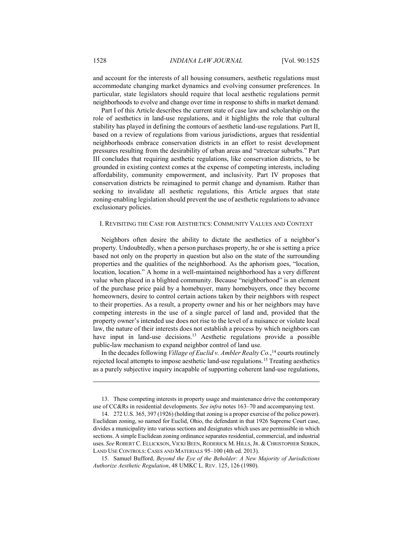and account for the interests of all housing consumers, aesthetic regulations must accommodate changing market dynamics and evolving consumer preferences. In particular, state legislators should require that local aesthetic regulations permit neighborhoods to evolve and change over time in response to shifts in market demand.

Part I of this Article describes the current state of case law and scholarship on the role of aesthetics in land-use regulations, and it highlights the role that cultural stability has played in defining the contours of aesthetic land-use regulations. Part II, based on a review of regulations from various jurisdictions, argues that residential neighborhoods embrace conservation districts in an effort to resist development pressures resulting from the desirability of urban areas and "streetcar suburbs." Part III concludes that requiring aesthetic regulations, like conservation districts, to be grounded in existing context comes at the expense of competing interests, including affordability, community empowerment, and inclusivity. Part IV proposes that conservation districts be reimagined to permit change and dynamism. Rather than seeking to invalidate all aesthetic regulations, this Article argues that state zoning-enabling legislation should prevent the use of aesthetic regulations to advance exclusionary policies.

# I. REVISITING THE CASE FOR AESTHETICS: COMMUNITY VALUES AND CONTEXT

Neighbors often desire the ability to dictate the aesthetics of a neighbor's property. Undoubtedly, when a person purchases property, he or she is setting a price based not only on the property in question but also on the state of the surrounding properties and the qualities of the neighborhood. As the aphorism goes, "location, location, location." A home in a well-maintained neighborhood has a very different value when placed in a blighted community. Because "neighborhood" is an element of the purchase price paid by a homebuyer, many homebuyers, once they become homeowners, desire to control certain actions taken by their neighbors with respect to their properties. As a result, a property owner and his or her neighbors may have competing interests in the use of a single parcel of land and, provided that the property owner's intended use does not rise to the level of a nuisance or violate local law, the nature of their interests does not establish a process by which neighbors can have input in land-use decisions.<sup>13</sup> Aesthetic regulations provide a possible public-law mechanism to expand neighbor control of land use.

In the decades following *Village of Euclid v. Ambler Realty Co.*, 14 courts routinely rejected local attempts to impose aesthetic land-use regulations.15 Treating aesthetics as a purely subjective inquiry incapable of supporting coherent land-use regulations,

 <sup>13.</sup> These competing interests in property usage and maintenance drive the contemporary use of CC&Rs in residential developments. *See infra* notes 163–70 and accompanying text.

 <sup>14. 272</sup> U.S. 365, 397 (1926) (holding that zoning is a proper exercise of the police power). Euclidean zoning, so named for Euclid, Ohio, the defendant in that 1926 Supreme Court case, divides a municipality into various sections and designates which uses are permissible in which sections. A simple Euclidean zoning ordinance separates residential, commercial, and industrial uses. *See* ROBERT C. ELLICKSON, VICKI BEEN, RODERICK M. HILLS,JR. & CHRISTOPHER SERKIN, LAND USE CONTROLS: CASES AND MATERIALS 95–100 (4th ed. 2013).

 <sup>15.</sup> Samuel Bufford, *Beyond the Eye of the Beholder: A New Majority of Jurisdictions Authorize Aesthetic Regulation*, 48 UMKC L. REV. 125, 126 (1980).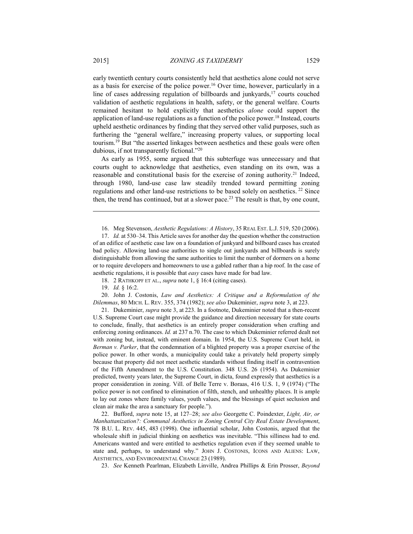early twentieth century courts consistently held that aesthetics alone could not serve as a basis for exercise of the police power.16 Over time, however, particularly in a line of cases addressing regulation of billboards and junkyards,<sup>17</sup> courts couched validation of aesthetic regulations in health, safety, or the general welfare. Courts remained hesitant to hold explicitly that aesthetics *alone* could support the application of land-use regulations as a function of the police power.<sup>18</sup> Instead, courts

upheld aesthetic ordinances by finding that they served other valid purposes, such as furthering the "general welfare," increasing property values, or supporting local tourism.19 But "the asserted linkages between aesthetics and these goals were often dubious, if not transparently fictional."20

As early as 1955, some argued that this subterfuge was unnecessary and that courts ought to acknowledge that aesthetics, even standing on its own, was a reasonable and constitutional basis for the exercise of zoning authority.<sup>21</sup> Indeed, through 1980, land-use case law steadily trended toward permitting zoning regulations and other land-use restrictions to be based solely on aesthetics. 22 Since then, the trend has continued, but at a slower pace.<sup>23</sup> The result is that, by one count,

18. 2 RATHKOPF ET AL., *supra* note 1, § 16:4 (citing cases).

 20. John J. Costonis, *Law and Aesthetics: A Critique and a Reformulation of the Dilemmas*, 80 MICH. L. REV. 355, 374 (1982); *see also* Dukeminier, *supra* note 3, at 223.

 21. Dukeminier, *supra* note 3, at 223. In a footnote, Dukeminier noted that a then-recent U.S. Supreme Court case might provide the guidance and direction necessary for state courts to conclude, finally, that aesthetics is an entirely proper consideration when crafting and enforcing zoning ordinances. *Id.* at 237 n.70. The case to which Dukeminier referred dealt not with zoning but, instead, with eminent domain. In 1954, the U.S. Supreme Court held, in *Berman v. Parker*, that the condemnation of a blighted property was a proper exercise of the police power. In other words, a municipality could take a privately held property simply because that property did not meet aesthetic standards without finding itself in contravention of the Fifth Amendment to the U.S. Constitution. 348 U.S. 26 (1954). As Dukeminier predicted, twenty years later, the Supreme Court, in dicta, found expressly that aesthetics is a proper consideration in zoning. Vill. of Belle Terre v. Boraas, 416 U.S. 1, 9 (1974) ("The police power is not confined to elimination of filth, stench, and unhealthy places. It is ample to lay out zones where family values, youth values, and the blessings of quiet seclusion and clean air make the area a sanctuary for people.").

 22. Bufford, *supra* note 15, at 127–28; *see also* Georgette C. Poindexter, *Light, Air, or Manhattanization?: Communal Aesthetics in Zoning Central City Real Estate Development*, 78 B.U. L. REV. 445, 483 (1998). One influential scholar, John Costonis, argued that the wholesale shift in judicial thinking on aesthetics was inevitable. "This silliness had to end. Americans wanted and were entitled to aesthetics regulation even if they seemed unable to state and, perhaps, to understand why." JOHN J. COSTONIS, ICONS AND ALIENS: LAW, AESTHETICS, AND ENVIRONMENTAL CHANGE 23 (1989).

23. *See* Kenneth Pearlman, Elizabeth Linville, Andrea Phillips & Erin Prosser, *Beyond* 

 <sup>16.</sup> Meg Stevenson, *Aesthetic Regulations: A History*, 35 REAL EST. L.J. 519, 520 (2006).

 <sup>17.</sup> *Id.* at 530–34. This Article saves for another day the question whether the construction of an edifice of aesthetic case law on a foundation of junkyard and billboard cases has created bad policy. Allowing land-use authorities to single out junkyards and billboards is surely distinguishable from allowing the same authorities to limit the number of dormers on a home or to require developers and homeowners to use a gabled rather than a hip roof. In the case of aesthetic regulations, it is possible that *easy* cases have made for bad law.

 <sup>19.</sup> *Id.* § 16:2.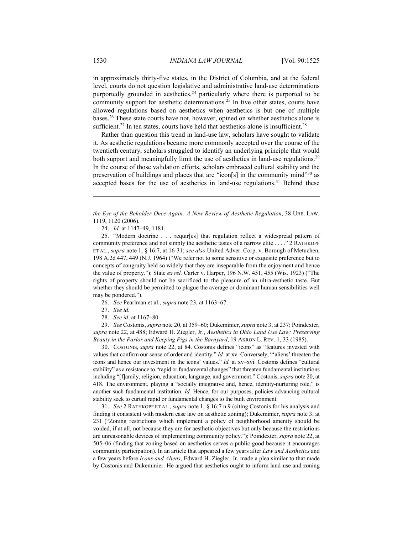in approximately thirty-five states, in the District of Columbia, and at the federal level, courts do not question legislative and administrative land-use determinations purportedly grounded in aesthetics,  $24$  particularly where there is purported to be community support for aesthetic determinations.25 In five other states, courts have allowed regulations based on aesthetics when aesthetics is but one of multiple bases.26 These state courts have not, however, opined on whether aesthetics alone is sufficient.<sup>27</sup> In ten states, courts have held that aesthetics alone is insufficient.<sup>28</sup>

Rather than question this trend in land-use law, scholars have sought to validate it. As aesthetic regulations became more commonly accepted over the course of the twentieth century, scholars struggled to identify an underlying principle that would both support and meaningfully limit the use of aesthetics in land-use regulations.<sup>29</sup> In the course of those validation efforts, scholars embraced cultural stability and the preservation of buildings and places that are "icon[s] in the community mind"30 as accepted bases for the use of aesthetics in land-use regulations.<sup>31</sup> Behind these

24. *Id.* at 1147–49, 1181.

 25. "Modern doctrine . . . requir[es] that regulation reflect a widespread pattern of community preference and not simply the aesthetic tastes of a narrow elite . . . ." 2 RATHKOPF ET AL., *supra* note 1, § 16:7, at 16-31; *see also* United Adver. Corp. v. Borough of Metuchen, 198 A.2d 447, 449 (N.J. 1964) ("We refer not to some sensitive or exquisite preference but to concepts of congruity held so widely that they are inseparable from the enjoyment and hence the value of property."); State *ex rel.* Carter v. Harper, 196 N.W. 451, 455 (Wis. 1923) ("The rights of property should not be sacrificed to the pleasure of an ultra-æsthetic taste. But whether they should be permitted to plague the average or dominant human sensibilities well may be pondered.").

26. *See* Pearlman et al., *supra* note 23, at 1163–67.

27. *See id.*

28. *See id.* at 1167–80.

 29. *See* Costonis, *supra* note 20, at 359–60; Dukeminier, *supra* note 3, at 237; Poindexter, *supra* note 22, at 488; Edward H. Ziegler, Jr., *Aesthetics in Ohio Land Use Law: Preserving Beauty in the Parlor and Keeping Pigs in the Barnyard*, 19 AKRON L. REV. 1, 33 (1985).

 30. COSTONIS, *supra* note 22, at 84. Costonis defines "icons" as "features invested with values that confirm our sense of order and identity." *Id.* at xv. Conversely, "'aliens' threaten the icons and hence our investment in the icons' values." *Id.* at xv–xvi. Costonis defines "cultural stability" as a resistance to "rapid or fundamental changes" that threaten fundamental institutions including "[f]amily, religion, education, language, and government." Costonis, *supra* note 20, at 418. The environment, playing a "socially integrative and, hence, identity-nurturing role," is another such fundamental institution. *Id.* Hence, for our purposes, policies advancing cultural stability seek to curtail rapid or fundamental changes to the built environment.

 31. *See* 2 RATHKOPF ET AL., *supra* note 1, § 16:7 n.9 (citing Costonis for his analysis and finding it consistent with modern case law on aesthetic zoning); Dukeminier, *supra* note 3, at 231 ("Zoning restrictions which implement a policy of neighborhood amenity should be voided, if at all, not because they are for aesthetic objectives but only because the restrictions are unreasonable devices of implementing community policy."); Poindexter, *supra* note 22, at 505–06 (finding that zoning based on aesthetics serves a public good because it encourages community participation). In an article that appeared a few years after *Law and Aesthetics* and a few years before *Icons and Aliens*, Edward H. Ziegler, Jr. made a plea similar to that made by Costonis and Dukeminier. He argued that aesthetics ought to inform land-use and zoning

*the Eye of the Beholder Once Again: A New Review of Aesthetic Regulation*, 38 URB. LAW. 1119, 1120 (2006).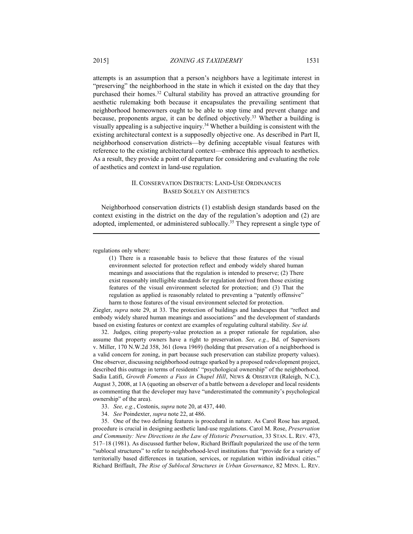attempts is an assumption that a person's neighbors have a legitimate interest in "preserving" the neighborhood in the state in which it existed on the day that they purchased their homes.32 Cultural stability has proved an attractive grounding for aesthetic rulemaking both because it encapsulates the prevailing sentiment that neighborhood homeowners ought to be able to stop time and prevent change and because, proponents argue, it can be defined objectively.<sup>33</sup> Whether a building is visually appealing is a subjective inquiry.34 Whether a building is consistent with the existing architectural context is a supposedly objective one. As described in Part II, neighborhood conservation districts—by defining acceptable visual features with reference to the existing architectural context—embrace this approach to aesthetics. As a result, they provide a point of departure for considering and evaluating the role of aesthetics and context in land-use regulation.

# II. CONSERVATION DISTRICTS: LAND-USE ORDINANCES BASED SOLELY ON AESTHETICS

Neighborhood conservation districts (1) establish design standards based on the context existing in the district on the day of the regulation's adoption and (2) are adopted, implemented, or administered sublocally.35 They represent a single type of

regulations only where:

1

(1) There is a reasonable basis to believe that those features of the visual environment selected for protection reflect and embody widely shared human meanings and associations that the regulation is intended to preserve; (2) There exist reasonably intelligible standards for regulation derived from those existing features of the visual environment selected for protection; and (3) That the regulation as applied is reasonably related to preventing a "patently offensive" harm to those features of the visual environment selected for protection.

Ziegler, *supra* note 29, at 33. The protection of buildings and landscapes that "reflect and embody widely shared human meanings and associations" and the development of standards based on existing features or context are examples of regulating cultural stability. *See id.*

 32. Judges, citing property-value protection as a proper rationale for regulation, also assume that property owners have a right to preservation. *See, e.g.*, Bd. of Supervisors v. Miller, 170 N.W.2d 358, 361 (Iowa 1969) (holding that preservation of a neighborhood is a valid concern for zoning, in part because such preservation can stabilize property values). One observer, discussing neighborhood outrage sparked by a proposed redevelopment project, described this outrage in terms of residents' "psychological ownership" of the neighborhood. Sadia Latifi, *Growth Foments a Fuss in Chapel Hill*, NEWS & OBSERVER (Raleigh, N.C.), August 3, 2008, at 1A (quoting an observer of a battle between a developer and local residents as commenting that the developer may have "underestimated the community's psychological ownership" of the area).

- 33. *See, e.g.*, Costonis, *supra* note 20, at 437, 440.
- 34. *See* Poindexter, *supra* note 22, at 486.

 35. One of the two defining features is procedural in nature. As Carol Rose has argued, procedure is crucial in designing aesthetic land-use regulations. Carol M. Rose, *Preservation and Community: New Directions in the Law of Historic Preservation*, 33 STAN. L. REV. 473, 517–18 (1981). As discussed further below, Richard Briffault popularized the use of the term "sublocal structures" to refer to neighborhood-level institutions that "provide for a variety of territorially based differences in taxation, services, or regulation within individual cities." Richard Briffault, *The Rise of Sublocal Structures in Urban Governance*, 82 MINN. L. REV.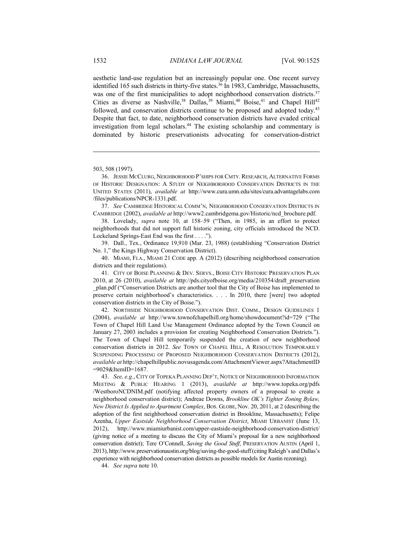aesthetic land-use regulation but an increasingly popular one. One recent survey identified 165 such districts in thirty-five states.<sup>36</sup> In 1983, Cambridge, Massachusetts, was one of the first municipalities to adopt neighborhood conservation districts.<sup>37</sup> Cities as diverse as Nashville,<sup>38</sup> Dallas,<sup>39</sup> Miami,<sup>40</sup> Boise,<sup>41</sup> and Chapel Hill<sup>42</sup> followed, and conservation districts continue to be proposed and adopted today.<sup>43</sup> Despite that fact, to date, neighborhood conservation districts have evaded critical investigation from legal scholars.44 The existing scholarship and commentary is dominated by historic preservationists advocating for conservation-district

1

 37. *See* CAMBRIDGE HISTORICAL COMM'N, NEIGHBORHOOD CONSERVATION DISTRICTS IN CAMBRIDGE (2002), *available at* http://www2.cambridgema.gov/Historic/ncd\_brochure.pdf.

 38. Lovelady, *supra* note 10, at 158–59 ("Then, in 1985, in an effort to protect neighborhoods that did not support full historic zoning, city officials introduced the NCD. Lockeland Springs-East End was the first . . . .").

 39. Dall., Tex., Ordinance 19,910 (Mar. 23, 1988) (establishing "Conservation District No. 1," the Kings Highway Conservation District).

 40. MIAMI, FLA., MIAMI 21 CODE app. A (2012) (describing neighborhood conservation districts and their regulations).

 41. CITY OF BOISE PLANNING & DEV. SERVS., BOISE CITY HISTORIC PRESERVATION PLAN 2010, at 26 (2010), *available at* http://pds.cityofboise.org/media/210354/draft\_preservation \_plan.pdf ("Conservation Districts are another tool that the City of Boise has implemented to preserve certain neighborhood's characteristics. . . . In 2010, there [were] two adopted conservation districts in the City of Boise.").

 42. NORTHSIDE NEIGHBORHOOD CONSERVATION DIST. COMM., DESIGN GUIDELINES 1 (2004), *available at* http://www.townofchapelhill.org/home/showdocument?id=729 ("The Town of Chapel Hill Land Use Management Ordinance adopted by the Town Council on January 27, 2003 includes a provision for creating Neighborhood Conservation Districts."). The Town of Chapel Hill temporarily suspended the creation of new neighborhood conservation districts in 2012. *See* TOWN OF CHAPEL HILL, A RESOLUTION TEMPORARILY SUSPENDING PROCESSING OF PROPOSED NEIGHBORHOOD CONSERVATION DISTRICTS (2012), *available at* http://chapelhillpublic.novusagenda.com/AttachmentViewer.aspx?AttachmentID =9029&ItemID=1687.

 43. *See, e.g.*, CITY OF TOPEKA PLANNING DEP'T, NOTICE OF NEIGHBORHOOD INFORMATION MEETING & PUBLIC HEARING 1 (2013), *available at* http://www.topeka.org/pdfs /WestboroNCDNIM.pdf (notifying affected property owners of a proposal to create a neighborhood conservation district); Andreae Downs, *Brookline OK's Tighter Zoning Bylaw, New District Is Applied to Apartment Complex*, BOS. GLOBE, Nov. 20, 2011, at 2 (describing the adoption of the first neighborhood conservation district in Brookline, Massachusetts); Felipe Azenha, *Upper Eastside Neighborhood Conservation District*, MIAMI URBANIST (June 13, 2012), http://www.miamiurbanist.com/upper-eastside-neighborhood-conservation-district/ (giving notice of a meeting to discuss the City of Miami's proposal for a new neighborhood conservation district); Tere O'Connell, *Saving the Good Stuff*, PRESERVATION AUSTIN (April 1, 2013), http://www.preservationaustin.org/blog/saving-the-good-stuff(citing Raleigh's and Dallas's experience with neighborhood conservation districts as possible models for Austin rezoning).

44. *See supra* note 10.

<sup>503, 508 (1997).</sup> 

 <sup>36.</sup> JESSIE MCCLURG, NEIGHBORHOOD P'SHIPS FOR CMTY. RESEARCH, ALTERNATIVE FORMS OF HISTORIC DESIGNATION: A STUDY OF NEIGHBORHOOD CONSERVATION DISTRICTS IN THE UNITED STATES (2011), *available at* http://www.cura.umn.edu/sites/cura.advantagelabs.com /files/publications/NPCR-1331.pdf.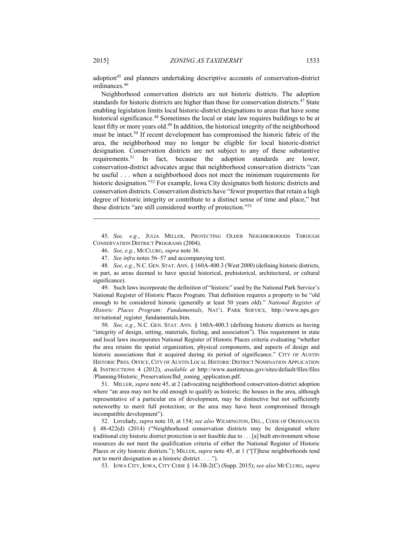adoption<sup>45</sup> and planners undertaking descriptive accounts of conservation-district ordinances.46

Neighborhood conservation districts are not historic districts. The adoption standards for historic districts are higher than those for conservation districts.<sup>47</sup> State enabling legislation limits local historic-district designations to areas that have some historical significance.<sup>48</sup> Sometimes the local or state law requires buildings to be at least fifty or more years old.<sup>49</sup> In addition, the historical integrity of the neighborhood must be intact.50 If recent development has compromised the historic fabric of the area, the neighborhood may no longer be eligible for local historic-district designation. Conservation districts are not subject to any of these substantive requirements.51 In fact, because the adoption standards are lower, conservation-district advocates argue that neighborhood conservation districts "can be useful . . . when a neighborhood does not meet the minimum requirements for historic designation."52 For example, Iowa City designates both historic districts and conservation districts. Conservation districts have "fewer properties that retain a high degree of historic integrity or contribute to a distinct sense of time and place," but these districts "are still considered worthy of protection."53

 45. *See, e.g.*, JULIA MILLER, PROTECTING OLDER NEIGHBORHOODS THROUGH CONSERVATION DISTRICT PROGRAMS (2004).

47. *See infra* notes 56–57 and accompanying text.

 48. *See, e.g.*, N.C. GEN. STAT. ANN. § 160A-400.3 (West 2000) (defining historic districts, in part, as areas deemed to have special historical, prehistorical, architectural, or cultural significance).

 49. Such laws incorporate the definition of "historic" used by the National Park Service's National Register of Historic Places Program. That definition requires a property to be "old enough to be considered historic (generally at least 50 years old)." *National Register of Historic Places Program: Fundamentals*, NAT'L PARK SERVICE, http://www.nps.gov /nr/national\_register\_fundamentals.htm.

 50. *See, e.g.*, N.C. GEN. STAT. ANN. § 160A-400.3 (defining historic districts as having "integrity of design, setting, materials, feeling, and association"). This requirement in state and local laws incorporates National Register of Historic Places criteria evaluating "whether the area retains the spatial organization, physical components, and aspects of design and historic associations that it acquired during its period of significance." CITY OF AUSTIN HISTORIC PRES. OFFICE, CITY OF AUSTIN LOCAL HISTORIC DISTRICT NOMINATION APPLICATION & INSTRUCTIONS 4 (2012), *available at* http://www.austintexas.gov/sites/default/files/files /Planning/Historic\_Preservation/lhd\_zoning\_application.pdf.

 51. MILLER, *supra* note 45, at 2 (advocating neighborhood conservation-district adoption where "an area may not be old enough to qualify as historic; the houses in the area, although representative of a particular era of development, may be distinctive but not sufficiently noteworthy to merit full protection; or the area may have been compromised through incompatible development").

 52. Lovelady, *supra* note 10, at 154; *see also* WILMINGTON, DEL., CODE OF ORDINANCES § 48-422(d) (2014) ("Neighborhood conservation districts may be designated where traditional city historic district protection is not feasible due to . . . [a] built environment whose resources do not meet the qualification criteria of either the National Register of Historic Places or city historic districts."); MILLER, *supra* note 45, at 1 ("[T]hese neighborhoods tend not to merit designation as a historic district . . . .").

53. IOWA CITY, IOWA, CITY CODE § 14-3B-2(C) (Supp. 2015); *see also* MCCLURG, *supra*

 <sup>46.</sup> *See, e.g.*, MCCLURG, *supra* note 36.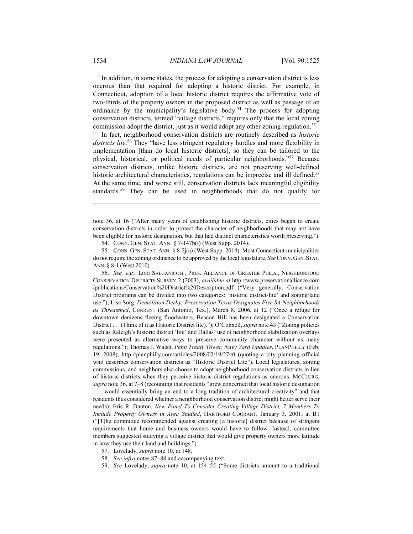In addition, in some states, the process for adopting a conservation district is less onerous than that required for adopting a historic district. For example, in Connecticut, adoption of a local historic district requires the affirmative vote of two-thirds of the property owners in the proposed district as well as passage of an ordinance by the municipality's legislative body.<sup>54</sup> The process for adopting conservation districts, termed "village districts," requires only that the local zoning commission adopt the district, just as it would adopt any other zoning regulation.<sup>55</sup>

In fact, neighborhood conservation districts are routinely described as *historic districts lite*. 56 They "have less stringent regulatory hurdles and more flexibility in implementation [than do local historic districts], so they can be tailored to the physical, historical, or political needs of particular neighborhoods."57 Because conservation districts, unlike historic districts, are not preserving well-defined historic architectural characteristics, regulations can be imprecise and ill defined.<sup>58</sup> At the same time, and worse still, conservation districts lack meaningful eligibility standards.<sup>59</sup> They can be used in neighborhoods that do not qualify for

note 36, at 16 ("After many years of establishing historic districts, cities began to create conservation districts in order to protect the character of neighborhoods that may not have been eligible for historic designation, but that had distinct characteristics worth preserving.").

54. CONN. GEN. STAT. ANN. § 7-147b(i) (West Supp. 2014).

 55. CONN. GEN. STAT. ANN. § 8-2j(a) (West Supp. 2014). Most Connecticut municipalities do not require the zoning ordinance to be approved by the local legislature. *See* CONN. GEN.STAT. ANN. § 8-1 (West 2010).

 56. *See, e.g.*, LORI SALGANICOFF, PRES. ALLIANCE OF GREATER PHILA., NEIGHBORHOOD CONSERVATION DISTRICTS SURVEY 2 (2003), *available at* http://www.preservationalliance.com /publications/Conservation%20District%20Description.pdf ("Very generally, Conservation District programs can be divided into two categories: 'historic district-lite' and zoning/land use."); Lisa Sorg, *Demolition Derby; Preservation Texas Designates Five SA Neighborhoods as Threatened*, CURRENT (San Antonio, Tex.), March 8, 2006, at 12 ("Once a refuge for downtown denizens fleeing floodwaters, Beacon Hill has been designated a Conservation District . . . (Think of it as Historic District lite)."); O'Connell, *supra* note 43 ("Zoning policies such as Raleigh's historic district 'lite' and Dallas' use of neighborhood stabilization overlays were presented as alternative ways to preserve community character without as many regulations."); Thomas J. Walsh, *Penn Treaty Tower, Navy Yard Updates*, PLANPHILLY (Feb. 19, 2008), http://planphilly.com/articles/2008/02/19/2740 (quoting a city planning official who describes conservation districts as "Historic District Lite"). Local legislatures, zoning commissions, and neighbors also choose to adopt neighborhood conservation districts in lieu of historic districts when they perceive historic-district regulations as onerous. MCCLURG, *supra* note 36, at 7–8 (recounting that residents "grew concerned that local historic designation . . . would essentially bring an end to a long tradition of architectural creativity" and that residents thus considered whether a neighborhood conservation district might better serve their needs); Eric R. Danton, *New Panel To Consider Creating Village District, 7 Members To Include Property Owners in Area Studied*, HARTFORD COURANT, January 3, 2001, at B1 ("[T]he committee recommended against creating [a historic] district because of stringent requirements that home and business owners would have to follow. Instead, committee members suggested studying a village district that would give property owners more latitude in how they use their land and buildings.").

- 57. Lovelady, *supra* note 10, at 148.
- 58. *See infra* notes 87–88 and accompanying text.
- 59. *See* Lovelady, *supra* note 10, at 154–55 ("Some districts amount to a traditional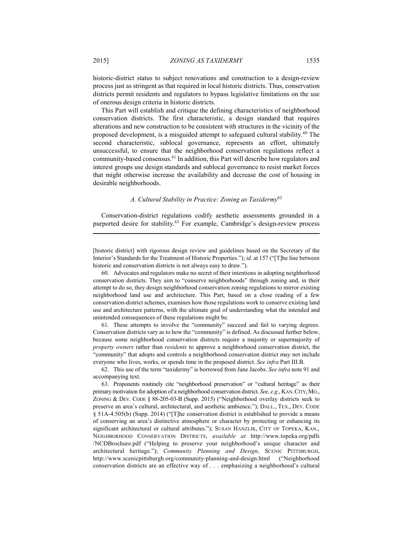historic-district status to subject renovations and construction to a design-review process just as stringent as that required in local historic districts. Thus, conservation districts permit residents and regulators to bypass legislative limitations on the use of onerous design criteria in historic districts.

This Part will establish and critique the defining characteristics of neighborhood conservation districts. The first characteristic, a design standard that requires alterations and new construction to be consistent with structures in the vicinity of the proposed development, is a misguided attempt to safeguard cultural stability.60 The second characteristic, sublocal governance, represents an effort, ultimately unsuccessful, to ensure that the neighborhood conservation regulations reflect a community-based consensus.61 In addition, this Part will describe how regulators and interest groups use design standards and sublocal governance to resist market forces that might otherwise increase the availability and decrease the cost of housing in desirable neighborhoods.

# *A. Cultural Stability in Practice: Zoning as Taxidermy*<sup>62</sup>

Conservation-district regulations codify aesthetic assessments grounded in a purported desire for stability.<sup>63</sup> For example, Cambridge's design-review process

[historic district] with rigorous design review and guidelines based on the Secretary of the Interior's Standards for the Treatment of Historic Properties."); *id.* at 157 ("[T]he line between historic and conservation districts is not always easy to draw.").

 60. Advocates and regulators make no secret of their intentions in adopting neighborhood conservation districts. They aim to "conserve neighborhoods" through zoning and, in their attempt to do so, they design neighborhood conservation zoning regulations to mirror existing neighborhood land use and architecture. This Part, based on a close reading of a few conservation-district schemes, examines how those regulations work to conserve existing land use and architecture patterns, with the ultimate goal of understanding what the intended and unintended consequences of these regulations might be.

 61. These attempts to involve the "community" succeed and fail to varying degrees. Conservation districts vary as to how the "community" is defined. As discussed further below, because some neighborhood conservation districts require a majority or supermajority of *property owners* rather than *residents* to approve a neighborhood conservation district, the "community" that adopts and controls a neighborhood conservation district may not include everyone who lives, works, or spends time in the proposed district. *See infra* Part III.B.

 62. This use of the term "taxidermy" is borrowed from Jane Jacobs. *See infra* note 91 and accompanying text.

 63. Proponents routinely cite "neighborhood preservation" or "cultural heritage" as their primary motivation for adoption of a neighborhood conservation district. *See, e.g.*, KAN.CITY,MO., ZONING & DEV. CODE § 88-205-03-B (Supp. 2015) ("Neighborhood overlay districts seek to preserve an area's cultural, architectural, and aesthetic ambience."); DALL., TEX., DEV. CODE § 51A-4.505(b) (Supp. 2014) ("[T]he conservation district is established to provide a means of conserving an area's distinctive atmosphere or character by protecting or enhancing its significant architectural or cultural attributes."); SUSAN HANZLIK, CITY OF TOPEKA, KAN., NEIGHBORHOOD CONSERVATION DISTRICTS, *available at* http://www.topeka.org/pdfs /NCDBrochure.pdf ("Helping to preserve your neighborhood's unique character and architectural heritage."); *Community Planning and Design*, SCENIC PITTSBURGH, http://www.scenicpittsburgh.org/community-planning-and-design.html ("Neighborhood conservation districts are an effective way of . . . emphasizing a neighborhood's cultural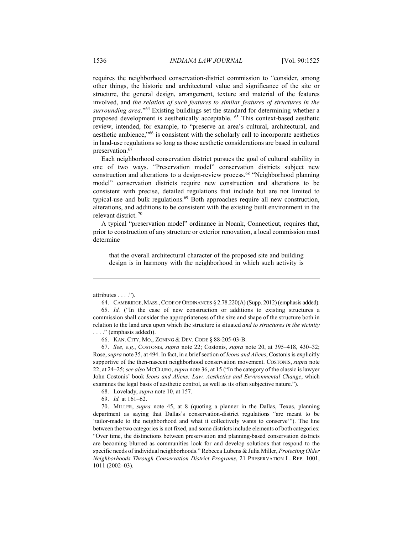requires the neighborhood conservation-district commission to "consider, among other things, the historic and architectural value and significance of the site or structure, the general design, arrangement, texture and material of the features involved, and *the relation of such features to similar features of structures in the surrounding area*."64 Existing buildings set the standard for determining whether a proposed development is aesthetically acceptable. 65 This context-based aesthetic review, intended, for example, to "preserve an area's cultural, architectural, and aesthetic ambience,"66 is consistent with the scholarly call to incorporate aesthetics in land-use regulations so long as those aesthetic considerations are based in cultural preservation.<sup>67</sup>

Each neighborhood conservation district pursues the goal of cultural stability in one of two ways. "Preservation model" conservation districts subject new construction and alterations to a design-review process.68 "Neighborhood planning model" conservation districts require new construction and alterations to be consistent with precise, detailed regulations that include but are not limited to typical-use and bulk regulations.<sup>69</sup> Both approaches require all new construction, alterations, and additions to be consistent with the existing built environment in the relevant district. 70

A typical "preservation model" ordinance in Noank, Connecticut, requires that, prior to construction of any structure or exterior renovation, a local commission must determine

that the overall architectural character of the proposed site and building design is in harmony with the neighborhood in which such activity is

1

 67. *See, e.g.*, COSTONIS, *supra* note 22; Costonis, *supra* note 20, at 395–418, 430–32; Rose, *supra* note 35, at 494. In fact, in a brief section of *Icons and Aliens*, Costonis is explicitly supportive of the then-nascent neighborhood conservation movement. COSTONIS, *supra* note 22, at 24–25; *see also* MCCLURG, *supra* note 36, at 15 ("In the category of the classic is lawyer John Costonis' book *Icons and Aliens: Law, Aesthetics and Environmental Change*, which examines the legal basis of aesthetic control, as well as its often subjective nature.").

68. Lovelady, *supra* note 10, at 157.

69. *Id.* at 161–62.

 70. MILLER, *supra* note 45, at 8 (quoting a planner in the Dallas, Texas, planning department as saying that Dallas's conservation-district regulations "are meant to be 'tailor-made to the neighborhood and what it collectively wants to conserve'"). The line between the two categories is not fixed, and some districts include elements of both categories: "Over time, the distinctions between preservation and planning-based conservation districts are becoming blurred as communities look for and develop solutions that respond to the specific needs of individual neighborhoods." Rebecca Lubens & Julia Miller, *Protecting Older Neighborhoods Through Conservation District Programs*, 21 PRESERVATION L. REP. 1001, 1011 (2002–03).

attributes . . . .").

 <sup>64.</sup> CAMBRIDGE,MASS., CODE OF ORDINANCES § 2.78.220(A) (Supp. 2012) (emphasis added). 65. *Id.* ("In the case of new construction or additions to existing structures a commission shall consider the appropriateness of the size and shape of the structure both in relation to the land area upon which the structure is situated *and to structures in the vicinity*  . . . ." (emphasis added)).

 <sup>66.</sup> KAN. CITY, MO., ZONING & DEV. CODE § 88-205-03-B.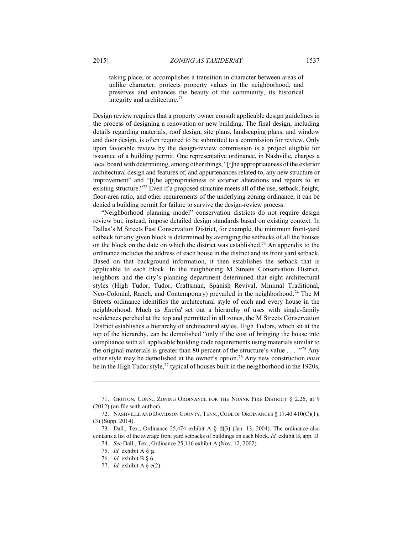taking place, or accomplishes a transition in character between areas of unlike character; protects property values in the neighborhood, and preserves and enhances the beauty of the community, its historical integrity and architecture.71

Design review requires that a property owner consult applicable design guidelines in the process of designing a renovation or new building. The final design, including details regarding materials, roof design, site plans, landscaping plans, and window and door design, is often required to be submitted to a commission for review. Only upon favorable review by the design-review commission is a project eligible for issuance of a building permit. One representative ordinance, in Nashville, charges a local board with determining, among other things, "[t]he appropriateness of the exterior architectural design and features of, and appurtenances related to, any new structure or improvement" and "[t]he appropriateness of exterior alterations and repairs to an existing structure."72 Even if a proposed structure meets all of the use, setback, height, floor-area ratio, and other requirements of the underlying zoning ordinance, it can be denied a building permit for failure to survive the design-review process.

"Neighborhood planning model" conservation districts do not require design review but, instead, impose detailed design standards based on existing context. In Dallas's M Streets East Conservation District, for example, the minimum front-yard setback for any given block is determined by averaging the setbacks of all the houses on the block on the date on which the district was established.73 An appendix to the ordinance includes the address of each house in the district and its front yard setback. Based on that background information, it then establishes the setback that is applicable to each block. In the neighboring M Streets Conservation District, neighbors and the city's planning department determined that eight architectural styles (High Tudor, Tudor, Craftsman, Spanish Revival, Minimal Traditional, Neo-Colonial, Ranch, and Contemporary) prevailed in the neighborhood.<sup>74</sup> The M Streets ordinance identifies the architectural style of each and every house in the neighborhood. Much as *Euclid* set out a hierarchy of uses with single-family residences perched at the top and permitted in all zones, the M Streets Conservation District establishes a hierarchy of architectural styles. High Tudors, which sit at the top of the hierarchy, can be demolished "only if the cost of bringing the house into compliance with all applicable building code requirements using materials similar to the original materials is greater than 80 percent of the structure's value . . . ."75 Any other style may be demolished at the owner's option.76 Any new construction *must* be in the High Tudor style,<sup>77</sup> typical of houses built in the neighborhood in the 1920s,

 <sup>71.</sup> GROTON, CONN., ZONING ORDINANCE FOR THE NOANK FIRE DISTRICT § 2.26, at 9 (2012) (on file with author).

 <sup>72.</sup> NASHVILLE AND DAVIDSON COUNTY, TENN.,CODE OF ORDINANCES § 17.40.410(C)(1), (3) (Supp. 2014).

<sup>73.</sup> Dall., Tex., Ordinance 25,474 exhibit A  $\frac{8}{3}$  d(3) (Jan. 13, 2004). The ordinance also contains a list of the average front yard setbacks of buildings on each block. *Id.* exhibit B, app. D.

 <sup>74.</sup> *See* Dall., Tex., Ordinance 25,116 exhibit A (Nov. 12, 2002).

 <sup>75.</sup> *Id.* exhibit A § g.

 <sup>76.</sup> *Id.* exhibit B § 6.

 <sup>77.</sup> *Id.* exhibit A § e(2).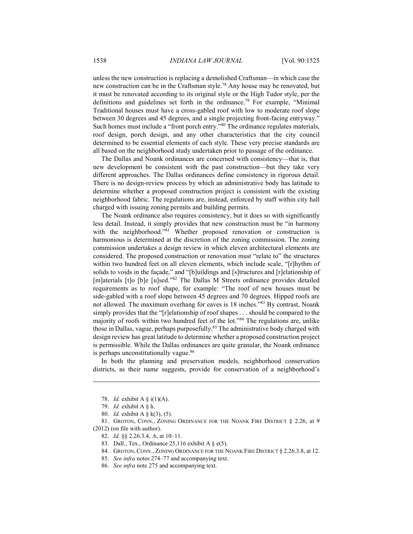unless the new construction is replacing a demolished Craftsman—in which case the new construction can be in the Craftsman style.78 Any house may be renovated, but it must be renovated according to its original style or the High Tudor style, per the definitions and guidelines set forth in the ordinance.79 For example, "Minimal Traditional houses must have a cross-gabled roof with low to moderate roof slope between 30 degrees and 45 degrees, and a single projecting front-facing entryway." Such homes must include a "front porch entry."80 The ordinance regulates materials, roof design, porch design, and any other characteristics that the city council determined to be essential elements of each style. These very precise standards are all based on the neighborhood study undertaken prior to passage of the ordinance.

The Dallas and Noank ordinances are concerned with consistency—that is, that new development be consistent with the past construction—but they take very different approaches. The Dallas ordinances define consistency in rigorous detail. There is no design-review process by which an administrative body has latitude to determine whether a proposed construction project is consistent with the existing neighborhood fabric. The regulations are, instead, enforced by staff within city hall charged with issuing zoning permits and building permits.

The Noank ordinance also requires consistency, but it does so with significantly less detail. Instead, it simply provides that new construction must be "in harmony with the neighborhood."<sup>81</sup> Whether proposed renovation or construction is harmonious is determined at the discretion of the zoning commission. The zoning commission undertakes a design review in which eleven architectural elements are considered. The proposed construction or renovation must "relate to" the structures within two hundred feet on all eleven elements, which include scale, "[r]hythm of solids to voids in the façade," and "[b]uildings and [s]tructures and [r]elationship of [m]aterials [t]o [b]e [u]sed."<sup>82</sup> The Dallas M Streets ordinance provides detailed requirements as to roof shape, for example: "The roof of new houses must be side-gabled with a roof slope between 45 degrees and 70 degrees. Hipped roofs are not allowed. The maximum overhang for eaves is 18 inches."83 By contrast, Noank simply provides that the "[r]elationship of roof shapes . . . should be compared to the majority of roofs within two hundred feet of the lot."84 The regulations are, unlike those in Dallas, vague, perhaps purposefully.85 The administrative body charged with design review has great latitude to determine whether a proposed construction project is permissible. While the Dallas ordinances are quite granular, the Noank ordinance is perhaps unconstitutionally vague.<sup>86</sup>

In both the planning and preservation models, neighborhood conservation districts, as their name suggests, provide for conservation of a neighborhood's

<u>.</u>

 81. GROTON, CONN., ZONING ORDINANCE FOR THE NOANK FIRE DISTRICT § 2.26, at 9 (2012) (on file with author).

- 82. *Id.* §§ 2.26.3.4, .6, at 10–11.
- 83. Dall., Tex., Ordinance 25,116 exhibit A  $\S$  e(5).
- 84. GROTON, CONN., ZONING ORDINANCE FOR THE NOANK FIRE DISTRICT § 2.26.3.8, at 12.
- 85. *See infra* notes 274–77 and accompanying text.
- 86. *See infra* note 275 and accompanying text.

 <sup>78.</sup> *Id.* exhibit A § i(1)(A).

 <sup>79.</sup> *Id.* exhibit A § h.

 <sup>80.</sup> *Id.* exhibit A § k(3), (5).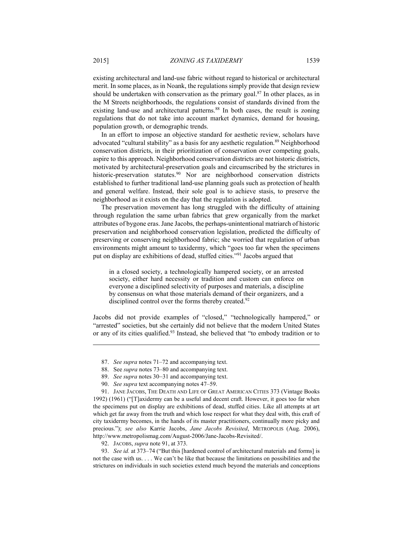existing architectural and land-use fabric without regard to historical or architectural merit. In some places, as in Noank, the regulations simply provide that design review should be undertaken with conservation as the primary goal.<sup>87</sup> In other places, as in the M Streets neighborhoods, the regulations consist of standards divined from the existing land-use and architectural patterns.<sup>88</sup> In both cases, the result is zoning regulations that do not take into account market dynamics, demand for housing, population growth, or demographic trends.

In an effort to impose an objective standard for aesthetic review, scholars have advocated "cultural stability" as a basis for any aesthetic regulation.<sup>89</sup> Neighborhood conservation districts, in their prioritization of conservation over competing goals, aspire to this approach. Neighborhood conservation districts are not historic districts, motivated by architectural-preservation goals and circumscribed by the strictures in historic-preservation statutes.<sup>90</sup> Nor are neighborhood conservation districts established to further traditional land-use planning goals such as protection of health and general welfare. Instead, their sole goal is to achieve stasis, to preserve the neighborhood as it exists on the day that the regulation is adopted.

The preservation movement has long struggled with the difficulty of attaining through regulation the same urban fabrics that grew organically from the market attributes of bygone eras. Jane Jacobs, the perhaps-unintentional matriarch of historic preservation and neighborhood conservation legislation, predicted the difficulty of preserving or conserving neighborhood fabric; she worried that regulation of urban environments might amount to taxidermy, which "goes too far when the specimens put on display are exhibitions of dead, stuffed cities."91 Jacobs argued that

in a closed society, a technologically hampered society, or an arrested society, either hard necessity or tradition and custom can enforce on everyone a disciplined selectivity of purposes and materials, a discipline by consensus on what those materials demand of their organizers, and a disciplined control over the forms thereby created.<sup>92</sup>

Jacobs did not provide examples of "closed," "technologically hampered," or "arrested" societies, but she certainly did not believe that the modern United States or any of its cities qualified.<sup>93</sup> Instead, she believed that "to embody tradition or to

- 88. See *supra* notes 73–80 and accompanying text.
- 89. *See supra* notes 30–31 and accompanying text.
- 90. *See supra* text accompanying notes 47–59.

 91. JANE JACOBS, THE DEATH AND LIFE OF GREAT AMERICAN CITIES 373 (Vintage Books 1992) (1961) ("[T]axidermy can be a useful and decent craft. However, it goes too far when the specimens put on display are exhibitions of dead, stuffed cities. Like all attempts at art which get far away from the truth and which lose respect for what they deal with, this craft of city taxidermy becomes, in the hands of its master practitioners, continually more picky and precious."); *see also* Karrie Jacobs, *Jane Jacobs Revisited*, METROPOLIS (Aug. 2006), http://www.metropolismag.com/August-2006/Jane-Jacobs-Revisited/.

92. JACOBS, *supra* note 91, at 373.

 93. *See id.* at 373–74 ("But this [hardened control of architectural materials and forms] is not the case with us. . . . We can't be like that because the limitations on possibilities and the strictures on individuals in such societies extend much beyond the materials and conceptions

 <sup>87.</sup> *See supra* notes 71–72 and accompanying text.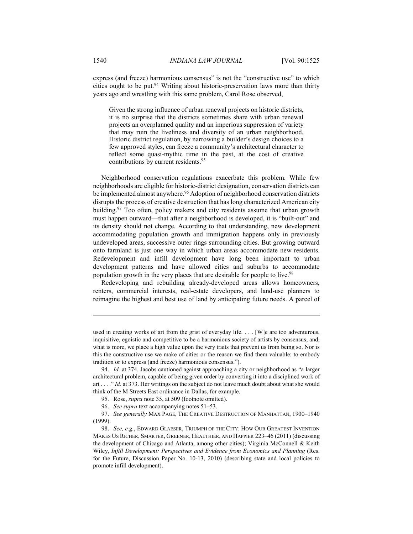express (and freeze) harmonious consensus" is not the "constructive use" to which cities ought to be put.<sup>94</sup> Writing about historic-preservation laws more than thirty years ago and wrestling with this same problem, Carol Rose observed,

Given the strong influence of urban renewal projects on historic districts, it is no surprise that the districts sometimes share with urban renewal projects an overplanned quality and an imperious suppression of variety that may ruin the liveliness and diversity of an urban neighborhood. Historic district regulation, by narrowing a builder's design choices to a few approved styles, can freeze a community's architectural character to reflect some quasi-mythic time in the past, at the cost of creative contributions by current residents.<sup>95</sup>

Neighborhood conservation regulations exacerbate this problem. While few neighborhoods are eligible for historic-district designation, conservation districts can be implemented almost anywhere.<sup>96</sup> Adoption of neighborhood conservation districts disrupts the process of creative destruction that has long characterized American city building.<sup>97</sup> Too often, policy makers and city residents assume that urban growth must happen outward—that after a neighborhood is developed, it is "built-out" and its density should not change. According to that understanding, new development accommodating population growth and immigration happens only in previously undeveloped areas, successive outer rings surrounding cities. But growing outward onto farmland is just one way in which urban areas accommodate new residents. Redevelopment and infill development have long been important to urban development patterns and have allowed cities and suburbs to accommodate population growth in the very places that are desirable for people to live.<sup>98</sup>

Redeveloping and rebuilding already-developed areas allows homeowners, renters, commercial interests, real-estate developers, and land-use planners to reimagine the highest and best use of land by anticipating future needs. A parcel of

used in creating works of art from the grist of everyday life. . . . [W]e are too adventurous, inquisitive, egoistic and competitive to be a harmonious society of artists by consensus, and, what is more, we place a high value upon the very traits that prevent us from being so. Nor is this the constructive use we make of cities or the reason we find them valuable: to embody tradition or to express (and freeze) harmonious consensus.").

 <sup>94.</sup> *Id.* at 374. Jacobs cautioned against approaching a city or neighborhood as "a larger architectural problem, capable of being given order by converting it into a disciplined work of art . . . ." *Id*. at 373. Her writings on the subject do not leave much doubt about what she would think of the M Streets East ordinance in Dallas, for example.

 <sup>95.</sup> Rose, *supra* note 35, at 509 (footnote omitted).

 <sup>96.</sup> *See supra* text accompanying notes 51–53.

 <sup>97.</sup> *See generally* MAX PAGE, THE CREATIVE DESTRUCTION OF MANHATTAN, 1900–1940 (1999).

 <sup>98.</sup> *See, e.g.*, EDWARD GLAESER, TRIUMPH OF THE CITY: HOW OUR GREATEST INVENTION MAKES US RICHER, SMARTER, GREENER, HEALTHIER, AND HAPPIER 223–46 (2011) (discussing the development of Chicago and Atlanta, among other cities); Virginia McConnell & Keith Wiley, *Infill Development: Perspectives and Evidence from Economics and Planning* (Res. for the Future, Discussion Paper No. 10-13, 2010) (describing state and local policies to promote infill development).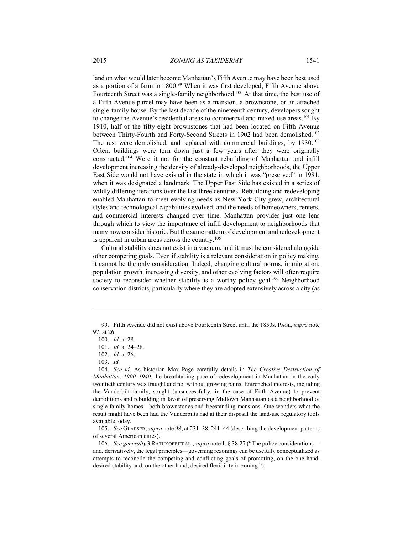land on what would later become Manhattan's Fifth Avenue may have been best used as a portion of a farm in 1800.<sup>99</sup> When it was first developed, Fifth Avenue above Fourteenth Street was a single-family neighborhood.100 At that time, the best use of a Fifth Avenue parcel may have been as a mansion, a brownstone, or an attached single-family house. By the last decade of the nineteenth century, developers sought to change the Avenue's residential areas to commercial and mixed-use areas.<sup>101</sup> By 1910, half of the fifty-eight brownstones that had been located on Fifth Avenue between Thirty-Fourth and Forty-Second Streets in 1902 had been demolished.<sup>102</sup> The rest were demolished, and replaced with commercial buildings, by 1930.<sup>103</sup> Often, buildings were torn down just a few years after they were originally constructed.104 Were it not for the constant rebuilding of Manhattan and infill development increasing the density of already-developed neighborhoods, the Upper East Side would not have existed in the state in which it was "preserved" in 1981, when it was designated a landmark. The Upper East Side has existed in a series of wildly differing iterations over the last three centuries. Rebuilding and redeveloping enabled Manhattan to meet evolving needs as New York City grew, architectural styles and technological capabilities evolved, and the needs of homeowners, renters, and commercial interests changed over time. Manhattan provides just one lens through which to view the importance of infill development to neighborhoods that many now consider historic. But the same pattern of development and redevelopment is apparent in urban areas across the country.<sup>105</sup>

Cultural stability does not exist in a vacuum, and it must be considered alongside other competing goals. Even if stability is a relevant consideration in policy making, it cannot be the only consideration. Indeed, changing cultural norms, immigration, population growth, increasing diversity, and other evolving factors will often require society to reconsider whether stability is a worthy policy goal.<sup>106</sup> Neighborhood conservation districts, particularly where they are adopted extensively across a city (as

1

 105. *See* GLAESER, *supra* note 98, at 231–38, 241–44 (describing the development patterns of several American cities).

 106. *See generally* 3 RATHKOPF ET AL., *supra* note 1, § 38:27 ("The policy considerations and, derivatively, the legal principles—governing rezonings can be usefully conceptualized as attempts to reconcile the competing and conflicting goals of promoting, on the one hand, desired stability and, on the other hand, desired flexibility in zoning.").

 <sup>99.</sup> Fifth Avenue did not exist above Fourteenth Street until the 1850s. PAGE, *supra* note 97, at 26.

 <sup>100.</sup> *Id.* at 28.

 <sup>101.</sup> *Id.* at 24–28.

 <sup>102.</sup> *Id.* at 26.

 <sup>103.</sup> *Id.*

 <sup>104.</sup> *See id.* As historian Max Page carefully details in *The Creative Destruction of Manhattan, 1900–1940*, the breathtaking pace of redevelopment in Manhattan in the early twentieth century was fraught and not without growing pains. Entrenched interests, including the Vanderbilt family, sought (unsuccessfully, in the case of Fifth Avenue) to prevent demolitions and rebuilding in favor of preserving Midtown Manhattan as a neighborhood of single-family homes—both brownstones and freestanding mansions. One wonders what the result might have been had the Vanderbilts had at their disposal the land-use regulatory tools available today.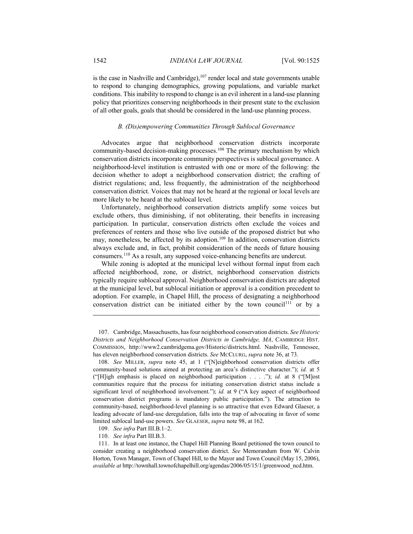is the case in Nashville and Cambridge), $107$  render local and state governments unable to respond to changing demographics, growing populations, and variable market conditions. This inability to respond to change is an evil inherent in a land-use planning policy that prioritizes conserving neighborhoods in their present state to the exclusion of all other goals, goals that should be considered in the land-use planning process.

## *B. (Dis)empowering Communities Through Sublocal Governance*

Advocates argue that neighborhood conservation districts incorporate community-based decision-making processes.<sup>108</sup> The primary mechanism by which conservation districts incorporate community perspectives is sublocal governance. A neighborhood-level institution is entrusted with one or more of the following: the decision whether to adopt a neighborhood conservation district; the crafting of district regulations; and, less frequently, the administration of the neighborhood conservation district. Voices that may not be heard at the regional or local levels are more likely to be heard at the sublocal level.

Unfortunately, neighborhood conservation districts amplify some voices but exclude others, thus diminishing, if not obliterating, their benefits in increasing participation. In particular, conservation districts often exclude the voices and preferences of renters and those who live outside of the proposed district but who may, nonetheless, be affected by its adoption.<sup>109</sup> In addition, conservation districts always exclude and, in fact, prohibit consideration of the needs of future housing consumers.110 As a result, any supposed voice-enhancing benefits are undercut.

While zoning is adopted at the municipal level without formal input from each affected neighborhood, zone, or district, neighborhood conservation districts typically require sublocal approval. Neighborhood conservation districts are adopted at the municipal level, but sublocal initiation or approval is a condition precedent to adoption. For example, in Chapel Hill, the process of designating a neighborhood conservation district can be initiated either by the town council<sup>111</sup> or by a

 <sup>107.</sup> Cambridge, Massachusetts, has four neighborhood conservation districts. *See Historic Districts and Neighborhood Conservation Districts in Cambridge, MA*, CAMBRIDGE HIST. COMMISSION, http://www2.cambridgema.gov/Historic/districts.html. Nashville, Tennessee, has eleven neighborhood conservation districts. *See* MCCLURG, *supra* note 36, at 73.

 <sup>108.</sup> *See* MILLER, *supra* note 45, at 1 ("[N]eighborhood conservation districts offer community-based solutions aimed at protecting an area's distinctive character."); *id.* at 5 ("[H]igh emphasis is placed on neighborhood participation . . . ."); *id.* at 8 ("[M]ost communities require that the process for initiating conservation district status include a significant level of neighborhood involvement."); *id.* at 9 ("A key aspect of neighborhood conservation district programs is mandatory public participation."). The attraction to community-based, neighborhood-level planning is so attractive that even Edward Glaeser, a leading advocate of land-use deregulation, falls into the trap of advocating in favor of some limited sublocal land-use powers. *See* GLAESER, *supra* note 98, at 162.

 <sup>109.</sup> *See infra* Part III.B.1–2.

 <sup>110.</sup> *See infra* Part III.B.3.

 <sup>111.</sup> In at least one instance, the Chapel Hill Planning Board petitioned the town council to consider creating a neighborhood conservation district. *See* Memorandum from W. Calvin Horton, Town Manager, Town of Chapel Hill, to the Mayor and Town Council (May 15, 2006), *available at* http://townhall.townofchapelhill.org/agendas/2006/05/15/1/greenwood\_ncd.htm.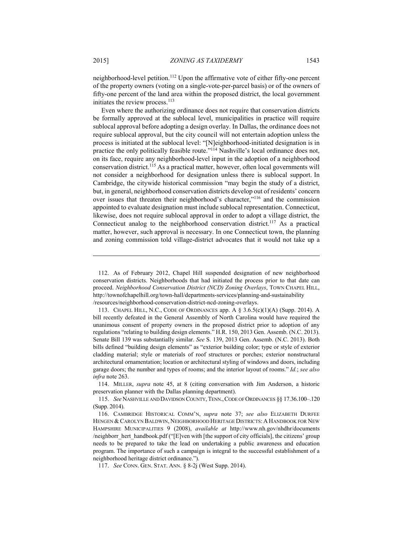neighborhood-level petition.112 Upon the affirmative vote of either fifty-one percent of the property owners (voting on a single-vote-per-parcel basis) or of the owners of fifty-one percent of the land area within the proposed district, the local government initiates the review process.<sup>113</sup>

Even where the authorizing ordinance does not require that conservation districts be formally approved at the sublocal level, municipalities in practice will require sublocal approval before adopting a design overlay. In Dallas, the ordinance does not require sublocal approval, but the city council will not entertain adoption unless the process is initiated at the sublocal level: "[N]eighborhood-initiated designation is in practice the only politically feasible route."114 Nashville's local ordinance does not, on its face, require any neighborhood-level input in the adoption of a neighborhood conservation district.115 As a practical matter, however, often local governments will not consider a neighborhood for designation unless there is sublocal support. In Cambridge, the citywide historical commission "may begin the study of a district, but, in general, neighborhood conservation districts develop out of residents' concern over issues that threaten their neighborhood's character,"<sup>116</sup> and the commission appointed to evaluate designation must include sublocal representation. Connecticut, likewise, does not require sublocal approval in order to adopt a village district, the Connecticut analog to the neighborhood conservation district.<sup>117</sup> As a practical matter, however, such approval is necessary. In one Connecticut town, the planning and zoning commission told village-district advocates that it would not take up a

 114. MILLER, *supra* note 45, at 8 (citing conversation with Jim Anderson, a historic preservation planner with the Dallas planning department).

 115. *See* NASHVILLE AND DAVIDSON COUNTY,TENN.,CODE OF ORDINANCES §§ 17.36.100–.120 (Supp. 2014).

 116. CAMBRIDGE HISTORICAL COMM'N, *supra* note 37; *see also* ELIZABETH DURFEE HENGEN &CAROLYN BALDWIN, NEIGHBORHOOD HERITAGE DISTRICTS: A HANDBOOK FOR NEW HAMPSHIRE MUNICIPALITIES 9 (2008), *available at* http://www.nh.gov/nhdhr/documents /neighborr\_hert\_handbook.pdf ("[E]ven with [the support of city officials], the citizens' group needs to be prepared to take the lead on undertaking a public awareness and education program. The importance of such a campaign is integral to the successful establishment of a neighborhood heritage district ordinance.").

117. *See* CONN. GEN. STAT. ANN. § 8-2j (West Supp. 2014).

 <sup>112.</sup> As of February 2012, Chapel Hill suspended designation of new neighborhood conservation districts. Neighborhoods that had initiated the process prior to that date can proceed. *Neighborhood Conservation District (NCD) Zoning Overlays*, TOWN CHAPEL HILL, http://townofchapelhill.org/town-hall/departments-services/planning-and-sustainability /resources/neighborhood-conservation-district-ncd-zoning-overlays.

<sup>113.</sup> CHAPEL HILL, N.C., CODE OF ORDINANCES app. A  $\S$  3.6.5(c)(1)(A) (Supp. 2014). A bill recently defeated in the General Assembly of North Carolina would have required the unanimous consent of property owners in the proposed district prior to adoption of any regulations "relating to building design elements." H.R. 150, 2013 Gen. Assemb. (N.C. 2013). Senate Bill 139 was substantially similar. *See* S. 139, 2013 Gen. Assemb. (N.C. 2013). Both bills defined "building design elements" as "exterior building color; type or style of exterior cladding material; style or materials of roof structures or porches; exterior nonstructural architectural ornamentation; location or architectural styling of windows and doors, including garage doors; the number and types of rooms; and the interior layout of rooms." *Id.*; *see also infra* note 263.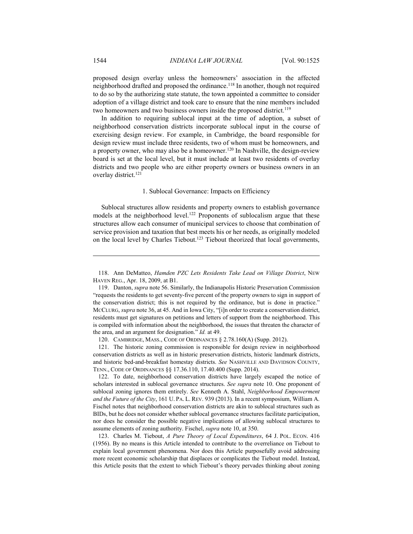proposed design overlay unless the homeowners' association in the affected neighborhood drafted and proposed the ordinance.118 In another, though not required to do so by the authorizing state statute, the town appointed a committee to consider adoption of a village district and took care to ensure that the nine members included two homeowners and two business owners inside the proposed district.<sup>119</sup>

In addition to requiring sublocal input at the time of adoption, a subset of neighborhood conservation districts incorporate sublocal input in the course of exercising design review. For example, in Cambridge, the board responsible for design review must include three residents, two of whom must be homeowners, and a property owner, who may also be a homeowner.120 In Nashville, the design-review board is set at the local level, but it must include at least two residents of overlay districts and two people who are either property owners or business owners in an overlay district.<sup>121</sup>

#### 1. Sublocal Governance: Impacts on Efficiency

Sublocal structures allow residents and property owners to establish governance models at the neighborhood level.<sup>122</sup> Proponents of sublocalism argue that these structures allow each consumer of municipal services to choose that combination of service provision and taxation that best meets his or her needs, as originally modeled on the local level by Charles Tiebout.123 Tiebout theorized that local governments,

120. CAMBRIDGE, MASS., CODE OF ORDINANCES § 2.78.160(A) (Supp. 2012).

 121. The historic zoning commission is responsible for design review in neighborhood conservation districts as well as in historic preservation districts, historic landmark districts, and historic bed-and-breakfast homestay districts. *See* NASHVILLE AND DAVIDSON COUNTY, TENN., CODE OF ORDINANCES §§ 17.36.110, 17.40.400 (Supp. 2014).

 122. To date, neighborhood conservation districts have largely escaped the notice of scholars interested in sublocal governance structures. *See supra* note 10. One proponent of sublocal zoning ignores them entirely. *See* Kenneth A. Stahl, *Neighborhood Empowerment and the Future of the City*, 161 U. PA. L. REV. 939 (2013). In a recent symposium, William A. Fischel notes that neighborhood conservation districts are akin to sublocal structures such as BIDs, but he does not consider whether sublocal governance structures facilitate participation, nor does he consider the possible negative implications of allowing sublocal structures to assume elements of zoning authority. Fischel, *supra* note 10, at 350.

 123. Charles M. Tiebout, *A Pure Theory of Local Expenditures*, 64 J. POL. ECON. 416 (1956). By no means is this Article intended to contribute to the overreliance on Tiebout to explain local government phenomena. Nor does this Article purposefully avoid addressing more recent economic scholarship that displaces or complicates the Tiebout model. Instead, this Article posits that the extent to which Tiebout's theory pervades thinking about zoning

 <sup>118.</sup> Ann DeMatteo, *Hamden PZC Lets Residents Take Lead on Village District*, NEW HAVEN REG., Apr. 18, 2009, at B1.

 <sup>119.</sup> Danton, *supra* note 56. Similarly, the Indianapolis Historic Preservation Commission "requests the residents to get seventy-five percent of the property owners to sign in support of the conservation district; this is not required by the ordinance, but is done in practice." MCCLURG, *supra* note 36, at 45. And in Iowa City, "[i]n order to create a conservation district, residents must get signatures on petitions and letters of support from the neighborhood. This is compiled with information about the neighborhood, the issues that threaten the character of the area, and an argument for designation." *Id.* at 49.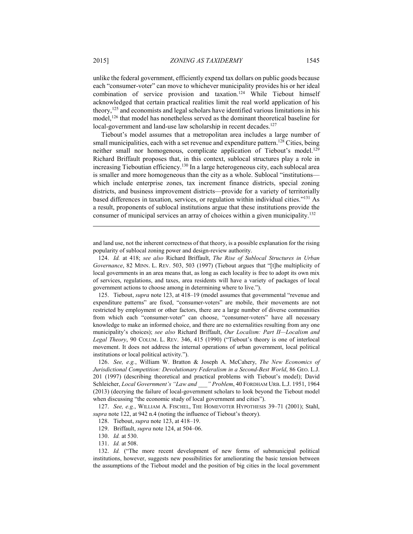unlike the federal government, efficiently expend tax dollars on public goods because each "consumer-voter" can move to whichever municipality provides his or her ideal combination of service provision and taxation.124 While Tiebout himself acknowledged that certain practical realities limit the real world application of his theory,  $125$  and economists and legal scholars have identified various limitations in his model,126 that model has nonetheless served as the dominant theoretical baseline for local-government and land-use law scholarship in recent decades.<sup>127</sup>

Tiebout's model assumes that a metropolitan area includes a large number of small municipalities, each with a set revenue and expenditure pattern.<sup>128</sup> Cities, being neither small nor homogenous, complicate application of Tiebout's model.<sup>129</sup> Richard Briffault proposes that, in this context, sublocal structures play a role in increasing Tieboutian efficiency.130 In a large heterogeneous city, each sublocal area is smaller and more homogeneous than the city as a whole. Sublocal "institutions which include enterprise zones, tax increment finance districts, special zoning districts, and business improvement districts—provide for a variety of territorially based differences in taxation, services, or regulation within individual cities."131 As a result, proponents of sublocal institutions argue that these institutions provide the consumer of municipal services an array of choices within a given municipality.132

and land use, not the inherent correctness of that theory, is a possible explanation for the rising popularity of sublocal zoning power and design-review authority.

 125. Tiebout, *supra* note 123, at 418–19 (model assumes that governmental "revenue and expenditure patterns" are fixed, "consumer-voters" are mobile, their movements are not restricted by employment or other factors, there are a large number of diverse communities from which each "consumer-voter" can choose, "consumer-voters" have all necessary knowledge to make an informed choice, and there are no externalities resulting from any one municipality's choices); *see also* Richard Briffault, *Our Localism: Part II—Localism and Legal Theory*, 90 COLUM. L. REV. 346, 415 (1990) ("Tiebout's theory is one of interlocal movement. It does not address the internal operations of urban government, local political institutions or local political activity.").

 126. *See, e.g.*, William W. Bratton & Joseph A. McCahery, *The New Economics of Jurisdictional Competition: Devolutionary Federalism in a Second-Best World*, 86 GEO. L.J. 201 (1997) (describing theoretical and practical problems with Tiebout's model); David Schleicher, *Local Government's "Law and \_\_\_" Problem*, 40 FORDHAM URB. L.J. 1951, 1964 (2013) (decrying the failure of local-government scholars to look beyond the Tiebout model when discussing "the economic study of local government and cities").

 127. *See, e.g.*, WILLIAM A. FISCHEL, THE HOMEVOTER HYPOTHESIS 39–71 (2001); Stahl, *supra* note 122, at 942 n.4 (noting the influence of Tiebout's theory).

 <sup>124.</sup> *Id.* at 418; *see also* Richard Briffault, *The Rise of Sublocal Structures in Urban Governance*, 82 MINN. L. REV. 503, 503 (1997) (Tiebout argues that "[t]he multiplicity of local governments in an area means that, as long as each locality is free to adopt its own mix of services, regulations, and taxes, area residents will have a variety of packages of local government actions to choose among in determining where to live.").

 <sup>128.</sup> Tiebout, *supra* note 123, at 418–19.

 <sup>129.</sup> Briffault, *supra* note 124, at 504–06.

 <sup>130.</sup> *Id.* at 530.

 <sup>131.</sup> *Id.* at 508.

 <sup>132.</sup> *Id.* ("The more recent development of new forms of submunicipal political institutions, however, suggests new possibilities for ameliorating the basic tension between the assumptions of the Tiebout model and the position of big cities in the local government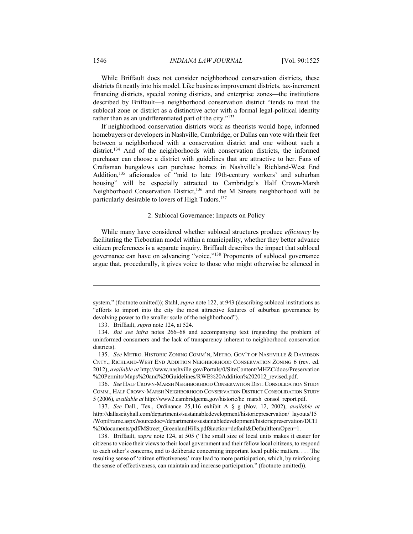While Briffault does not consider neighborhood conservation districts, these districts fit neatly into his model. Like business improvement districts, tax-increment financing districts, special zoning districts, and enterprise zones—the institutions described by Briffault—a neighborhood conservation district "tends to treat the sublocal zone or district as a distinctive actor with a formal legal-political identity rather than as an undifferentiated part of the city."<sup>133</sup>

If neighborhood conservation districts work as theorists would hope, informed homebuyers or developers in Nashville, Cambridge, or Dallas can vote with their feet between a neighborhood with a conservation district and one without such a district.<sup>134</sup> And of the neighborhoods with conservation districts, the informed purchaser can choose a district with guidelines that are attractive to her. Fans of Craftsman bungalows can purchase homes in Nashville's Richland-West End Addition,<sup>135</sup> aficionados of "mid to late 19th-century workers' and suburban housing" will be especially attracted to Cambridge's Half Crown-Marsh Neighborhood Conservation District,<sup>136</sup> and the M Streets neighborhood will be particularly desirable to lovers of High Tudors.<sup>137</sup>

#### 2. Sublocal Governance: Impacts on Policy

While many have considered whether sublocal structures produce *efficiency* by facilitating the Tieboutian model within a municipality, whether they better advance citizen preferences is a separate inquiry. Briffault describes the impact that sublocal governance can have on advancing "voice."138 Proponents of sublocal governance argue that, procedurally, it gives voice to those who might otherwise be silenced in

 135. *See* METRO. HISTORIC ZONING COMM'N, METRO. GOV'T OF NASHVILLE & DAVIDSON CNTY., RICHLAND-WEST END ADDITION NEIGHBORHOOD CONSERVATION ZONING 6 (rev. ed. 2012), *available at* http://www.nashville.gov/Portals/0/SiteContent/MHZC/docs/Preservation %20Permits/Maps%20and%20Guidelines/RWE%20Addition%202012\_revised.pdf.

 136. *See* HALF CROWN-MARSH NEIGHBORHOOD CONSERVATION DIST.CONSOLIDATION STUDY COMM., HALF CROWN-MARSH NEIGHBORHOOD CONSERVATION DISTRICT CONSOLIDATION STUDY 5 (2006), *available at* http://www2.cambridgema.gov/historic/hc\_marsh\_consol\_report.pdf.

 137. *See* Dall., Tex., Ordinance 25,116 exhibit A § g (Nov. 12, 2002), *available at* http://dallascityhall.com/departments/sustainabledevelopment/historicpreservation/\_layouts/15 /WopiFrame.aspx?sourcedoc=/departments/sustainabledevelopment/historicpreservation/DCH %20documents/pdf/MStreet\_GreenlandHills.pdf&action=default&DefaultItemOpen=1.

 138. Briffault, *supra* note 124, at 505 ("The small size of local units makes it easier for citizens to voice their views to their local government and their fellow local citizens, to respond to each other's concerns, and to deliberate concerning important local public matters. . . . The resulting sense of 'citizen effectiveness' may lead to more participation, which, by reinforcing the sense of effectiveness, can maintain and increase participation." (footnote omitted)).

system." (footnote omitted)); Stahl, *supra* note 122, at 943 (describing sublocal institutions as "efforts to import into the city the most attractive features of suburban governance by devolving power to the smaller scale of the neighborhood").

 <sup>133.</sup> Briffault, *supra* note 124, at 524.

 <sup>134.</sup> *But see infra* notes 266–68 and accompanying text (regarding the problem of uninformed consumers and the lack of transparency inherent to neighborhood conservation districts).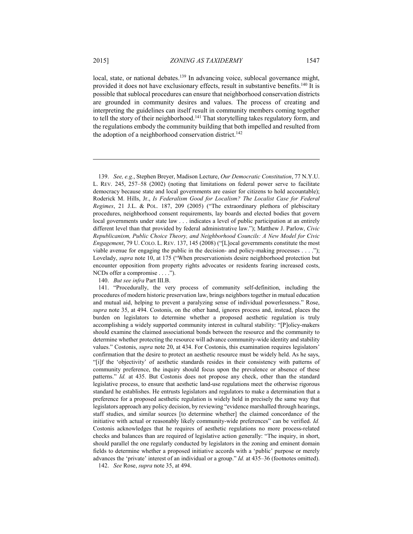<u>.</u>

local, state, or national debates.<sup>139</sup> In advancing voice, sublocal governance might, provided it does not have exclusionary effects, result in substantive benefits.140 It is possible that sublocal procedures can ensure that neighborhood conservation districts are grounded in community desires and values. The process of creating and interpreting the guidelines can itself result in community members coming together to tell the story of their neighborhood.<sup>141</sup> That storytelling takes regulatory form, and the regulations embody the community building that both impelled and resulted from the adoption of a neighborhood conservation district.<sup>142</sup>

140. *But see infra* Part III.B.

142. *See* Rose, *supra* note 35, at 494.

 <sup>139.</sup> *See, e.g.*, Stephen Breyer, Madison Lecture, *Our Democratic Constitution*, 77 N.Y.U. L. REV. 245, 257–58 (2002) (noting that limitations on federal power serve to facilitate democracy because state and local governments are easier for citizens to hold accountable); Roderick M. Hills, Jr., *Is Federalism Good for Localism? The Localist Case for Federal Regimes*, 21 J.L. & POL. 187, 209 (2005) ("The extraordinary plethora of plebiscitary procedures, neighborhood consent requirements, lay boards and elected bodies that govern local governments under state law . . . indicates a level of public participation at an entirely different level than that provided by federal administrative law."); Matthew J. Parlow, *Civic Republicanism, Public Choice Theory, and Neighborhood Councils: A New Model for Civic Engagement*, 79 U. COLO. L. REV. 137, 145 (2008) ("[L]ocal governments constitute the most viable avenue for engaging the public in the decision- and policy-making processes  $\dots$ ."); Lovelady, *supra* note 10, at 175 ("When preservationists desire neighborhood protection but encounter opposition from property rights advocates or residents fearing increased costs, NCDs offer a compromise . . . .").

 <sup>141. &</sup>quot;Procedurally, the very process of community self-definition, including the procedures of modern historic preservation law, brings neighbors together in mutual education and mutual aid, helping to prevent a paralyzing sense of individual powerlessness." Rose, *supra* note 35, at 494. Costonis, on the other hand, ignores process and, instead, places the burden on legislators to determine whether a proposed aesthetic regulation is truly accomplishing a widely supported community interest in cultural stability: "[P]olicy-makers should examine the claimed associational bonds between the resource and the community to determine whether protecting the resource will advance community-wide identity and stability values." Costonis, *supra* note 20, at 434. For Costonis, this examination requires legislators' confirmation that the desire to protect an aesthetic resource must be widely held. As he says, "[i]f the 'objectivity' of aesthetic standards resides in their consistency with patterns of community preference, the inquiry should focus upon the prevalence or absence of these patterns." *Id.* at 435. But Costonis does not propose any check, other than the standard legislative process, to ensure that aesthetic land-use regulations meet the otherwise rigorous standard he establishes. He entrusts legislators and regulators to make a determination that a preference for a proposed aesthetic regulation is widely held in precisely the same way that legislators approach any policy decision, by reviewing "evidence marshalled through hearings, staff studies, and similar sources [to determine whether] the claimed concordance of the initiative with actual or reasonably likely community-wide preferences" can be verified. *Id.* Costonis acknowledges that he requires of aesthetic regulations no more process-related checks and balances than are required of legislative action generally: "The inquiry, in short, should parallel the one regularly conducted by legislators in the zoning and eminent domain fields to determine whether a proposed initiative accords with a 'public' purpose or merely advances the 'private' interest of an individual or a group." *Id.* at 435–36 (footnotes omitted).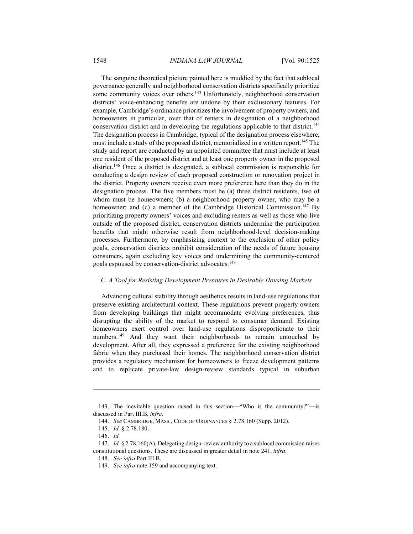The sanguine theoretical picture painted here is muddied by the fact that sublocal governance generally and neighborhood conservation districts specifically prioritize some community voices over others.<sup>143</sup> Unfortunately, neighborhood conservation districts' voice-enhancing benefits are undone by their exclusionary features. For example, Cambridge's ordinance prioritizes the involvement of property owners, and homeowners in particular, over that of renters in designation of a neighborhood conservation district and in developing the regulations applicable to that district.<sup>144</sup> The designation process in Cambridge, typical of the designation process elsewhere, must include a study of the proposed district, memorialized in a written report.<sup>145</sup> The study and report are conducted by an appointed committee that must include at least one resident of the proposed district and at least one property owner in the proposed district.146 Once a district is designated, a sublocal commission is responsible for conducting a design review of each proposed construction or renovation project in the district. Property owners receive even more preference here than they do in the designation process. The five members must be (a) three district residents, two of whom must be homeowners; (b) a neighborhood property owner, who may be a homeowner; and (c) a member of the Cambridge Historical Commission.<sup>147</sup> By prioritizing property owners' voices and excluding renters as well as those who live outside of the proposed district, conservation districts undermine the participation benefits that might otherwise result from neighborhood-level decision-making processes. Furthermore, by emphasizing context to the exclusion of other policy goals, conservation districts prohibit consideration of the needs of future housing consumers, again excluding key voices and undermining the community-centered goals espoused by conservation-district advocates.148

## *C. A Tool for Resisting Development Pressures in Desirable Housing Markets*

Advancing cultural stability through aesthetics results in land-use regulations that preserve existing architectural context. These regulations prevent property owners from developing buildings that might accommodate evolving preferences, thus disrupting the ability of the market to respond to consumer demand. Existing homeowners exert control over land-use regulations disproportionate to their numbers.<sup>149</sup> And they want their neighborhoods to remain untouched by development. After all, they expressed a preference for the existing neighborhood fabric when they purchased their homes. The neighborhood conservation district provides a regulatory mechanism for homeowners to freeze development patterns and to replicate private-law design-review standards typical in suburban

 <sup>143.</sup> The inevitable question raised in this section—"Who is the community?"—is discussed in Part III.B, *infra*.

 <sup>144.</sup> *See* CAMBRIDGE, MASS., CODE OF ORDINANCES § 2.78.160 (Supp. 2012).

 <sup>145.</sup> *Id.* § 2.78.180.

 <sup>146.</sup> *Id.*

 <sup>147.</sup> *Id.* § 2.78.160(A). Delegating design-review authority to a sublocal commission raises constitutional questions. These are discussed in greater detail in note 241, *infra*.

 <sup>148.</sup> *See infra* Part III.B.

 <sup>149.</sup> *See infra* note 159 and accompanying text.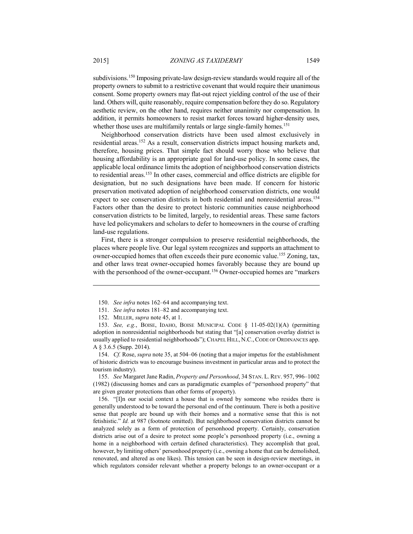subdivisions.150 Imposing private-law design-review standards would require all of the property owners to submit to a restrictive covenant that would require their unanimous consent. Some property owners may flat-out reject yielding control of the use of their land. Others will, quite reasonably, require compensation before they do so. Regulatory aesthetic review, on the other hand, requires neither unanimity nor compensation. In addition, it permits homeowners to resist market forces toward higher-density uses,

whether those uses are multifamily rentals or large single-family homes.<sup>151</sup>

Neighborhood conservation districts have been used almost exclusively in residential areas.152 As a result, conservation districts impact housing markets and, therefore, housing prices. That simple fact should worry those who believe that housing affordability is an appropriate goal for land-use policy. In some cases, the applicable local ordinance limits the adoption of neighborhood conservation districts to residential areas.<sup>153</sup> In other cases, commercial and office districts are eligible for designation, but no such designations have been made. If concern for historic preservation motivated adoption of neighborhood conservation districts, one would expect to see conservation districts in both residential and nonresidential areas.<sup>154</sup> Factors other than the desire to protect historic communities cause neighborhood conservation districts to be limited, largely, to residential areas. These same factors have led policymakers and scholars to defer to homeowners in the course of crafting land-use regulations.

First, there is a stronger compulsion to preserve residential neighborhoods, the places where people live. Our legal system recognizes and supports an attachment to owner-occupied homes that often exceeds their pure economic value.155 Zoning, tax, and other laws treat owner-occupied homes favorably because they are bound up with the personhood of the owner-occupant.<sup>156</sup> Owner-occupied homes are "markers"

 153. *See, e.g.*, BOISE, IDAHO, BOISE MUNICIPAL CODE § 11-05-02(1)(A) (permitting adoption in nonresidential neighborhoods but stating that "[a] conservation overlay district is usually applied to residential neighborhoods"); CHAPEL HILL, N.C.,CODE OF ORDINANCES app. A § 3.6.5 (Supp. 2014).

 154. *Cf.* Rose, *supra* note 35, at 504–06 (noting that a major impetus for the establishment of historic districts was to encourage business investment in particular areas and to protect the tourism industry).

 155. *See* Margaret Jane Radin, *Property and Personhood*, 34 STAN. L. REV. 957, 996–1002 (1982) (discussing homes and cars as paradigmatic examples of "personhood property" that are given greater protections than other forms of property).

 156. "[I]n our social context a house that is owned by someone who resides there is generally understood to be toward the personal end of the continuum. There is both a positive sense that people are bound up with their homes and a normative sense that this is not fetishistic." *Id.* at 987 (footnote omitted). But neighborhood conservation districts cannot be analyzed solely as a form of protection of personhood property. Certainly, conservation districts arise out of a desire to protect some people's personhood property (i.e., owning a home in a neighborhood with certain defined characteristics). They accomplish that goal, however, by limiting others' personhood property (i.e., owning a home that can be demolished, renovated, and altered as one likes). This tension can be seen in design-review meetings, in which regulators consider relevant whether a property belongs to an owner-occupant or a

 <sup>150.</sup> *See infra* notes 162–64 and accompanying text.

 <sup>151.</sup> *See infra* notes 181–82 and accompanying text.

 <sup>152.</sup> MILLER, *supra* note 45, at 1.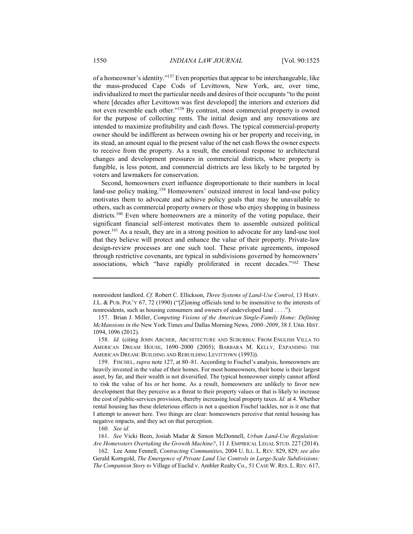of a homeowner's identity."157 Even properties that appear to be interchangeable, like the mass-produced Cape Cods of Levittown, New York, are, over time, individualized to meet the particular needs and desires of their occupants "to the point where [decades after Levittown was first developed] the interiors and exteriors did not even resemble each other."158 By contrast, most commercial property is owned for the purpose of collecting rents. The initial design and any renovations are intended to maximize profitability and cash flows. The typical commercial-property owner should be indifferent as between owning his or her property and receiving, in its stead, an amount equal to the present value of the net cash flows the owner expects to receive from the property. As a result, the emotional response to architectural changes and development pressures in commercial districts, where property is fungible, is less potent, and commercial districts are less likely to be targeted by voters and lawmakers for conservation.

Second, homeowners exert influence disproportionate to their numbers in local land-use policy making.<sup>159</sup> Homeowners' outsized interest in local land-use policy motivates them to advocate and achieve policy goals that may be unavailable to others, such as commercial property owners or those who enjoy shopping in business districts.<sup>160</sup> Even where homeowners are a minority of the voting populace, their significant financial self-interest motivates them to assemble outsized political power.161 As a result, they are in a strong position to advocate for any land-use tool that they believe will protect and enhance the value of their property. Private-law design-review processes are one such tool. These private agreements, imposed through restrictive covenants, are typical in subdivisions governed by homeowners' associations, which "have rapidly proliferated in recent decades."162 These

 158. *Id.* (citing JOHN ARCHER, ARCHITECTURE AND SUBURBIA: FROM ENGLISH VILLA TO AMERICAN DREAM HOUSE, 1690–2000 (2005); BARBARA M. KELLY, EXPANDING THE AMERICAN DREAM: BUILDING AND REBUILDING LEVITTOWN (1993)).

 159. FISCHEL, *supra* note 127, at 80–81. According to Fischel's analysis, homeowners are heavily invested in the value of their homes. For most homeowners, their home is their largest asset, by far, and their wealth is not diversified. The typical homeowner simply cannot afford to risk the value of his or her home. As a result, homeowners are unlikely to favor new development that they perceive as a threat to their property values or that is likely to increase the cost of public-services provision, thereby increasing local property taxes. *Id.* at 4. Whether rental housing has these deleterious effects is not a question Fischel tackles, nor is it one that I attempt to answer here. Two things are clear: homeowners perceive that rental housing has negative impacts, and they act on that perception.

nonresident landlord. *Cf.* Robert C. Ellickson, *Three Systems of Land-Use Control*, 13 HARV. J.L. & PUB. POL'Y 67, 72 (1990) ("[Z]oning officials tend to be insensitive to the interests of nonresidents, such as housing consumers and owners of undeveloped land . . . .").

 <sup>157.</sup> Brian J. Miller, *Competing Visions of the American Single-Family Home: Defining McMansions in the* New York Times *and* Dallas Morning News*, 2000–2009*, 38 J. URB. HIST. 1094, 1096 (2012).

<sup>160</sup>*. See id.*

 <sup>161.</sup> *See* Vicki Been, Josiah Madar & Simon McDonnell, *Urban Land-Use Regulation: Are Homevoters Overtaking the Growth Machine?*, 11 J. EMPIRICAL LEGAL STUD. 227 (2014).

 <sup>162.</sup> Lee Anne Fennell, *Contracting Communities*, 2004 U. ILL. L. REV. 829, 829; *see also* Gerald Korngold, *The Emergence of Private Land Use Controls in Large-Scale Subdivisions: The Companion Story to* Village of Euclid v. Ambler Realty Co., 51 CASE W. RES. L.REV. 617,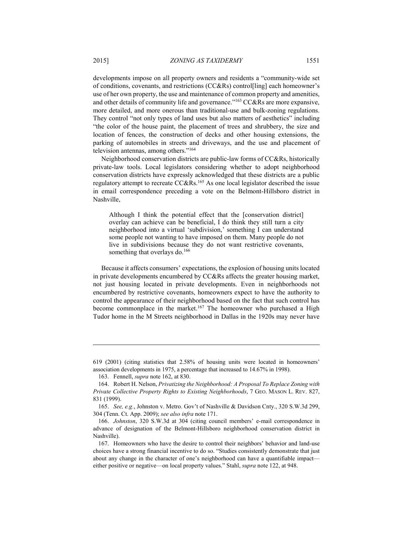developments impose on all property owners and residents a "community-wide set of conditions, covenants, and restrictions (CC&Rs) control[ling] each homeowner's use of her own property, the use and maintenance of common property and amenities, and other details of community life and governance."<sup>163</sup> CC&Rs are more expansive, more detailed, and more onerous than traditional-use and bulk-zoning regulations. They control "not only types of land uses but also matters of aesthetics" including "the color of the house paint, the placement of trees and shrubbery, the size and location of fences, the construction of decks and other housing extensions, the parking of automobiles in streets and driveways, and the use and placement of television antennas, among others."164

Neighborhood conservation districts are public-law forms of CC&Rs, historically private-law tools. Local legislators considering whether to adopt neighborhood conservation districts have expressly acknowledged that these districts are a public regulatory attempt to recreate CC&Rs.165 As one local legislator described the issue in email correspondence preceding a vote on the Belmont-Hillsboro district in Nashville,

Although I think the potential effect that the [conservation district] overlay can achieve can be beneficial, I do think they still turn a city neighborhood into a virtual 'subdivision,' something I can understand some people not wanting to have imposed on them. Many people do not live in subdivisions because they do not want restrictive covenants, something that overlays do.<sup>166</sup>

Because it affects consumers' expectations, the explosion of housing units located in private developments encumbered by CC&Rs affects the greater housing market, not just housing located in private developments. Even in neighborhoods not encumbered by restrictive covenants, homeowners expect to have the authority to control the appearance of their neighborhood based on the fact that such control has become commonplace in the market.<sup>167</sup> The homeowner who purchased a High Tudor home in the M Streets neighborhood in Dallas in the 1920s may never have

<sup>619 (2001) (</sup>citing statistics that 2.58% of housing units were located in homeowners' association developments in 1975, a percentage that increased to 14.67% in 1998).

 <sup>163.</sup> Fennell, *supra* note 162, at 830.

 <sup>164.</sup> Robert H. Nelson, *Privatizing the Neighborhood: A Proposal To Replace Zoning with Private Collective Property Rights to Existing Neighborhoods*, 7 GEO. MASON L. REV. 827, 831 (1999).

 <sup>165.</sup> *See, e.g.*, Johnston v. Metro. Gov't of Nashville & Davidson Cnty., 320 S.W.3d 299, 304 (Tenn. Ct. App. 2009); *see also infra* note 171.

 <sup>166.</sup> *Johnston*, 320 S.W.3d at 304 (citing council members' e-mail correspondence in advance of designation of the Belmont-Hillsboro neighborhood conservation district in Nashville).

 <sup>167.</sup> Homeowners who have the desire to control their neighbors' behavior and land-use choices have a strong financial incentive to do so. "Studies consistently demonstrate that just about any change in the character of one's neighborhood can have a quantifiable impact either positive or negative—on local property values." Stahl, *supra* note 122, at 948.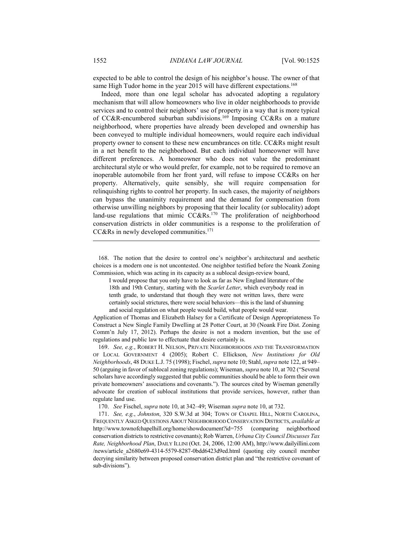expected to be able to control the design of his neighbor's house. The owner of that same High Tudor home in the year 2015 will have different expectations.<sup>168</sup>

Indeed, more than one legal scholar has advocated adopting a regulatory mechanism that will allow homeowners who live in older neighborhoods to provide services and to control their neighbors' use of property in a way that is more typical of CC&R-encumbered suburban subdivisions.<sup>169</sup> Imposing CC&Rs on a mature neighborhood, where properties have already been developed and ownership has been conveyed to multiple individual homeowners, would require each individual property owner to consent to these new encumbrances on title. CC&Rs might result in a net benefit to the neighborhood. But each individual homeowner will have different preferences. A homeowner who does not value the predominant architectural style or who would prefer, for example, not to be required to remove an inoperable automobile from her front yard, will refuse to impose CC&Rs on her property. Alternatively, quite sensibly, she will require compensation for relinquishing rights to control her property. In such cases, the majority of neighbors can bypass the unanimity requirement and the demand for compensation from otherwise unwilling neighbors by proposing that their locality (or sublocality) adopt land-use regulations that mimic  $CC&Rs.170$  The proliferation of neighborhood conservation districts in older communities is a response to the proliferation of CC&Rs in newly developed communities.<sup>171</sup>

 168. The notion that the desire to control one's neighbor's architectural and aesthetic choices is a modern one is not uncontested. One neighbor testified before the Noank Zoning Commission, which was acting in its capacity as a sublocal design-review board,

I would propose that you only have to look as far as New England literature of the 18th and 19th Century, starting with the *Scarlet Letter*, which everybody read in tenth grade, to understand that though they were not written laws, there were certainly social strictures, there were social behaviors—this is the land of shunning and social regulation on what people would build, what people would wear.

Application of Thomas and Elizabeth Halsey for a Certificate of Design Appropriateness To Construct a New Single Family Dwelling at 28 Potter Court, at 30 (Noank Fire Dist. Zoning Comm'n July 17, 2012). Perhaps the desire is not a modern invention, but the use of regulations and public law to effectuate that desire certainly is.

 169. *See, e.g.*, ROBERT H. NELSON, PRIVATE NEIGHBORHOODS AND THE TRANSFORMATION OF LOCAL GOVERNMENT 4 (2005); Robert C. Ellickson, *New Institutions for Old Neighborhoods*, 48 DUKE L.J. 75 (1998); Fischel, *supra* note 10; Stahl, *supra* note 122, at 949– 50 (arguing in favor of sublocal zoning regulations); Wiseman, *supra* note 10, at 702 ("Several scholars have accordingly suggested that public communities should be able to form their own private homeowners' associations and covenants."). The sources cited by Wiseman generally advocate for creation of sublocal institutions that provide services, however, rather than regulate land use.

170. *See* Fischel, *supra* note 10, at 342–49; Wiseman *supra* note 10, at 732.

 171. *See, e.g.*, *Johnston*, 320 S.W.3d at 304; TOWN OF CHAPEL HILL, NORTH CAROLINA, FREQUENTLY ASKED QUESTIONS ABOUT NEIGHBORHOOD CONSERVATION DISTRICTS, *available at* http://www.townofchapelhill.org/home/showdocument?id=755 (comparing neighborhood conservation districts to restrictive covenants); Rob Warren, *Urbana City Council Discusses Tax Rate, Neighborhood Plan*, DAILY ILLINI (Oct. 24, 2006, 12:00 AM), http://www.dailyillini.com /news/article\_a2680e69-4314-5579-8287-0bdd6423d9ed.html (quoting city council member decrying similarity between proposed conservation district plan and "the restrictive covenant of sub-divisions").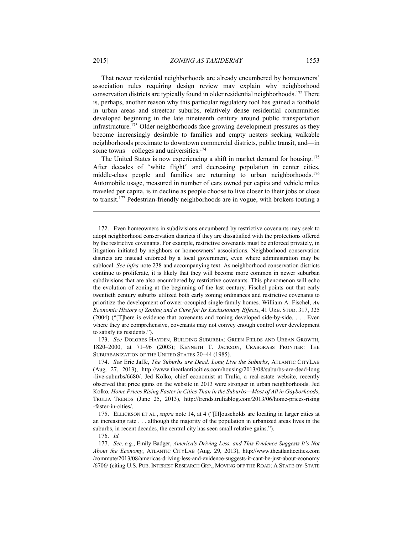That newer residential neighborhoods are already encumbered by homeowners' association rules requiring design review may explain why neighborhood conservation districts are typically found in older residential neighborhoods.172 There is, perhaps, another reason why this particular regulatory tool has gained a foothold in urban areas and streetcar suburbs, relatively dense residential communities developed beginning in the late nineteenth century around public transportation infrastructure.<sup>173</sup> Older neighborhoods face growing development pressures as they become increasingly desirable to families and empty nesters seeking walkable neighborhoods proximate to downtown commercial districts, public transit, and—in some towns—colleges and universities.<sup>174</sup>

The United States is now experiencing a shift in market demand for housing.<sup>175</sup> After decades of "white flight" and decreasing population in center cities, middle-class people and families are returning to urban neighborhoods.<sup>176</sup> Automobile usage, measured in number of cars owned per capita and vehicle miles traveled per capita, is in decline as people choose to live closer to their jobs or close to transit.177 Pedestrian-friendly neighborhoods are in vogue, with brokers touting a

 173. *See* DOLORES HAYDEN, BUILDING SUBURBIA: GREEN FIELDS AND URBAN GROWTH, 1820–2000, at 71–96 (2003); KENNETH T. JACKSON, CRABGRASS FRONTIER: THE SUBURBANIZATION OF THE UNITED STATES 20–44 (1985).

 174. *See* Eric Jaffe, *The Suburbs are Dead, Long Live the Suburbs*, ATLANTIC CITYLAB (Aug. 27, 2013), http://www.theatlanticcities.com/housing/2013/08/suburbs-are-dead-long -live-suburbs/6680/. Jed Kolko, chief economist at Trulia, a real-estate website, recently observed that price gains on the website in 2013 were stronger in urban neighborhoods. Jed Kolko*, Home Prices Rising Faster in Cities Than in the Suburbs—Most of All in Gayborhoods*, TRULIA TRENDS (June 25, 2013), http://trends.truliablog.com/2013/06/home-prices-rising -faster-in-cities/.

 175. ELLICKSON ET AL., *supra* note 14, at 4 ("[H]ouseholds are locating in larger cities at an increasing rate . . . although the majority of the population in urbanized areas lives in the suburbs, in recent decades, the central city has seen small relative gains.").

176. *Id.*

 <sup>172.</sup> Even homeowners in subdivisions encumbered by restrictive covenants may seek to adopt neighborhood conservation districts if they are dissatisfied with the protections offered by the restrictive covenants. For example, restrictive covenants must be enforced privately, in litigation initiated by neighbors or homeowners' associations. Neighborhood conservation districts are instead enforced by a local government, even where administration may be sublocal. *See infra* note 238 and accompanying text. As neighborhood conservation districts continue to proliferate, it is likely that they will become more common in newer suburban subdivisions that are also encumbered by restrictive covenants. This phenomenon will echo the evolution of zoning at the beginning of the last century. Fischel points out that early twentieth century suburbs utilized both early zoning ordinances and restrictive covenants to prioritize the development of owner-occupied single-family homes. William A. Fischel, *An Economic History of Zoning and a Cure for Its Exclusionary Effects*, 41 URB. STUD. 317, 325 (2004) ("[T]here is evidence that covenants and zoning developed side-by-side. . . . Even where they are comprehensive, covenants may not convey enough control over development to satisfy its residents.").

 <sup>177.</sup> *See, e.g.*, Emily Badger, *America's Driving Less, and This Evidence Suggests It's Not About the Economy*, ATLANTIC CITYLAB (Aug. 29, 2013), http://www.theatlanticcities.com /commute/2013/08/americas-driving-less-and-evidence-suggests-it-cant-be-just-about-economy /6706/ (citing U.S. PUB. INTEREST RESEARCH GRP., MOVING OFF THE ROAD: A STATE-BY-STATE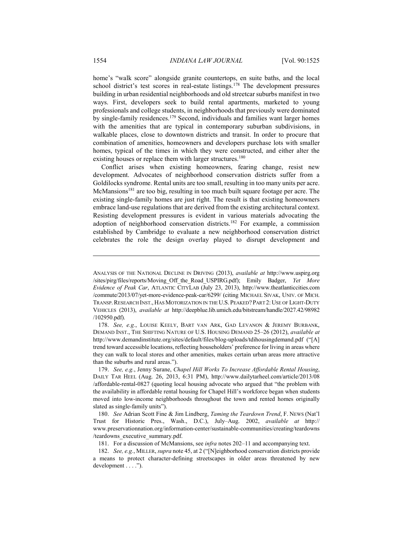home's "walk score" alongside granite countertops, en suite baths, and the local school district's test scores in real-estate listings.<sup>178</sup> The development pressures building in urban residential neighborhoods and old streetcar suburbs manifest in two ways. First, developers seek to build rental apartments, marketed to young professionals and college students, in neighborhoods that previously were dominated by single-family residences.179 Second, individuals and families want larger homes with the amenities that are typical in contemporary suburban subdivisions, in walkable places, close to downtown districts and transit. In order to procure that combination of amenities, homeowners and developers purchase lots with smaller homes, typical of the times in which they were constructed, and either alter the existing houses or replace them with larger structures.<sup>180</sup>

Conflict arises when existing homeowners, fearing change, resist new development. Advocates of neighborhood conservation districts suffer from a Goldilocks syndrome. Rental units are too small, resulting in too many units per acre. McMansions<sup>181</sup> are too big, resulting in too much built square footage per acre. The existing single-family homes are just right. The result is that existing homeowners embrace land-use regulations that are derived from the existing architectural context. Resisting development pressures is evident in various materials advocating the adoption of neighborhood conservation districts.182 For example, a commission established by Cambridge to evaluate a new neighborhood conservation district celebrates the role the design overlay played to disrupt development and

 179. *See, e.g.*, Jenny Surane, *Chapel Hill Works To Increase Affordable Rental Housing*, DAILY TAR HEEL (Aug. 26, 2013, 6:31 PM), http://www.dailytarheel.com/article/2013/08 /affordable-rental-0827 (quoting local housing advocate who argued that "the problem with the availability in affordable rental housing for Chapel Hill's workforce began when students moved into low-income neighborhoods throughout the town and rented homes originally slated as single-family units").

 180. *See* Adrian Scott Fine & Jim Lindberg, *Taming the Teardown Trend*, F. NEWS (Nat'l Trust for Historic Pres., Wash., D.C.), July–Aug. 2002, *available at* http:// www.preservationnation.org/information-center/sustainable-communities/creating/teardowns /teardowns\_executive\_summary.pdf.

181. For a discussion of McMansions, see *infra* notes 202–11 and accompanying text.

 182. *See, e.g.*, MILLER, *supra* note 45, at 2 ("[N]eighborhood conservation districts provide a means to protect character-defining streetscapes in older areas threatened by new development . . . .").

ANALYSIS OF THE NATIONAL DECLINE IN DRIVING (2013), *available at* http://www.uspirg.org /sites/pirg/files/reports/Moving\_Off\_the\_Road\_USPIRG.pdf); Emily Badger, *Yet More Evidence of Peak Car*, ATLANTIC CITYLAB (July 23, 2013), http://www.theatlanticcities.com /commute/2013/07/yet-more-evidence-peak-car/6299/ (citing MICHAEL SIVAK, UNIV. OF MICH. TRANSP.RESEARCH INST., HAS MOTORIZATION IN THE U.S. PEAKED? PART 2: USE OF LIGHT-DUTY VEHICLES (2013), *available at* http://deepblue.lib.umich.edu/bitstream/handle/2027.42/98982 /102950.pdf).

 <sup>178.</sup> *See, e.g.*, LOUISE KEELY, BART VAN ARK, GAD LEVANON & JEREMY BURBANK, DEMAND INST., THE SHIFTING NATURE OF U.S. HOUSING DEMAND 25–26 (2012), *available at* http://www.demandinstitute.org/sites/default/files/blog-uploads/tdihousingdemand.pdf ("[A] trend toward accessible locations, reflecting householders' preference for living in areas where they can walk to local stores and other amenities, makes certain urban areas more attractive than the suburbs and rural areas.").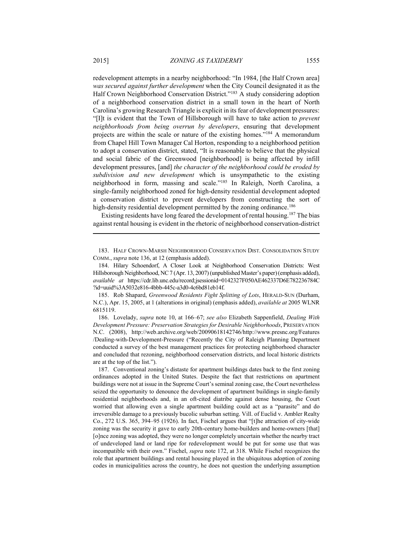redevelopment attempts in a nearby neighborhood: "In 1984, [the Half Crown area] *was secured against further development* when the City Council designated it as the Half Crown Neighborhood Conservation District."<sup>183</sup> A study considering adoption of a neighborhood conservation district in a small town in the heart of North Carolina's growing Research Triangle is explicit in its fear of development pressures: "[I]t is evident that the Town of Hillsborough will have to take action to *prevent neighborhoods from being overrun by developers*, ensuring that development projects are within the scale or nature of the existing homes."184 A memorandum from Chapel Hill Town Manager Cal Horton, responding to a neighborhood petition to adopt a conservation district, stated, "It is reasonable to believe that the physical and social fabric of the Greenwood [neighborhood] is being affected by infill development pressures, [and] *the character of the neighborhood could be eroded by subdivision and new development* which is unsympathetic to the existing neighborhood in form, massing and scale."185 In Raleigh, North Carolina, a single-family neighborhood zoned for high-density residential development adopted a conservation district to prevent developers from constructing the sort of high-density residential development permitted by the zoning ordinance.<sup>186</sup>

Existing residents have long feared the development of rental housing.<sup>187</sup> The bias against rental housing is evident in the rhetoric of neighborhood conservation-district

 <sup>183.</sup> HALF CROWN-MARSH NEIGHBORHOOD CONSERVATION DIST. CONSOLIDATION STUDY COMM., *supra* note 136, at 12 (emphasis added).

 <sup>184.</sup> Hilary Schoendorf, A Closer Look at Neighborhood Conservation Districts: West Hillsborough Neighborhood, NC 7 (Apr. 13, 2007) (unpublished Master's paper) (emphasis added), *available at* https://cdr.lib.unc.edu/record;jsessionid=0142327F050AE462337D6E782236784C ?id=uuid%3A5032e816-4bbb-445c-a3d0-4c6bd81eb14f.

 <sup>185.</sup> Rob Shapard, *Greenwood Residents Fight Splitting of Lots*, HERALD-SUN (Durham, N.C.), Apr. 15, 2005, at 1 (alterations in original) (emphasis added), *available at* 2005 WLNR 6815119.

 <sup>186.</sup> Lovelady, *supra* note 10, at 166–67; *see also* Elizabeth Sappenfield, *Dealing With Development Pressure: Preservation Strategies for Desirable Neighborhoods*, PRESERVATION N.C. (2008), http://web.archive.org/web/20090618142746/http://www.presnc.org/Features /Dealing-with-Development-Pressure ("Recently the City of Raleigh Planning Department conducted a survey of the best management practices for protecting neighborhood character and concluded that rezoning, neighborhood conservation districts, and local historic districts are at the top of the list.").

 <sup>187.</sup> Conventional zoning's distaste for apartment buildings dates back to the first zoning ordinances adopted in the United States. Despite the fact that restrictions on apartment buildings were not at issue in the Supreme Court's seminal zoning case, the Court nevertheless seized the opportunity to denounce the development of apartment buildings in single-family residential neighborhoods and, in an oft-cited diatribe against dense housing, the Court worried that allowing even a single apartment building could act as a "parasite" and do irreversible damage to a previously bucolic suburban setting. Vill. of Euclid v. Ambler Realty Co., 272 U.S. 365, 394–95 (1926). In fact, Fischel argues that "[t]he attraction of city-wide zoning was the security it gave to early 20th-century home-builders and home-owners [that] [o]nce zoning was adopted, they were no longer completely uncertain whether the nearby tract of undeveloped land or land ripe for redevelopment would be put for some use that was incompatible with their own." Fischel, *supra* note 172, at 318. While Fischel recognizes the role that apartment buildings and rental housing played in the ubiquitous adoption of zoning codes in municipalities across the country, he does not question the underlying assumption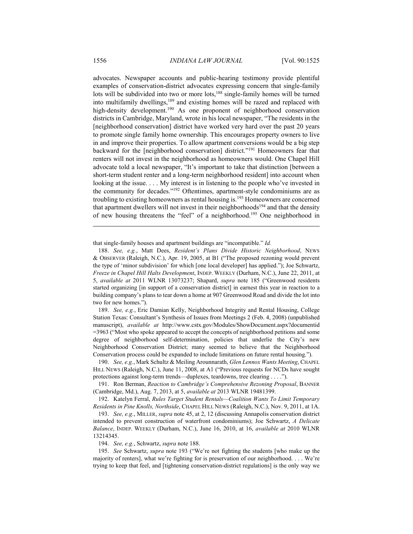advocates. Newspaper accounts and public-hearing testimony provide plentiful examples of conservation-district advocates expressing concern that single-family lots will be subdivided into two or more lots,<sup>188</sup> single-family homes will be turned into multifamily dwellings,<sup>189</sup> and existing homes will be razed and replaced with high-density development.<sup>190</sup> As one proponent of neighborhood conservation districts in Cambridge, Maryland, wrote in his local newspaper, "The residents in the [neighborhood conservation] district have worked very hard over the past 20 years to promote single family home ownership. This encourages property owners to live in and improve their properties. To allow apartment conversions would be a big step backward for the [neighborhood conservation] district."191 Homeowners fear that renters will not invest in the neighborhood as homeowners would. One Chapel Hill advocate told a local newspaper, "It's important to take that distinction [between a short-term student renter and a long-term neighborhood resident] into account when looking at the issue. . . . My interest is in listening to the people who've invested in the community for decades."192 Oftentimes, apartment-style condominiums are as troubling to existing homeowners as rental housing is.193 Homeowners are concerned that apartment dwellers will not invest in their neighborhoods<sup>194</sup> and that the density of new housing threatens the "feel" of a neighborhood.195 One neighborhood in

that single-family houses and apartment buildings are "incompatible." *Id.*

 189. *See, e.g.*, Eric Damian Kelly, Neighborhood Integrity and Rental Housing, College Station Texas: Consultant's Synthesis of Issues from Meetings 2 (Feb. 4, 2008) (unpublished manuscript), *available at* http://www.cstx.gov/Modules/ShowDocument.aspx?documentid =3963 ("Most who spoke appeared to accept the concepts of neighborhood petitions and some degree of neighborhood self-determination, policies that underlie the City's new Neighborhood Conservation District; many seemed to believe that the Neighborhood Conservation process could be expanded to include limitations on future rental housing.").

 190. *See, e.g.*, Mark Schultz & Meiling Arounnarath, *Glen Lennox Wants Meeting*, CHAPEL HILL NEWS (Raleigh, N.C.), June 11, 2008, at A1 ("Previous requests for NCDs have sought protections against long-term trends—duplexes, teardowns, tree clearing . . . .").

 191. Ron Berman, *Reaction to Cambridge's Comprehensive Rezoning Proposal*, BANNER (Cambridge, Md.), Aug. 7, 2013, at 5, *available at* 2013 WLNR 19481399.

 192. Katelyn Ferral, *Rules Target Student Rentals—Coalition Wants To Limit Temporary Residents in Pine Knolls, Northside*, CHAPEL HILL NEWS (Raleigh, N.C.), Nov. 9, 2011, at 1A.

 193. *See, e.g.*, MILLER, *supra* note 45, at 2, 12 (discussing Annapolis conservation district intended to prevent construction of waterfront condominiums); Joe Schwartz, *A Delicate Balance*, INDEP. WEEKLY (Durham, N.C.), June 16, 2010, at 16, *available at* 2010 WLNR 13214345.

194. *See, e.g.*, Schwartz, *supra* note 188.

 195. *See* Schwartz, *supra* note 193 ("We're not fighting the students [who make up the majority of renters], what we're fighting for is preservation of our neighborhood. . . . We're trying to keep that feel, and [tightening conservation-district regulations] is the only way we

 <sup>188.</sup> *See, e.g.*, Matt Dees, *Resident's Plans Divide Historic Neighborhood*, NEWS & OBSERVER (Raleigh, N.C.), Apr. 19, 2005, at B1 ("The proposed rezoning would prevent the type of 'minor subdivision' for which [one local developer] has applied."); Joe Schwartz, *Freeze in Chapel Hill Halts Development*, INDEP. WEEKLY (Durham, N.C.), June 22, 2011, at 5, *available at* 2011 WLNR 13073237; Shapard, *supra* note 185 ("Greenwood residents started organizing [in support of a conservation district] in earnest this year in reaction to a building company's plans to tear down a home at 907 Greenwood Road and divide the lot into two for new homes.").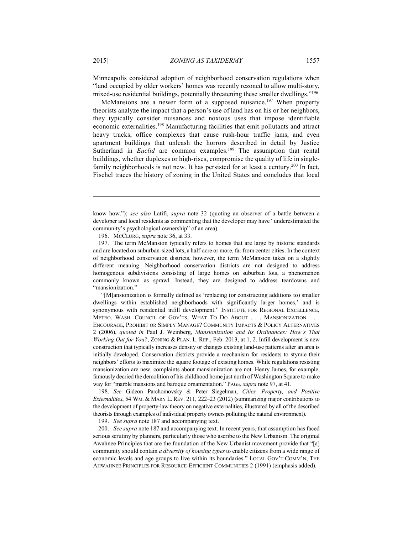Minneapolis considered adoption of neighborhood conservation regulations when "land occupied by older workers' homes was recently rezoned to allow multi-story, mixed-use residential buildings, potentially threatening these smaller dwellings."196

McMansions are a newer form of a supposed nuisance.<sup>197</sup> When property theorists analyze the impact that a person's use of land has on his or her neighbors, they typically consider nuisances and noxious uses that impose identifiable economic externalities.198 Manufacturing facilities that emit pollutants and attract heavy trucks, office complexes that cause rush-hour traffic jams, and even apartment buildings that unleash the horrors described in detail by Justice Sutherland in *Euclid* are common examples.<sup>199</sup> The assumption that rental buildings, whether duplexes or high-rises, compromise the quality of life in singlefamily neighborhoods is not new. It has persisted for at least a century.<sup>200</sup> In fact, Fischel traces the history of zoning in the United States and concludes that local

196. MCCLURG, *supra* note 36, at 33.

"[M]ansionization is formally defined as 'replacing (or constructing additions to) smaller dwellings within established neighborhoods with significantly larger homes,' and is synonymous with residential infill development." INSTITUTE FOR REGIONAL EXCELLENCE, METRO. WASH. COUNCIL OF GOV'TS, WHAT TO DO ABOUT . . . MANSIONIZATION . . . ENCOURAGE, PROHIBIT OR SIMPLY MANAGE? COMMUNITY IMPACTS & POLICY ALTERNATIVES 2 (2006), *quoted in* Paul J. Weinberg, *Mansionization and Its Ordinances: How's That Working Out for You?*, ZONING & PLAN. L. REP., Feb. 2013, at 1, 2. Infill development is new construction that typically increases density or changes existing land-use patterns after an area is initially developed. Conservation districts provide a mechanism for residents to stymie their neighbors' efforts to maximize the square footage of existing homes. While regulations resisting mansionization are new, complaints about mansionization are not. Henry James, for example, famously decried the demolition of his childhood home just north of Washington Square to make way for "marble mansions and baroque ornamentation." PAGE, *supra* note 97, at 41.

 198. *See* Gideon Parchomovsky & Peter Siegelman, *Cities, Property, and Positive Externalities*, 54 WM. & MARY L. REV. 211, 222–23 (2012) (summarizing major contributions to the development of property-law theory on negative externalities, illustrated by all of the described theorists through examples of individual property owners polluting the natural environment).

199. *See supra* note 187 and accompanying text.

 200. *See supra* note 187 and accompanying text. In recent years, that assumption has faced serious scrutiny by planners, particularly those who ascribe to the New Urbanism. The original Awahnee Principles that are the foundation of the New Urbanist movement provide that "[a] community should contain *a diversity of housing types* to enable citizens from a wide range of economic levels and age groups to live within its boundaries." LOCAL GOV'T COMM'N, THE AHWAHNEE PRINCIPLES FOR RESOURCE-EFFICIENT COMMUNITIES 2 (1991) (emphasis added).

know how."); *see also* Latifi, *supra* note 32 (quoting an observer of a battle between a developer and local residents as commenting that the developer may have "underestimated the community's psychological ownership" of an area).

 <sup>197.</sup> The term McMansion typically refers to homes that are large by historic standards and are located on suburban-sized lots, a half-acre or more, far from center cities. In the context of neighborhood conservation districts, however, the term McMansion takes on a slightly different meaning. Neighborhood conservation districts are not designed to address homogenous subdivisions consisting of large homes on suburban lots, a phenomenon commonly known as sprawl. Instead, they are designed to address teardowns and "mansionization."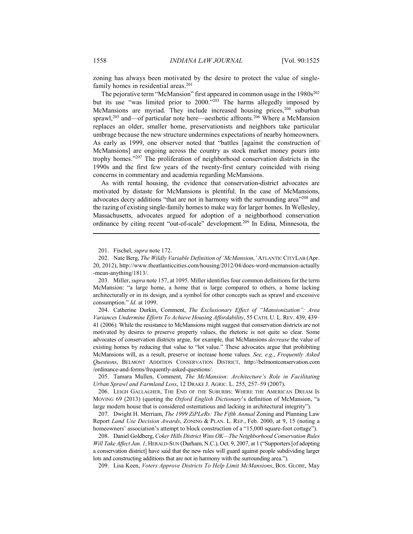zoning has always been motivated by the desire to protect the value of singlefamily homes in residential areas.<sup>201</sup>

The pejorative term "McMansion" first appeared in common usage in the 1980s<sup>202</sup> but its use "was limited prior to 2000."203 The harms allegedly imposed by McMansions are myriad. They include increased housing prices,<sup>204</sup> suburban sprawl,<sup>205</sup> and—of particular note here—aesthetic affronts.<sup>206</sup> Where a McMansion replaces an older, smaller home, preservationists and neighbors take particular umbrage because the new structure undermines expectations of nearby homeowners. As early as 1999, one observer noted that "battles [against the construction of McMansions] are ongoing across the country as stock market money pours into trophy homes."207 The proliferation of neighborhood conservation districts in the 1990s and the first few years of the twenty-first century coincided with rising concerns in commentary and academia regarding McMansions.

As with rental housing, the evidence that conservation-district advocates are motivated by distaste for McMansions is plentiful. In the case of McMansions, advocates decry additions "that are not in harmony with the surrounding area"<sup>208</sup> and the razing of existing single-family homes to make way for larger homes. In Wellesley, Massachusetts, advocates argued for adoption of a neighborhood conservation ordinance by citing recent "out-of-scale" development.209 In Edina, Minnesota, the

 204. Catherine Durkin, Comment, *The Exclusionary Effect of "Mansionization": Area Variances Undermine Efforts To Achieve Housing Affordability*, 55 CATH. U. L. REV. 439, 439– 41 (2006). While the resistance to McMansions might suggest that conservation districts are not motivated by desires to preserve property values, the rhetoric is not quite so clear. Some advocates of conservation districts argue, for example, that McMansions *decrease* the value of existing homes by reducing that value to "lot value." These advocates argue that prohibiting McMansions will, as a result, preserve or increase home values. *See, e.g*., *Frequently Asked Questions*, BELMONT ADDITION CONSERVATION DISTRICT, http://belmontconservation.com /ordinance-and-forms/frequently-asked-questions/.

 205. Tamara Mullen, Comment, *The McMansion: Architecture's Role in Facilitating Urban Sprawl and Farmland Loss*, 12 DRAKE J. AGRIC. L. 255, 257–59 (2007).

 206. LEIGH GALLAGHER, THE END OF THE SUBURBS: WHERE THE AMERICAN DREAM IS MOVING 69 (2013) (quoting the *Oxford English Dictionary*'s definition of McMansion, "a large modern house that is considered ostentatious and lacking in architectural integrity").

 207. Dwight H. Merriam, *The 1999 ZiPLeRs: The Fifth Annual* Zoning and Planning Law Report *Land Use Decision Awards*, ZONING & PLAN. L. REP., Feb. 2000, at 9, 15 (noting a homeowners' association's attempt to block construction of a "15,000 square-foot cottage").

 208. Daniel Goldberg, *Coker Hills District Wins OK—The Neighborhood Conservation Rules Will Take Affect Jan. 1*, HERALD-SUN (Durham, N.C.), Oct. 9, 2007, at 1 ("Supporters [of adopting a conservation district] have said that the new rules will guard against people subdividing larger lots and constructing additions that are not in harmony with the surrounding area.").

209. Lisa Keen, *Voters Approve Districts To Help Limit McMansions*, BOS. GLOBE, May

 <sup>201.</sup> Fischel, *supra* note 172.

 <sup>202.</sup> Nate Berg, *The Wildly Variable Definition of 'McMansion*,*'* ATLANTIC CITYLAB (Apr. 20, 2012), http://www.theatlanticcities.com/housing/2012/04/does-word-mcmansion-actually -mean-anything/1813/.

 <sup>203.</sup> Miller, *supra* note 157, at 1095. Miller identifies four common definitions for the term McMansion: "a large home, a home that is large compared to others, a home lacking architecturally or in its design, and a symbol for other concepts such as sprawl and excessive consumption." *Id.* at 1099.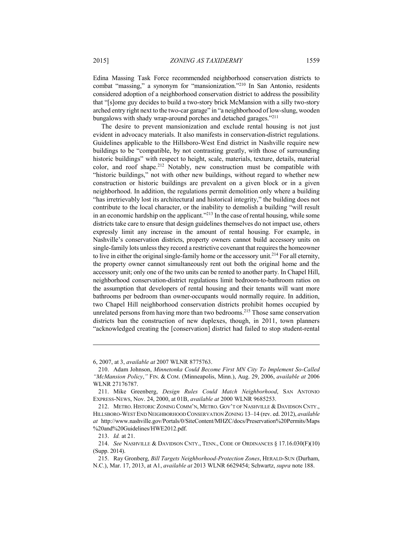Edina Massing Task Force recommended neighborhood conservation districts to combat "massing," a synonym for "mansionization."210 In San Antonio, residents considered adoption of a neighborhood conservation district to address the possibility that "[s]ome guy decides to build a two-story brick McMansion with a silly two-story arched entry right next to the two-car garage" in "a neighborhood of low-slung, wooden bungalows with shady wrap-around porches and detached garages."211

The desire to prevent mansionization and exclude rental housing is not just evident in advocacy materials. It also manifests in conservation-district regulations. Guidelines applicable to the Hillsboro-West End district in Nashville require new buildings to be "compatible, by not contrasting greatly, with those of surrounding historic buildings" with respect to height, scale, materials, texture, details, material color, and roof shape.212 Notably, new construction must be compatible with "historic buildings," not with other new buildings, without regard to whether new construction or historic buildings are prevalent on a given block or in a given neighborhood. In addition, the regulations permit demolition only where a building "has irretrievably lost its architectural and historical integrity," the building does not contribute to the local character, or the inability to demolish a building "will result in an economic hardship on the applicant."213 In the case of rental housing, while some districts take care to ensure that design guidelines themselves do not impact use, others expressly limit any increase in the amount of rental housing. For example, in Nashville's conservation districts, property owners cannot build accessory units on single-family lots unless they record a restrictive covenant that requires the homeowner to live in either the original single-family home or the accessory unit.<sup>214</sup> For all eternity, the property owner cannot simultaneously rent out both the original home and the accessory unit; only one of the two units can be rented to another party. In Chapel Hill, neighborhood conservation-district regulations limit bedroom-to-bathroom ratios on the assumption that developers of rental housing and their tenants will want more bathrooms per bedroom than owner-occupants would normally require. In addition, two Chapel Hill neighborhood conservation districts prohibit homes occupied by unrelated persons from having more than two bedrooms.<sup>215</sup> Those same conservation districts ban the construction of new duplexes, though, in 2011, town planners "acknowledged creating the [conservation] district had failed to stop student-rental

<sup>6, 2007,</sup> at 3, *available at* 2007 WLNR 8775763.

 <sup>210.</sup> Adam Johnson, *Minnetonka Could Become First MN City To Implement So-Called "McMansion Policy*,*"* FIN. & COM. (Minneapolis, Minn.), Aug. 29, 2006, *available at* 2006 WLNR 27176787.

 <sup>211.</sup> Mike Greenberg, *Design Rules Could Match Neighborhood*, SAN ANTONIO EXPRESS-NEWS, Nov. 24, 2000, at 01B, *available at* 2000 WLNR 9685253.

 <sup>212.</sup> METRO. HISTORIC ZONING COMM'N, METRO. GOV'T OF NASHVILLE & DAVIDSON CNTY., HILLSBORO-WEST END NEIGHBORHOOD CONSERVATION ZONING 13–14 (rev. ed. 2012), *available at* http://www.nashville.gov/Portals/0/SiteContent/MHZC/docs/Preservation%20Permits/Maps %20and%20Guidelines/HWE2012.pdf.

 <sup>213.</sup> *Id.* at 21.

 <sup>214.</sup> *See* NASHVILLE & DAVIDSON CNTY., TENN., CODE OF ORDINANCES § 17.16.030(F)(10) (Supp. 2014).

 <sup>215.</sup> Ray Gronberg, *Bill Targets Neighborhood-Protection Zones*, HERALD-SUN (Durham, N.C.), Mar. 17, 2013, at A1, *available at* 2013 WLNR 6629454; Schwartz, *supra* note 188.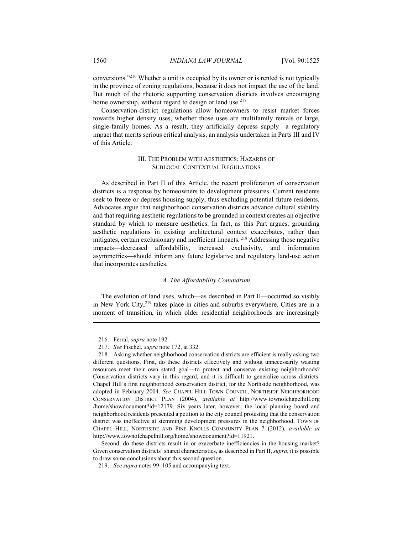conversions."216 Whether a unit is occupied by its owner or is rented is not typically in the province of zoning regulations, because it does not impact the use of the land. But much of the rhetoric supporting conservation districts involves encouraging home ownership, without regard to design or land use.<sup>217</sup>

Conservation-district regulations allow homeowners to resist market forces towards higher density uses, whether those uses are multifamily rentals or large, single-family homes. As a result, they artificially depress supply—a regulatory impact that merits serious critical analysis, an analysis undertaken in Parts III and IV of this Article.

# III. THE PROBLEM WITH AESTHETICS: HAZARDS OF SUBLOCAL CONTEXTUAL REGULATIONS

As described in Part II of this Article, the recent proliferation of conservation districts is a response by homeowners to development pressures. Current residents seek to freeze or depress housing supply, thus excluding potential future residents. Advocates argue that neighborhood conservation districts advance cultural stability and that requiring aesthetic regulations to be grounded in context creates an objective standard by which to measure aesthetics. In fact, as this Part argues, grounding aesthetic regulations in existing architectural context exacerbates, rather than mitigates, certain exclusionary and inefficient impacts. 218 Addressing those negative impacts—decreased affordability, increased exclusivity, and information asymmetries—should inform any future legislative and regulatory land-use action that incorporates aesthetics.

# *A. The Affordability Conundrum*

The evolution of land uses, which—as described in Part II—occurred so visibly in New York City,<sup>219</sup> takes place in cities and suburbs everywhere. Cities are in a moment of transition, in which older residential neighborhoods are increasingly

 <sup>216.</sup> Ferral, *supra* note 192.

 <sup>217.</sup> *See* Fischel, *supra* note 172, at 332.

 <sup>218.</sup> Asking whether neighborhood conservation districts are efficient is really asking two different questions. First, do these districts effectively and without unnecessarily wasting resources meet their own stated goal—to protect and conserve existing neighborhoods? Conservation districts vary in this regard, and it is difficult to generalize across districts. Chapel Hill's first neighborhood conservation district, for the Northside neighborhood, was adopted in February 2004. *See* CHAPEL HILL TOWN COUNCIL, NORTHSIDE NEIGHBORHOOD CONSERVATION DISTRICT PLAN (2004), *available at* http://www.townofchapelhill.org /home/showdocument?id=12179. Six years later, however, the local planning board and neighborhood residents presented a petition to the city council protesting that the conservation district was ineffective at stemming development pressures in the neighborhood. TOWN OF CHAPEL HILL, NORTHSIDE AND PINE KNOLLS COMMUNITY PLAN 7 (2012), *available at*  http://www.townofchapelhill.org/home/showdocument?id=11921.

Second, do these districts result in or exacerbate inefficiencies in the housing market? Given conservation districts' shared characteristics, as described in Part II, *supra*, it is possible to draw some conclusions about this second question.

 <sup>219.</sup> *See supra* notes 99–105 and accompanying text.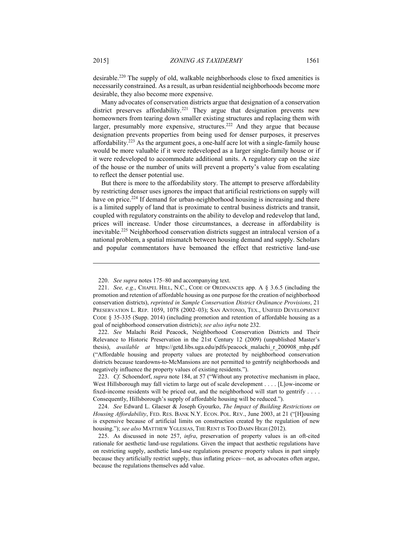desirable.220 The supply of old, walkable neighborhoods close to fixed amenities is necessarily constrained. As a result, as urban residential neighborhoods become more desirable, they also become more expensive.

Many advocates of conservation districts argue that designation of a conservation district preserves affordability.<sup>221</sup> They argue that designation prevents new homeowners from tearing down smaller existing structures and replacing them with larger, presumably more expensive, structures.<sup>222</sup> And they argue that because designation prevents properties from being used for denser purposes, it preserves affordability.223 As the argument goes, a one-half acre lot with a single-family house would be more valuable if it were redeveloped as a larger single-family house or if it were redeveloped to accommodate additional units. A regulatory cap on the size of the house or the number of units will prevent a property's value from escalating to reflect the denser potential use.

But there is more to the affordability story. The attempt to preserve affordability by restricting denser uses ignores the impact that artificial restrictions on supply will have on price.<sup>224</sup> If demand for urban-neighborhood housing is increasing and there is a limited supply of land that is proximate to central business districts and transit, coupled with regulatory constraints on the ability to develop and redevelop that land, prices will increase. Under those circumstances, a decrease in affordability is inevitable.225 Neighborhood conservation districts suggest an intralocal version of a national problem, a spatial mismatch between housing demand and supply. Scholars and popular commentators have bemoaned the effect that restrictive land-use

 222. *See* Malachi Reid Peacock, Neighborhood Conservation Districts and Their Relevance to Historic Preservation in the 21st Century 12 (2009) (unpublished Master's thesis), *available at* https://getd.libs.uga.edu/pdfs/peacock\_malachi\_r\_200908\_mhp.pdf ("Affordable housing and property values are protected by neighborhood conservation districts because teardowns-to-McMansions are not permitted to gentrify neighborhoods and negatively influence the property values of existing residents.").

 223. *Cf.* Schoendorf, *supra* note 184, at 57 ("Without any protective mechanism in place, West Hillsborough may fall victim to large out of scale development . . . . [L]ow-income or fixed-income residents will be priced out, and the neighborhood will start to gentrify  $\dots$ . Consequently, Hillsborough's supply of affordable housing will be reduced.").

 224. *See* Edward L. Glaeser & Joseph Gyourko, *The Impact of Building Restrictions on Housing Affordability*, FED. RES. BANK N.Y. ECON. POL. REV., June 2003, at 21 ("[H]ousing is expensive because of artificial limits on construction created by the regulation of new housing."); *see also* MATTHEW YGLESIAS, THE RENT IS TOO DAMN HIGH (2012).

 225. As discussed in note 257, *infra*, preservation of property values is an oft-cited rationale for aesthetic land-use regulations. Given the impact that aesthetic regulations have on restricting supply, aesthetic land-use regulations preserve property values in part simply because they artificially restrict supply, thus inflating prices—not, as advocates often argue, because the regulations themselves add value.

 <sup>220.</sup> *See supra* notes 175–80 and accompanying text.

 <sup>221.</sup> *See, e.g.*, CHAPEL HILL, N.C., CODE OF ORDINANCES app. A § 3.6.5 (including the promotion and retention of affordable housing as one purpose for the creation of neighborhood conservation districts), *reprinted in Sample Conservation District Ordinance Provisions*, 21 PRESERVATION L. REP. 1059, 1078 (2002–03); SAN ANTONIO, TEX., UNIFIED DEVELOPMENT CODE § 35-335 (Supp. 2014) (including promotion and retention of affordable housing as a goal of neighborhood conservation districts); *see also infra* note 232.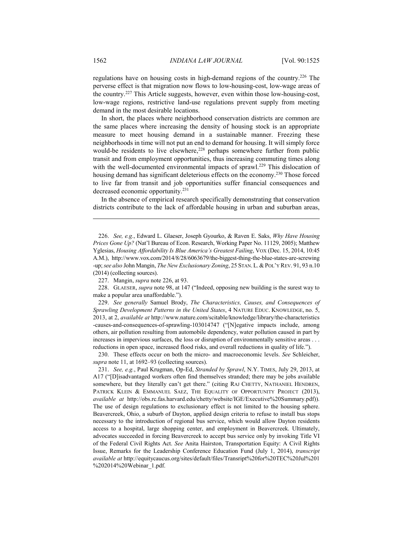regulations have on housing costs in high-demand regions of the country.226 The perverse effect is that migration now flows to low-housing-cost, low-wage areas of the country.227 This Article suggests, however, even within those low-housing-cost, low-wage regions, restrictive land-use regulations prevent supply from meeting demand in the most desirable locations.

In short, the places where neighborhood conservation districts are common are the same places where increasing the density of housing stock is an appropriate measure to meet housing demand in a sustainable manner. Freezing these neighborhoods in time will not put an end to demand for housing. It will simply force would-be residents to live elsewhere,<sup>228</sup> perhaps somewhere further from public transit and from employment opportunities, thus increasing commuting times along with the well-documented environmental impacts of sprawl.<sup>229</sup> This dislocation of housing demand has significant deleterious effects on the economy.<sup>230</sup> Those forced to live far from transit and job opportunities suffer financial consequences and decreased economic opportunity.231

In the absence of empirical research specifically demonstrating that conservation districts contribute to the lack of affordable housing in urban and suburban areas,

 229. *See generally* Samuel Brody, *The Characteristics, Causes, and Consequences of Sprawling Development Patterns in the United States*, 4 NATURE EDUC. KNOWLEDGE, no. 5, 2013, at 2, *available at* http://www.nature.com/scitable/knowledge/library/the-characteristics -causes-and-consequences-of-sprawling-103014747 ("[N]egative impacts include, among others, air pollution resulting from automobile dependency, water pollution caused in part by increases in impervious surfaces, the loss or disruption of environmentally sensitive areas . . . reductions in open space, increased flood risks, and overall reductions in quality of life.").

 230. These effects occur on both the micro- and macroeconomic levels. *See* Schleicher, *supra* note 11, at 1692–93 (collecting sources).

 <sup>226.</sup> *See, e.g.*, Edward L. Glaeser, Joseph Gyourko, & Raven E. Saks, *Why Have Housing Prices Gone Up?* (Nat'l Bureau of Econ. Research, Working Paper No. 11129, 2005); Matthew Yglesias, *Housing Affordability Is Blue America's Greatest Failing*, VOX (Dec. 15, 2014, 10:45 A.M.), http://www.vox.com/2014/8/28/6063679/the-biggest-thing-the-blue-states-are-screwing -up; *see also* John Mangin, *The New Exclusionary Zoning*, 25 STAN.L.&POL'Y REV. 91, 93 n.10 (2014) (collecting sources).

 <sup>227.</sup> Mangin, *supra* note 226, at 93.

 <sup>228.</sup> GLAESER, *supra* note 98, at 147 ("Indeed, opposing new building is the surest way to make a popular area unaffordable.").

 <sup>231.</sup> *See, e.g.*, Paul Krugman, Op-Ed, *Stranded by Sprawl*, N.Y. TIMES, July 29, 2013, at A17 ("[D]isadvantaged workers often find themselves stranded; there may be jobs available somewhere, but they literally can't get there." (citing RAJ CHETTY, NATHANIEL HENDREN, PATRICK KLEIN & EMMANUEL SAEZ, THE EQUALITY OF OPPORTUNITY PROJECT (2013), *available at* http://obs.rc.fas.harvard.edu/chetty/website/IGE/Executive%20Summary.pdf)). The use of design regulations to exclusionary effect is not limited to the housing sphere. Beavercreek, Ohio, a suburb of Dayton, applied design criteria to refuse to install bus stops necessary to the introduction of regional bus service, which would allow Dayton residents access to a hospital, large shopping center, and employment in Beavercreek. Ultimately, advocates succeeded in forcing Beavercreek to accept bus service only by invoking Title VI of the Federal Civil Rights Act. *See* Anita Hairston, Transportation Equity: A Civil Rights Issue, Remarks for the Leadership Conference Education Fund (July 1, 2014), *transcript available at* http://equitycaucus.org/sites/default/files/Transript%20for%20TEC%20Jul%201 %202014%20Webinar\_1.pdf.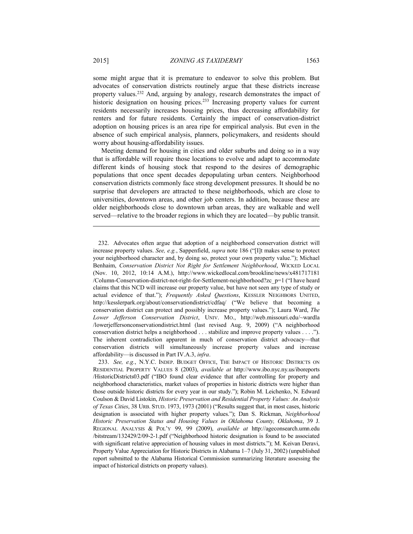some might argue that it is premature to endeavor to solve this problem. But advocates of conservation districts routinely argue that these districts increase property values.232 And, arguing by analogy, research demonstrates the impact of historic designation on housing prices.<sup>233</sup> Increasing property values for current residents necessarily increases housing prices, thus decreasing affordability for renters and for future residents. Certainly the impact of conservation-district adoption on housing prices is an area ripe for empirical analysis. But even in the absence of such empirical analysis, planners, policymakers, and residents should worry about housing-affordability issues.

Meeting demand for housing in cities and older suburbs and doing so in a way that is affordable will require those locations to evolve and adapt to accommodate different kinds of housing stock that respond to the desires of demographic populations that once spent decades depopulating urban centers. Neighborhood conservation districts commonly face strong development pressures. It should be no surprise that developers are attracted to these neighborhoods, which are close to universities, downtown areas, and other job centers. In addition, because these are older neighborhoods close to downtown urban areas, they are walkable and well served—relative to the broader regions in which they are located—by public transit.

 <sup>232.</sup> Advocates often argue that adoption of a neighborhood conservation district will increase property values. *See, e.g.*, Sappenfield, *supra* note 186 ("[I]t makes sense to protect your neighborhood character and, by doing so, protect your own property value."); Michael Benhaim, *Conservation District Not Right for Settlement Neighborhood*, WICKED LOCAL (Nov. 10, 2012, 10:14 A.M.), http://www.wickedlocal.com/brookline/news/x481717181 /Column-Conservation-district-not-right-for-Settlement-neighborhood?zc\_p=1 ("I have heard claims that this NCD will increase our property value, but have not seen any type of study or actual evidence of that."); *Frequently Asked Questions*, KESSLER NEIGHBORS UNITED, http://kesslerpark.org/about/conservationdistrict/cdfaq/ ("We believe that becoming a conservation district can protect and possibly increase property values."); Laura Ward, *The Lower Jefferson Conservation District*, UNIV. MO., http://web.missouri.edu/~wardla /lowerjeffersonconservationdistrict.html (last revised Aug. 9, 2009) ("A neighborhood conservation district helps a neighborhood . . . stabilize and improve property values . . . ."). The inherent contradiction apparent in much of conservation district advocacy—that conservation districts will simultaneously increase property values and increase affordability—is discussed in Part IV.A.3, *infra*.

 <sup>233.</sup> *See, e.g.*, N.Y.C. INDEP. BUDGET OFFICE, THE IMPACT OF HISTORIC DISTRICTS ON RESIDENTIAL PROPERTY VALUES 8 (2003), *available at* http://www.ibo.nyc.ny.us/iboreports /HistoricDistricts03.pdf ("IBO found clear evidence that after controlling for property and neighborhood characteristics, market values of properties in historic districts were higher than those outside historic districts for every year in our study."); Robin M. Leichenko, N. Edward Coulson & David Listokin, *Historic Preservation and Residential Property Values: An Analysis of Texas Cities*, 38 URB. STUD. 1973, 1973 (2001) ("Results suggest that, in most cases, historic designation is associated with higher property values."); Dan S. Rickman, *Neighborhood Historic Preservation Status and Housing Values in Oklahoma County, Oklahoma*, 39 J. REGIONAL ANALYSIS & POL'Y 99, 99 (2009), *available at* http://ageconsearch.umn.edu /bitstream/132429/2/09-2-1.pdf ("Neighborhood historic designation is found to be associated with significant relative appreciation of housing values in most districts."); M. Keivan Deravi, Property Value Appreciation for Historic Districts in Alabama 1–7 (July 31, 2002) (unpublished report submitted to the Alabama Historical Commission summarizing literature assessing the impact of historical districts on property values).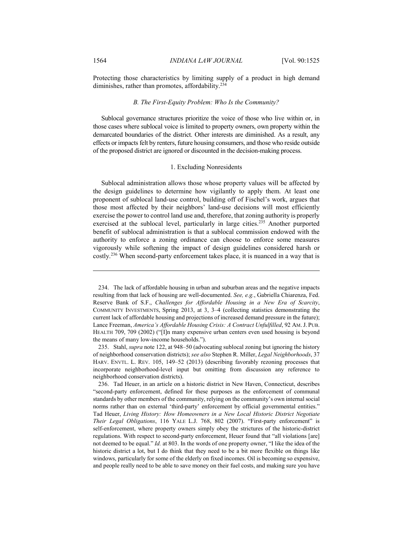Protecting those characteristics by limiting supply of a product in high demand diminishes, rather than promotes, affordability.<sup>234</sup>

## *B. The First-Equity Problem: Who Is the Community?*

Sublocal governance structures prioritize the voice of those who live within or, in those cases where sublocal voice is limited to property owners, own property within the demarcated boundaries of the district. Other interests are diminished. As a result, any effects or impacts felt by renters, future housing consumers, and those who reside outside of the proposed district are ignored or discounted in the decision-making process.

# 1. Excluding Nonresidents

Sublocal administration allows those whose property values will be affected by the design guidelines to determine how vigilantly to apply them. At least one proponent of sublocal land-use control, building off of Fischel's work, argues that those most affected by their neighbors' land-use decisions will most efficiently exercise the power to control land use and, therefore, that zoning authority is properly exercised at the sublocal level, particularly in large cities.<sup>235</sup> Another purported benefit of sublocal administration is that a sublocal commission endowed with the authority to enforce a zoning ordinance can choose to enforce some measures vigorously while softening the impact of design guidelines considered harsh or costly.236 When second-party enforcement takes place, it is nuanced in a way that is

 <sup>234.</sup> The lack of affordable housing in urban and suburban areas and the negative impacts resulting from that lack of housing are well-documented. *See, e.g.*, Gabriella Chiarenza, Fed. Reserve Bank of S.F., *Challenges for Affordable Housing in a New Era of Scarcity*, COMMUNITY INVESTMENTS, Spring 2013, at 3, 3–4 (collecting statistics demonstrating the current lack of affordable housing and projections of increased demand pressure in the future); Lance Freeman, *America's Affordable Housing Crisis: A Contract Unfulfilled*, 92 AM.J. PUB. HEALTH 709, 709 (2002) ("[I]n many expensive urban centers even used housing is beyond the means of many low-income households.").

 <sup>235.</sup> Stahl, *supra* note 122, at 948–50 (advocating sublocal zoning but ignoring the history of neighborhood conservation districts); *see also* Stephen R. Miller, *Legal Neighborhoods*, 37 HARV. ENVTL. L. REV. 105, 149–52 (2013) (describing favorably rezoning processes that incorporate neighborhood-level input but omitting from discussion any reference to neighborhood conservation districts).

 <sup>236.</sup> Tad Heuer, in an article on a historic district in New Haven, Connecticut, describes "second-party enforcement, defined for these purposes as the enforcement of communal standards by other members of the community, relying on the community's own internal social norms rather than on external 'third-party' enforcement by official governmental entities." Tad Heuer, *Living History: How Homeowners in a New Local Historic District Negotiate Their Legal Obligations*, 116 YALE L.J. 768, 802 (2007). "First-party enforcement" is self-enforcement, where property owners simply obey the strictures of the historic-district regulations. With respect to second-party enforcement, Heuer found that "all violations [are] not deemed to be equal." *Id.* at 803. In the words of one property owner, "I like the idea of the historic district a lot, but I do think that they need to be a bit more flexible on things like windows, particularly for some of the elderly on fixed incomes. Oil is becoming so expensive, and people really need to be able to save money on their fuel costs, and making sure you have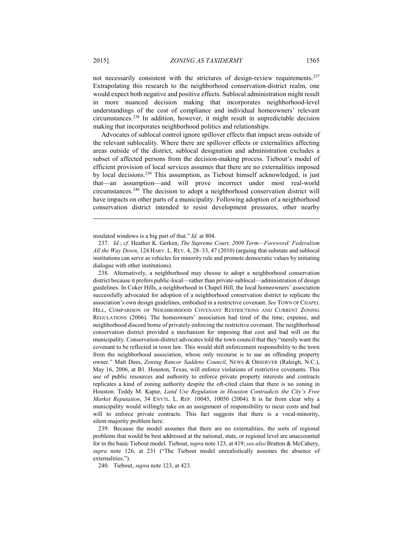not necessarily consistent with the strictures of design-review requirements.237 Extrapolating this research to the neighborhood conservation-district realm, one would expect both negative and positive effects. Sublocal administration might result in more nuanced decision making that incorporates neighborhood-level understandings of the cost of compliance and individual homeowners' relevant circumstances.238 In addition, however, it might result in unpredictable decision making that incorporates neighborhood politics and relationships.

Advocates of sublocal control ignore spillover effects that impact areas outside of the relevant sublocality. Where there are spillover effects or externalities affecting areas outside of the district, sublocal designation and administration excludes a subset of affected persons from the decision-making process. Tiebout's model of efficient provision of local services assumes that there are no externalities imposed by local decisions.<sup>239</sup> This assumption, as Tiebout himself acknowledged, is just that—an assumption—and will prove incorrect under most real-world circumstances.240 The decision to adopt a neighborhood conservation district will have impacts on other parts of a municipality. Following adoption of a neighborhood conservation district intended to resist development pressures, other nearby

 238. Alternatively, a neighborhood may choose to adopt a neighborhood conservation district because it prefers public-local—rather than private-sublocal—administration of design guidelines. In Coker Hills, a neighborhood in Chapel Hill, the local homeowners' association successfully advocated for adoption of a neighborhood conservation district to replicate the association's own design guidelines, embodied in a restrictive covenant. *See* TOWN OF CHAPEL HILL, COMPARISON OF NEIGHBORHOOD COVENANT RESTRICTIONS AND CURRENT ZONING REGULATIONS (2006). The homeowners' association had tired of the time, expense, and neighborhood discord borne of privately enforcing the restrictive covenant. The neighborhood conservation district provided a mechanism for imposing that cost and bad will on the municipality. Conservation-district advocates told the town council that they "merely want the covenant to be reflected in town law. This would shift enforcement responsibility to the town from the neighborhood association, whose only recourse is to sue an offending property owner." Matt Dees, *Zoning Rancor Saddens Council*, NEWS & OBSERVER (Raleigh, N.C.), May 16, 2006, at B1. Houston, Texas, will enforce violations of restrictive covenants. This use of public resources and authority to enforce private property interests and contracts replicates a kind of zoning authority despite the oft-cited claim that there is no zoning in Houston. Teddy M. Kapur, *Land Use Regulation in Houston Contradicts the City's Free Market Reputation*, 34 ENVTL. L. REP. 10045, 10050 (2004). It is far from clear why a municipality would willingly take on an assignment of responsibility to incur costs and bad will to enforce private contracts. This fact suggests that there is a vocal-minority, silent-majority problem here.

 239. Because the model assumes that there are no externalities, the sorts of regional problems that would be best addressed at the national, state, or regional level are unaccounted for in the basic Tiebout model. Tiebout, *supra* note 123, at 419; *see also* Bratton & McCahery, *supra* note 126, at 231 ("The Tiebout model unrealistically assumes the absence of externalities.").

240. Tiebout, *supra* note 123, at 423.

insulated windows is a big part of that." *Id.* at 804.

 <sup>237.</sup> *Id.*; *cf.* Heather K. Gerken, *The Supreme Court, 2009 Term—Foreword: Federalism All the Way Down*, 124 HARV. L. REV. 4, 28–33, 47 (2010) (arguing that substate and sublocal institutions can serve as vehicles for minority rule and promote democratic values by initiating dialogue with other institutions).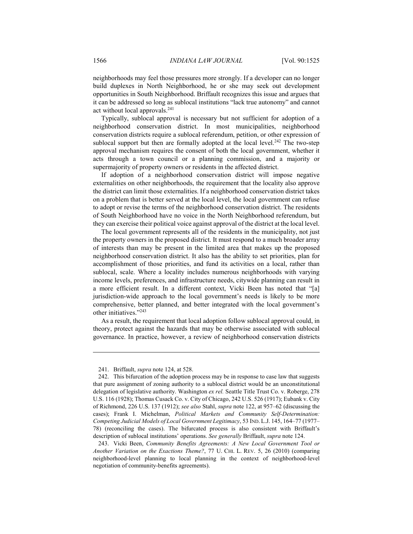neighborhoods may feel those pressures more strongly. If a developer can no longer build duplexes in North Neighborhood, he or she may seek out development opportunities in South Neighborhood. Briffault recognizes this issue and argues that it can be addressed so long as sublocal institutions "lack true autonomy" and cannot act without local approvals.241

Typically, sublocal approval is necessary but not sufficient for adoption of a neighborhood conservation district. In most municipalities, neighborhood conservation districts require a sublocal referendum, petition, or other expression of sublocal support but then are formally adopted at the local level.<sup>242</sup> The two-step approval mechanism requires the consent of both the local government, whether it acts through a town council or a planning commission, and a majority or supermajority of property owners or residents in the affected district.

If adoption of a neighborhood conservation district will impose negative externalities on other neighborhoods, the requirement that the locality also approve the district can limit those externalities. If a neighborhood conservation district takes on a problem that is better served at the local level, the local government can refuse to adopt or revise the terms of the neighborhood conservation district. The residents of South Neighborhood have no voice in the North Neighborhood referendum, but they can exercise their political voice against approval of the district at the local level.

The local government represents all of the residents in the municipality, not just the property owners in the proposed district. It must respond to a much broader array of interests than may be present in the limited area that makes up the proposed neighborhood conservation district. It also has the ability to set priorities, plan for accomplishment of those priorities, and fund its activities on a local, rather than sublocal, scale. Where a locality includes numerous neighborhoods with varying income levels, preferences, and infrastructure needs, citywide planning can result in a more efficient result. In a different context, Vicki Been has noted that "[a] jurisdiction-wide approach to the local government's needs is likely to be more comprehensive, better planned, and better integrated with the local government's other initiatives."243

As a result, the requirement that local adoption follow sublocal approval could, in theory, protect against the hazards that may be otherwise associated with sublocal governance. In practice, however, a review of neighborhood conservation districts

 <sup>241.</sup> Briffault, *supra* note 124, at 528.

 <sup>242.</sup> This bifurcation of the adoption process may be in response to case law that suggests that pure assignment of zoning authority to a sublocal district would be an unconstitutional delegation of legislative authority. Washington *ex rel.* Seattle Title Trust Co. v. Roberge, 278 U.S. 116 (1928); Thomas Cusack Co. v. City of Chicago, 242 U.S. 526 (1917); Eubank v. City of Richmond, 226 U.S. 137 (1912); *see also* Stahl, *supra* note 122, at 957–62 (discussing the cases); Frank I. Michelman, *Political Markets and Community Self-Determination: Competing Judicial Models of Local Government Legitimacy*, 53 IND. L.J. 145, 164–77 (1977– 78) (reconciling the cases). The bifurcated process is also consistent with Briffault's description of sublocal institutions' operations. *See generally* Briffault, *supra* note 124.

 <sup>243.</sup> Vicki Been, *Community Benefits Agreements: A New Local Government Tool or Another Variation on the Exactions Theme?*, 77 U. CHI. L. REV. 5, 26 (2010) (comparing neighborhood-level planning to local planning in the context of neighborhood-level negotiation of community-benefits agreements).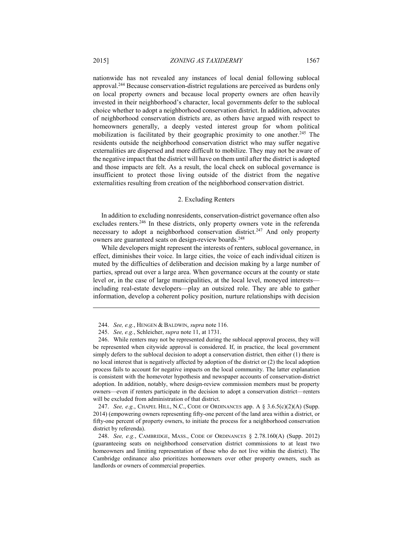nationwide has not revealed any instances of local denial following sublocal approval.244 Because conservation-district regulations are perceived as burdens only on local property owners and because local property owners are often heavily invested in their neighborhood's character, local governments defer to the sublocal choice whether to adopt a neighborhood conservation district. In addition, advocates of neighborhood conservation districts are, as others have argued with respect to homeowners generally, a deeply vested interest group for whom political mobilization is facilitated by their geographic proximity to one another.<sup>245</sup> The residents outside the neighborhood conservation district who may suffer negative externalities are dispersed and more difficult to mobilize. They may not be aware of the negative impact that the district will have on them until after the district is adopted and those impacts are felt. As a result, the local check on sublocal governance is

# 2. Excluding Renters

insufficient to protect those living outside of the district from the negative externalities resulting from creation of the neighborhood conservation district.

In addition to excluding nonresidents, conservation-district governance often also excludes renters.<sup>246</sup> In these districts, only property owners vote in the referenda necessary to adopt a neighborhood conservation district.<sup>247</sup> And only property owners are guaranteed seats on design-review boards.<sup>248</sup>

While developers might represent the interests of renters, sublocal governance, in effect, diminishes their voice. In large cities, the voice of each individual citizen is muted by the difficulties of deliberation and decision making by a large number of parties, spread out over a large area. When governance occurs at the county or state level or, in the case of large municipalities, at the local level, moneyed interests including real-estate developers—play an outsized role. They are able to gather information, develop a coherent policy position, nurture relationships with decision

 247. *See, e.g.*, CHAPEL HILL, N.C., CODE OF ORDINANCES app. A § 3.6.5(c)(2)(A) (Supp. 2014) (empowering owners representing fifty-one percent of the land area within a district, or fifty-one percent of property owners, to initiate the process for a neighborhood conservation district by referenda).

 <sup>244.</sup> *See, e.g.*, HENGEN & BALDWIN, *supra* note 116.

 <sup>245.</sup> *See, e.g.*, Schleicher, *supra* note 11, at 1731.

 <sup>246.</sup> While renters may not be represented during the sublocal approval process, they will be represented when citywide approval is considered. If, in practice, the local government simply defers to the sublocal decision to adopt a conservation district, then either (1) there is no local interest that is negatively affected by adoption of the district or (2) the local adoption process fails to account for negative impacts on the local community. The latter explanation is consistent with the homevoter hypothesis and newspaper accounts of conservation-district adoption. In addition, notably, where design-review commission members must be property owners—even if renters participate in the decision to adopt a conservation district—renters will be excluded from administration of that district.

 <sup>248.</sup> *See, e.g.*, CAMBRIDGE, MASS., CODE OF ORDINANCES § 2.78.160(A) (Supp. 2012) (guaranteeing seats on neighborhood conservation district commissions to at least two homeowners and limiting representation of those who do not live within the district). The Cambridge ordinance also prioritizes homeowners over other property owners, such as landlords or owners of commercial properties.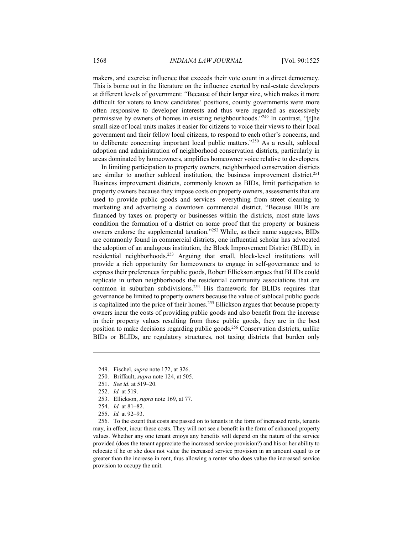makers, and exercise influence that exceeds their vote count in a direct democracy. This is borne out in the literature on the influence exerted by real-estate developers at different levels of government: "Because of their larger size, which makes it more difficult for voters to know candidates' positions, county governments were more often responsive to developer interests and thus were regarded as excessively permissive by owners of homes in existing neighbourhoods."249 In contrast, "[t]he small size of local units makes it easier for citizens to voice their views to their local government and their fellow local citizens, to respond to each other's concerns, and to deliberate concerning important local public matters."250 As a result, sublocal adoption and administration of neighborhood conservation districts, particularly in areas dominated by homeowners, amplifies homeowner voice relative to developers.

In limiting participation to property owners, neighborhood conservation districts are similar to another sublocal institution, the business improvement district.<sup>251</sup> Business improvement districts, commonly known as BIDs, limit participation to property owners because they impose costs on property owners, assessments that are used to provide public goods and services—everything from street cleaning to marketing and advertising a downtown commercial district. "Because BIDs are financed by taxes on property or businesses within the districts, most state laws condition the formation of a district on some proof that the property or business owners endorse the supplemental taxation."252 While, as their name suggests, BIDs are commonly found in commercial districts, one influential scholar has advocated the adoption of an analogous institution, the Block Improvement District (BLID), in residential neighborhoods.253 Arguing that small, block-level institutions will provide a rich opportunity for homeowners to engage in self-governance and to express their preferences for public goods, Robert Ellickson argues that BLIDs could replicate in urban neighborhoods the residential community associations that are common in suburban subdivisions.254 His framework for BLIDs requires that governance be limited to property owners because the value of sublocal public goods is capitalized into the price of their homes.<sup>255</sup> Ellickson argues that because property owners incur the costs of providing public goods and also benefit from the increase in their property values resulting from those public goods, they are in the best position to make decisions regarding public goods.256 Conservation districts, unlike BIDs or BLIDs, are regulatory structures, not taxing districts that burden only

251. *See id.* at 519–20.

- 253. Ellickson, *supra* note 169, at 77.
- 254. *Id.* at 81–82.

 <sup>249.</sup> Fischel, *supra* note 172, at 326.

 <sup>250.</sup> Briffault, *supra* note 124, at 505.

 <sup>252.</sup> *Id.* at 519.

 <sup>255.</sup> *Id.* at 92–93.

 <sup>256.</sup> To the extent that costs are passed on to tenants in the form of increased rents, tenants may, in effect, incur these costs. They will not see a benefit in the form of enhanced property values. Whether any one tenant enjoys any benefits will depend on the nature of the service provided (does the tenant appreciate the increased service provision?) and his or her ability to relocate if he or she does not value the increased service provision in an amount equal to or greater than the increase in rent, thus allowing a renter who does value the increased service provision to occupy the unit.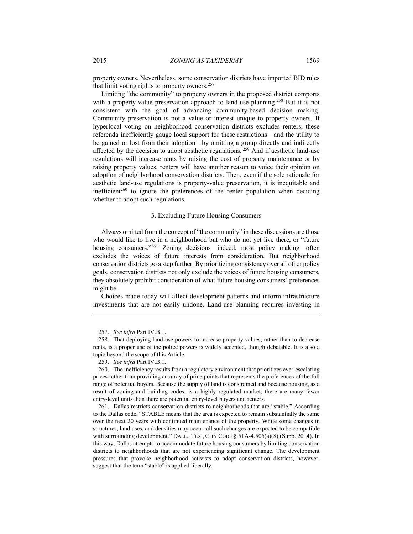property owners. Nevertheless, some conservation districts have imported BID rules that limit voting rights to property owners.257

Limiting "the community" to property owners in the proposed district comports with a property-value preservation approach to land-use planning.<sup>258</sup> But it is not consistent with the goal of advancing community-based decision making. Community preservation is not a value or interest unique to property owners. If hyperlocal voting on neighborhood conservation districts excludes renters, these referenda inefficiently gauge local support for these restrictions—and the utility to be gained or lost from their adoption—by omitting a group directly and indirectly affected by the decision to adopt aesthetic regulations. 259 And if aesthetic land-use regulations will increase rents by raising the cost of property maintenance or by raising property values, renters will have another reason to voice their opinion on adoption of neighborhood conservation districts. Then, even if the sole rationale for aesthetic land-use regulations is property-value preservation, it is inequitable and inefficient<sup>260</sup> to ignore the preferences of the renter population when deciding whether to adopt such regulations.

#### 3. Excluding Future Housing Consumers

Always omitted from the concept of "the community" in these discussions are those who would like to live in a neighborhood but who do not yet live there, or "future housing consumers."<sup>261</sup> Zoning decisions—indeed, most policy making—often excludes the voices of future interests from consideration. But neighborhood conservation districts go a step further. By prioritizing consistency over all other policy goals, conservation districts not only exclude the voices of future housing consumers, they absolutely prohibit consideration of what future housing consumers' preferences might be.

Choices made today will affect development patterns and inform infrastructure investments that are not easily undone. Land-use planning requires investing in

<u>.</u>

 261. Dallas restricts conservation districts to neighborhoods that are "stable." According to the Dallas code, "STABLE means that the area is expected to remain substantially the same over the next 20 years with continued maintenance of the property. While some changes in structures, land uses, and densities may occur, all such changes are expected to be compatible with surrounding development." DALL., TEX., CITY CODE § 51A-4.505(a)(8) (Supp. 2014). In this way, Dallas attempts to accommodate future housing consumers by limiting conservation districts to neighborhoods that are not experiencing significant change. The development pressures that provoke neighborhood activists to adopt conservation districts, however, suggest that the term "stable" is applied liberally.

 <sup>257.</sup> *See infra* Part IV.B.1.

 <sup>258.</sup> That deploying land-use powers to increase property values, rather than to decrease rents, is a proper use of the police powers is widely accepted, though debatable. It is also a topic beyond the scope of this Article.

 <sup>259.</sup> *See infra* Part IV.B.1.

 <sup>260.</sup> The inefficiency results from a regulatory environment that prioritizes ever-escalating prices rather than providing an array of price points that represents the preferences of the full range of potential buyers. Because the supply of land is constrained and because housing, as a result of zoning and building codes, is a highly regulated market, there are many fewer entry-level units than there are potential entry-level buyers and renters.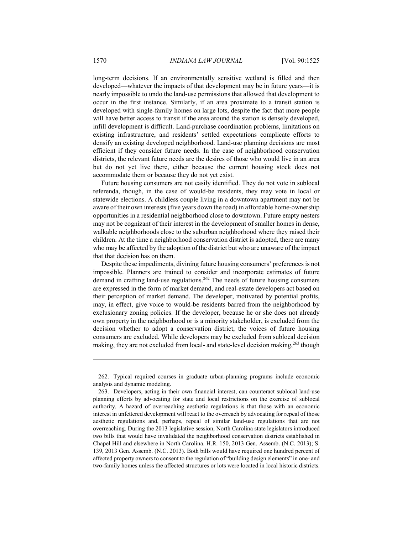long-term decisions. If an environmentally sensitive wetland is filled and then developed—whatever the impacts of that development may be in future years—it is nearly impossible to undo the land-use permissions that allowed that development to occur in the first instance. Similarly, if an area proximate to a transit station is developed with single-family homes on large lots, despite the fact that more people will have better access to transit if the area around the station is densely developed, infill development is difficult. Land-purchase coordination problems, limitations on existing infrastructure, and residents' settled expectations complicate efforts to densify an existing developed neighborhood. Land-use planning decisions are most efficient if they consider future needs. In the case of neighborhood conservation districts, the relevant future needs are the desires of those who would live in an area but do not yet live there, either because the current housing stock does not accommodate them or because they do not yet exist.

Future housing consumers are not easily identified. They do not vote in sublocal referenda, though, in the case of would-be residents, they may vote in local or statewide elections. A childless couple living in a downtown apartment may not be aware of their own interests (five years down the road) in affordable home-ownership opportunities in a residential neighborhood close to downtown. Future empty nesters may not be cognizant of their interest in the development of smaller homes in dense, walkable neighborhoods close to the suburban neighborhood where they raised their children. At the time a neighborhood conservation district is adopted, there are many who may be affected by the adoption of the district but who are unaware of the impact that that decision has on them.

Despite these impediments, divining future housing consumers' preferences is not impossible. Planners are trained to consider and incorporate estimates of future demand in crafting land-use regulations.262 The needs of future housing consumers are expressed in the form of market demand, and real-estate developers act based on their perception of market demand. The developer, motivated by potential profits, may, in effect, give voice to would-be residents barred from the neighborhood by exclusionary zoning policies. If the developer, because he or she does not already own property in the neighborhood or is a minority stakeholder, is excluded from the decision whether to adopt a conservation district, the voices of future housing consumers are excluded. While developers may be excluded from sublocal decision making, they are not excluded from local- and state-level decision making,<sup>263</sup> though

 <sup>262.</sup> Typical required courses in graduate urban-planning programs include economic analysis and dynamic modeling.

 <sup>263.</sup> Developers, acting in their own financial interest, can counteract sublocal land-use planning efforts by advocating for state and local restrictions on the exercise of sublocal authority. A hazard of overreaching aesthetic regulations is that those with an economic interest in unfettered development will react to the overreach by advocating for repeal of those aesthetic regulations and, perhaps, repeal of similar land-use regulations that are not overreaching. During the 2013 legislative session, North Carolina state legislators introduced two bills that would have invalidated the neighborhood conservation districts established in Chapel Hill and elsewhere in North Carolina. H.R. 150, 2013 Gen. Assemb. (N.C. 2013); S. 139, 2013 Gen. Assemb. (N.C. 2013). Both bills would have required one hundred percent of affected property owners to consent to the regulation of "building design elements" in one- and two-family homes unless the affected structures or lots were located in local historic districts.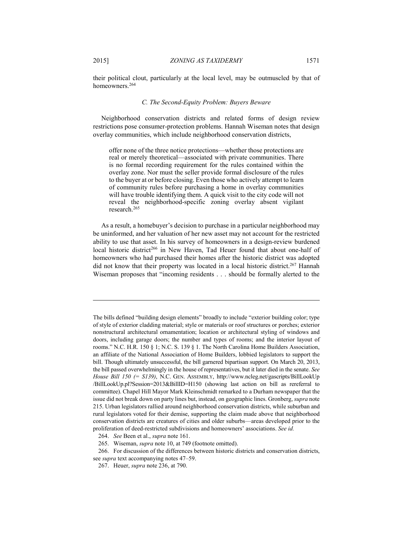their political clout, particularly at the local level, may be outmuscled by that of homeowners.<sup>264</sup>

#### *C. The Second-Equity Problem: Buyers Beware*

Neighborhood conservation districts and related forms of design review restrictions pose consumer-protection problems. Hannah Wiseman notes that design overlay communities, which include neighborhood conservation districts,

offer none of the three notice protections—whether those protections are real or merely theoretical—associated with private communities. There is no formal recording requirement for the rules contained within the overlay zone. Nor must the seller provide formal disclosure of the rules to the buyer at or before closing. Even those who actively attempt to learn of community rules before purchasing a home in overlay communities will have trouble identifying them. A quick visit to the city code will not reveal the neighborhood-specific zoning overlay absent vigilant research.265

As a result, a homebuyer's decision to purchase in a particular neighborhood may be uninformed, and her valuation of her new asset may not account for the restricted ability to use that asset. In his survey of homeowners in a design-review burdened local historic district<sup>266</sup> in New Haven, Tad Heuer found that about one-half of homeowners who had purchased their homes after the historic district was adopted did not know that their property was located in a local historic district.<sup>267</sup> Hannah Wiseman proposes that "incoming residents . . . should be formally alerted to the

The bills defined "building design elements" broadly to include "exterior building color; type of style of exterior cladding material; style or materials or roof structures or porches; exterior nonstructural architectural ornamentation; location or architectural styling of windows and doors, including garage doors; the number and types of rooms; and the interior layout of rooms." N.C. H.R. 150 § 1; N.C. S. 139 § 1. The North Carolina Home Builders Association, an affiliate of the National Association of Home Builders, lobbied legislators to support the bill. Though ultimately unsuccessful, the bill garnered bipartisan support. On March 20, 2013, the bill passed overwhelmingly in the house of representatives, but it later died in the senate. *See House Bill 150 (= S139)*, N.C. GEN. ASSEMBLY, http://www.ncleg.net/gascripts/BillLookUp /BillLookUp.pl?Session=2013&BillID=H150 (showing last action on bill as rereferral to committee). Chapel Hill Mayor Mark Kleinschmidt remarked to a Durham newspaper that the issue did not break down on party lines but, instead, on geographic lines. Gronberg, *supra* note 215. Urban legislators rallied around neighborhood conservation districts, while suburban and rural legislators voted for their demise, supporting the claim made above that neighborhood conservation districts are creatures of cities and older suburbs—areas developed prior to the proliferation of deed-restricted subdivisions and homeowners' associations. *See id.*

 <sup>264.</sup> *See* Been et al., *supra* note 161.

 <sup>265.</sup> Wiseman, *supra* note 10, at 749 (footnote omitted).

 <sup>266.</sup> For discussion of the differences between historic districts and conservation districts, see *supra* text accompanying notes 47–59.

 <sup>267.</sup> Heuer, *supra* note 236, at 790.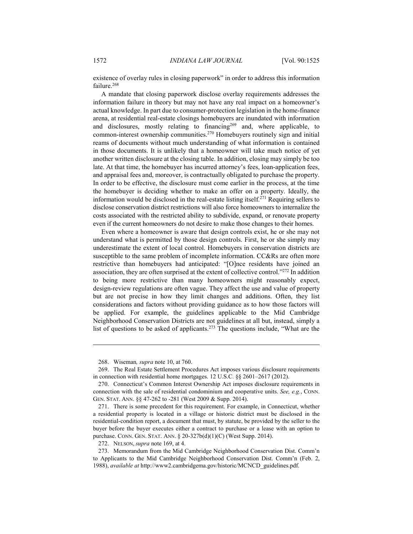existence of overlay rules in closing paperwork" in order to address this information failure.<sup>268</sup>

A mandate that closing paperwork disclose overlay requirements addresses the information failure in theory but may not have any real impact on a homeowner's actual knowledge. In part due to consumer-protection legislation in the home-finance arena, at residential real-estate closings homebuyers are inundated with information and disclosures, mostly relating to financing269 and, where applicable, to common-interest ownership communities.270 Homebuyers routinely sign and initial reams of documents without much understanding of what information is contained in those documents. It is unlikely that a homeowner will take much notice of yet another written disclosure at the closing table. In addition, closing may simply be too late. At that time, the homebuyer has incurred attorney's fees, loan-application fees, and appraisal fees and, moreover, is contractually obligated to purchase the property. In order to be effective, the disclosure must come earlier in the process, at the time the homebuyer is deciding whether to make an offer on a property. Ideally, the information would be disclosed in the real-estate listing itself.271 Requiring sellers to disclose conservation district restrictions will also force homeowners to internalize the costs associated with the restricted ability to subdivide, expand, or renovate property even if the current homeowners do not desire to make those changes to their homes.

Even where a homeowner is aware that design controls exist, he or she may not understand what is permitted by those design controls. First, he or she simply may underestimate the extent of local control. Homebuyers in conservation districts are susceptible to the same problem of incomplete information. CC&Rs are often more restrictive than homebuyers had anticipated: "[O]nce residents have joined an association, they are often surprised at the extent of collective control."272 In addition to being more restrictive than many homeowners might reasonably expect, design-review regulations are often vague. They affect the use and value of property but are not precise in how they limit changes and additions. Often, they list considerations and factors without providing guidance as to how those factors will be applied. For example, the guidelines applicable to the Mid Cambridge Neighborhood Conservation Districts are not guidelines at all but, instead, simply a list of questions to be asked of applicants.273 The questions include, "What are the

 <sup>268.</sup> Wiseman*, supra* note 10, at 760.

 <sup>269.</sup> The Real Estate Settlement Procedures Act imposes various disclosure requirements in connection with residential home mortgages. 12 U.S.C. §§ 2601–2617 (2012).

 <sup>270.</sup> Connecticut's Common Interest Ownership Act imposes disclosure requirements in connection with the sale of residential condominium and cooperative units. *See, e.g.*, CONN. GEN. STAT. ANN. §§ 47-262 to -281 (West 2009 & Supp. 2014).

 <sup>271.</sup> There is some precedent for this requirement. For example, in Connecticut, whether a residential property is located in a village or historic district must be disclosed in the residential-condition report, a document that must, by statute, be provided by the seller to the buyer before the buyer executes either a contract to purchase or a lease with an option to purchase. CONN. GEN. STAT. ANN. § 20-327b(d)(1)(C) (West Supp. 2014).

 <sup>272.</sup> NELSON, *supra* note 169, at 4.

 <sup>273.</sup> Memorandum from the Mid Cambridge Neighborhood Conservation Dist. Comm'n to Applicants to the Mid Cambridge Neighborhood Conservation Dist. Comm'n (Feb. 2, 1988), *available at* http://www2.cambridgema.gov/historic/MCNCD\_guidelines.pdf.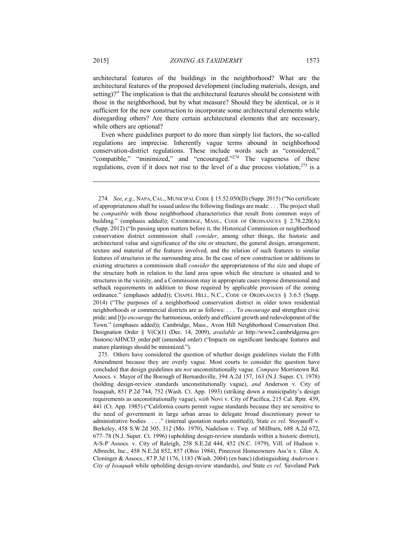architectural features of the buildings in the neighborhood? What are the architectural features of the proposed development (including materials, design, and setting)?" The implication is that the architectural features should be consistent with those in the neighborhood, but by what measure? Should they be identical, or is it sufficient for the new construction to incorporate some architectural elements while disregarding others? Are there certain architectural elements that are necessary, while others are optional?

Even where guidelines purport to do more than simply list factors, the so-called regulations are imprecise. Inherently vague terms abound in neighborhood conservation-district regulations. These include words such as "considered," "compatible," "minimized," and "encouraged."<sup>274</sup> The vagueness of these regulations, even if it does not rise to the level of a due process violation,275 is a

 <sup>274.</sup> *See, e.g.*, NAPA, CAL., MUNICIPAL CODE § 15.52.050(D) (Supp. 2015) ("No certificate of appropriateness shall be issued unless the following findings are made: . . . The project shall be *compatible* with those neighborhood characteristics that result from common ways of building." (emphasis added)); CAMBRIDGE, MASS., CODE OF ORDINANCES § 2.78.220(A) (Supp. 2012) ("In passing upon matters before it, the Historical Commission or neighborhood conservation district commission shall *consider*, among other things, the historic and architectural value and significance of the site or structure, the general design, arrangement, texture and material of the features involved, and the relation of such features to similar features of structures in the surrounding area. In the case of new construction or additions to existing structures a commission shall *consider* the appropriateness of the size and shape of the structure both in relation to the land area upon which the structure is situated and to structures in the vicinity, and a Commission may in appropriate cases impose dimensional and setback requirements in addition to those required by applicable provision of the zoning ordinance." (emphases added)); CHAPEL HILL, N.C., CODE OF ORDINANCES § 3.6.5 (Supp. 2014) ("The purposes of a neighborhood conservation district in older town residential neighborhoods or commercial districts are as follows: . . . To *encourage* and strengthen civic pride; and [t]o *encourage* the harmonious, orderly and efficient growth and redevelopment of the Town." (emphases added)); Cambridge, Mass., Avon Hill Neighborhood Conservation Dist. Designation Order § V(C)(1) (Dec. 14, 2009), *available at* http://www2.cambridgema.gov /historic/AHNCD\_order.pdf (amended order) ("Impacts on significant landscape features and mature plantings should be minimized.").

 <sup>275.</sup> Others have considered the question of whether design guidelines violate the Fifth Amendment because they are overly vague. Most courts to consider the question have concluded that design guidelines are *not* unconstitutionally vague. *Compare* Morristown Rd. Assocs. v. Mayor of the Borough of Bernardsville, 394 A.2d 157, 163 (N.J. Super. Ct. 1978) (holding design-review standards unconstitutionally vague), *and* Anderson v. City of Issaquah, 851 P.2d 744, 752 (Wash. Ct. App. 1993) (striking down a municipality's design requirements as unconstitutionally vague), *with* Novi v. City of Pacifica, 215 Cal. Rptr. 439, 441 (Ct. App. 1985) ("California courts permit vague standards because they are sensitive to the need of government in large urban areas to delegate broad discretionary power to administrative bodies . . . ." (internal quotation marks omitted)), State *ex rel.* Stoyanoff v. Berkeley, 458 S.W.2d 305, 312 (Mo. 1970), Nadelson v. Twp. of Millburn, 688 A.2d 672, 677–78 (N.J. Super. Ct. 1996) (upholding design-review standards within a historic district), A-S-P Assocs. v. City of Raleigh, 258 S.E.2d 444, 452 (N.C. 1979), Vill. of Hudson v. Albrecht, Inc., 458 N.E.2d 852, 857 (Ohio 1984), Pinecrest Homeowners Ass'n v. Glen A. Cloninger & Assocs., 87 P.3d 1176, 1183 (Wash. 2004) (en banc) (distinguishing *Anderson v. City of Issaquah* while upholding design-review standards), *and* State *ex rel.* Saveland Park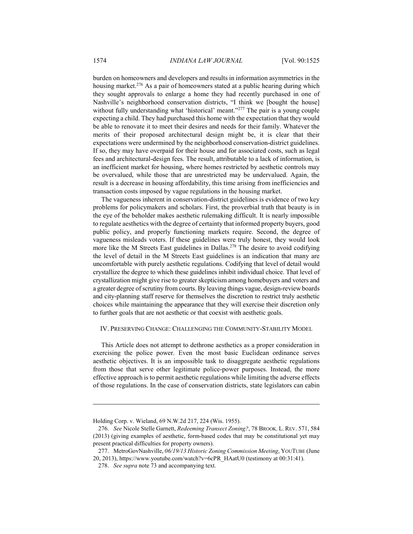burden on homeowners and developers and results in information asymmetries in the housing market.<sup>276</sup> As a pair of homeowners stated at a public hearing during which they sought approvals to enlarge a home they had recently purchased in one of Nashville's neighborhood conservation districts, "I think we [bought the house] without fully understanding what 'historical' meant."<sup>277</sup> The pair is a young couple expecting a child. They had purchased this home with the expectation that they would be able to renovate it to meet their desires and needs for their family. Whatever the merits of their proposed architectural design might be, it is clear that their expectations were undermined by the neighborhood conservation-district guidelines. If so, they may have overpaid for their house and for associated costs, such as legal fees and architectural-design fees. The result, attributable to a lack of information, is an inefficient market for housing, where homes restricted by aesthetic controls may be overvalued, while those that are unrestricted may be undervalued. Again, the result is a decrease in housing affordability, this time arising from inefficiencies and transaction costs imposed by vague regulations in the housing market.

The vagueness inherent in conservation-district guidelines is evidence of two key problems for policymakers and scholars. First, the proverbial truth that beauty is in the eye of the beholder makes aesthetic rulemaking difficult. It is nearly impossible to regulate aesthetics with the degree of certainty that informed property buyers, good public policy, and properly functioning markets require. Second, the degree of vagueness misleads voters. If these guidelines were truly honest, they would look more like the M Streets East guidelines in Dallas.<sup>278</sup> The desire to avoid codifying the level of detail in the M Streets East guidelines is an indication that many are uncomfortable with purely aesthetic regulations. Codifying that level of detail would crystallize the degree to which these guidelines inhibit individual choice. That level of crystallization might give rise to greater skepticism among homebuyers and voters and a greater degree of scrutiny from courts. By leaving things vague, design-review boards and city-planning staff reserve for themselves the discretion to restrict truly aesthetic choices while maintaining the appearance that they will exercise their discretion only to further goals that are not aesthetic or that coexist with aesthetic goals.

# IV. PRESERVING CHANGE: CHALLENGING THE COMMUNITY-STABILITY MODEL

This Article does not attempt to dethrone aesthetics as a proper consideration in exercising the police power. Even the most basic Euclidean ordinance serves aesthetic objectives. It is an impossible task to disaggregate aesthetic regulations from those that serve other legitimate police-power purposes. Instead, the more effective approach is to permit aesthetic regulations while limiting the adverse effects of those regulations. In the case of conservation districts, state legislators can cabin

Holding Corp. v. Wieland, 69 N.W.2d 217, 224 (Wis. 1955).

 <sup>276.</sup> *See* Nicole Stelle Garnett, *Redeeming Transect Zoning?*, 78 BROOK. L. REV. 571, 584 (2013) (giving examples of aesthetic, form-based codes that may be constitutional yet may present practical difficulties for property owners).

 <sup>277.</sup> MetroGovNashville, *06/19/13 Historic Zoning Commission Meeting*, YOUTUBE (June 20, 2013), https://www.youtube.com/watch?v=6cPR\_HAatU0 (testimony at 00:31:41).

 <sup>278.</sup> *See supra* note 73 and accompanying text.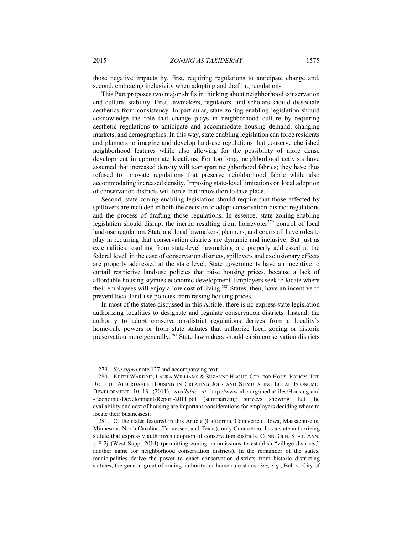those negative impacts by, first, requiring regulations to anticipate change and, second, embracing inclusivity when adopting and drafting regulations.

This Part proposes two major shifts in thinking about neighborhood conservation and cultural stability. First, lawmakers, regulators, and scholars should dissociate aesthetics from consistency. In particular, state zoning-enabling legislation should acknowledge the role that change plays in neighborhood culture by requiring aesthetic regulations to anticipate and accommodate housing demand, changing markets, and demographics. In this way, state enabling legislation can force residents and planners to imagine and develop land-use regulations that conserve cherished neighborhood features while also allowing for the possibility of more dense development in appropriate locations. For too long, neighborhood activists have assumed that increased density will tear apart neighborhood fabrics; they have thus refused to innovate regulations that preserve neighborhood fabric while also accommodating increased density. Imposing state-level limitations on local adoption of conservation districts will force that innovation to take place.

Second, state zoning-enabling legislation should require that those affected by spillovers are included in both the decision to adopt conservation-district regulations and the process of drafting those regulations. In essence, state zoning-enabling legislation should disrupt the inertia resulting from homevoter<sup>279</sup> control of local land-use regulation. State and local lawmakers, planners, and courts all have roles to play in requiring that conservation districts are dynamic and inclusive. But just as externalities resulting from state-level lawmaking are properly addressed at the federal level, in the case of conservation districts, spillovers and exclusionary effects are properly addressed at the state level. State governments have an incentive to curtail restrictive land-use policies that raise housing prices, because a lack of affordable housing stymies economic development. Employers seek to locate where their employees will enjoy a low cost of living.<sup>280</sup> States, then, have an incentive to prevent local land-use policies from raising housing prices.

In most of the states discussed in this Article, there is no express state legislation authorizing localities to designate and regulate conservation districts. Instead, the authority to adopt conservation-district regulations derives from a locality's home-rule powers or from state statutes that authorize local zoning or historic preservation more generally.281 State lawmakers should cabin conservation districts

 <sup>279.</sup> *See supra* note 127 and accompanying text.

 <sup>280.</sup> KEITH WARDRIP, LAURA WILLIAMS & SUZANNE HAGUE, CTR. FOR HOUS. POLICY, THE ROLE OF AFFORDABLE HOUSING IN CREATING JOBS AND STIMULATING LOCAL ECONOMIC DEVELOPMENT 10–13 (2011), *available at* http://www.nhc.org/media/files/Housing-and -Economic-Development-Report-2011.pdf (summarizing surveys showing that the availability and cost of housing are important considerations for employers deciding where to locate their businesses).

 <sup>281.</sup> Of the states featured in this Article (California, Connecticut, Iowa, Massachusetts, Minnesota, North Carolina, Tennessee, and Texas), only Connecticut has a state authorizing statute that expressly authorizes adoption of conservation districts. CONN. GEN. STAT. ANN. § 8-2j (West Supp. 2014) (permitting zoning commissions to establish "village districts," another name for neighborhood conservation districts). In the remainder of the states, municipalities derive the power to enact conservation districts from historic districting statutes, the general grant of zoning authority, or home-rule status. *See, e.g.*, Bell v. City of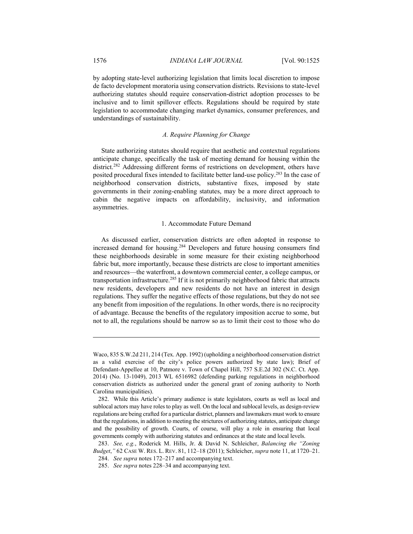by adopting state-level authorizing legislation that limits local discretion to impose de facto development moratoria using conservation districts. Revisions to state-level authorizing statutes should require conservation-district adoption processes to be inclusive and to limit spillover effects. Regulations should be required by state legislation to accommodate changing market dynamics, consumer preferences, and understandings of sustainability.

# *A. Require Planning for Change*

State authorizing statutes should require that aesthetic and contextual regulations anticipate change, specifically the task of meeting demand for housing within the district.282 Addressing different forms of restrictions on development, others have posited procedural fixes intended to facilitate better land-use policy.283 In the case of neighborhood conservation districts, substantive fixes, imposed by state governments in their zoning-enabling statutes, may be a more direct approach to cabin the negative impacts on affordability, inclusivity, and information asymmetries.

#### 1. Accommodate Future Demand

As discussed earlier, conservation districts are often adopted in response to increased demand for housing.284 Developers and future housing consumers find these neighborhoods desirable in some measure for their existing neighborhood fabric but, more importantly, because these districts are close to important amenities and resources—the waterfront, a downtown commercial center, a college campus, or transportation infrastructure.285 If it is not primarily neighborhood fabric that attracts new residents, developers and new residents do not have an interest in design regulations. They suffer the negative effects of those regulations, but they do not see any benefit from imposition of the regulations. In other words, there is no reciprocity of advantage. Because the benefits of the regulatory imposition accrue to some, but not to all, the regulations should be narrow so as to limit their cost to those who do

Waco, 835 S.W.2d 211, 214 (Tex. App. 1992) (upholding a neighborhood conservation district as a valid exercise of the city's police powers authorized by state law); Brief of Defendant-Appellee at 10, Patmore v. Town of Chapel Hill, 757 S.E.2d 302 (N.C. Ct. App. 2014) (No. 13-1049), 2013 WL 6516982 (defending parking regulations in neighborhood conservation districts as authorized under the general grant of zoning authority to North Carolina municipalities).

 <sup>282.</sup> While this Article's primary audience is state legislators, courts as well as local and sublocal actors may have roles to play as well. On the local and sublocal levels, as design-review regulations are being crafted for a particular district, planners and lawmakers must work to ensure that the regulations, in addition to meeting the strictures of authorizing statutes, anticipate change and the possibility of growth. Courts, of course, will play a role in ensuring that local governments comply with authorizing statutes and ordinances at the state and local levels.

 <sup>283.</sup> *See, e.g.*, Roderick M. Hills, Jr. & David N. Schleicher, *Balancing the "Zoning Budget*,*"* 62 CASE W. RES. L. REV. 81, 112–18 (2011); Schleicher, *supra* note 11, at 1720–21.

 <sup>284.</sup> *See supra* notes 172–217 and accompanying text.

 <sup>285.</sup> *See supra* notes 228–34 and accompanying text.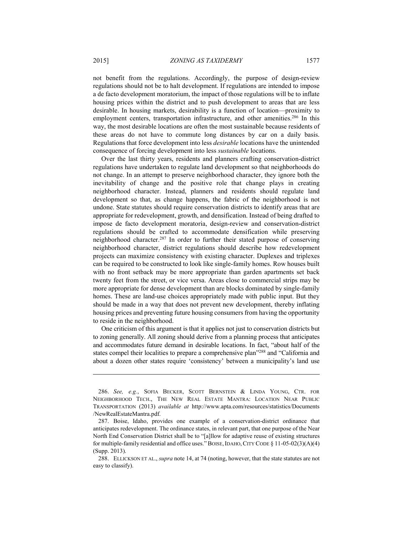not benefit from the regulations. Accordingly, the purpose of design-review regulations should not be to halt development. If regulations are intended to impose a de facto development moratorium, the impact of those regulations will be to inflate housing prices within the district and to push development to areas that are less desirable. In housing markets, desirability is a function of location—proximity to employment centers, transportation infrastructure, and other amenities.<sup>286</sup> In this way, the most desirable locations are often the most sustainable because residents of these areas do not have to commute long distances by car on a daily basis. Regulations that force development into less *desirable* locations have the unintended consequence of forcing development into less *sustainable* locations.

Over the last thirty years, residents and planners crafting conservation-district regulations have undertaken to regulate land development so that neighborhoods do not change. In an attempt to preserve neighborhood character, they ignore both the inevitability of change and the positive role that change plays in creating neighborhood character. Instead, planners and residents should regulate land development so that, as change happens, the fabric of the neighborhood is not undone. State statutes should require conservation districts to identify areas that are appropriate for redevelopment, growth, and densification. Instead of being drafted to impose de facto development moratoria, design-review and conservation-district regulations should be crafted to accommodate densification while preserving neighborhood character.287 In order to further their stated purpose of conserving neighborhood character, district regulations should describe how redevelopment projects can maximize consistency with existing character. Duplexes and triplexes can be required to be constructed to look like single-family homes. Row houses built with no front setback may be more appropriate than garden apartments set back twenty feet from the street, or vice versa. Areas close to commercial strips may be more appropriate for dense development than are blocks dominated by single-family homes. These are land-use choices appropriately made with public input. But they should be made in a way that does not prevent new development, thereby inflating housing prices and preventing future housing consumers from having the opportunity to reside in the neighborhood.

One criticism of this argument is that it applies not just to conservation districts but to zoning generally. All zoning should derive from a planning process that anticipates and accommodates future demand in desirable locations. In fact, "about half of the states compel their localities to prepare a comprehensive plan"288 and "California and about a dozen other states require 'consistency' between a municipality's land use

 <sup>286.</sup> *See, e.g.*, SOFIA BECKER, SCOTT BERNSTEIN & LINDA YOUNG, CTR. FOR NEIGHBORHOOD TECH., THE NEW REAL ESTATE MANTRA: LOCATION NEAR PUBLIC TRANSPORTATION (2013) *available at* http://www.apta.com/resources/statistics/Documents /NewRealEstateMantra.pdf.

 <sup>287.</sup> Boise, Idaho, provides one example of a conservation-district ordinance that anticipates redevelopment. The ordinance states, in relevant part, that one purpose of the Near North End Conservation District shall be to "[a]llow for adaptive reuse of existing structures for multiple-family residential and office uses." BOISE, IDAHO, CITY CODE  $\S$  11-05-02(3)(A)(4) (Supp. 2013).

 <sup>288.</sup> ELLICKSON ET AL., *supra* note 14, at 74 (noting, however, that the state statutes are not easy to classify).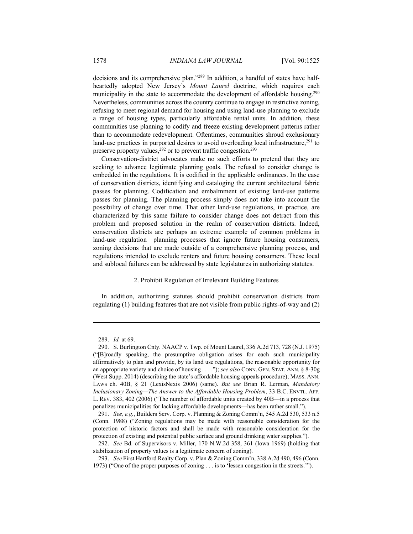decisions and its comprehensive plan."289 In addition, a handful of states have halfheartedly adopted New Jersey's *Mount Laurel* doctrine, which requires each municipality in the state to accommodate the development of affordable housing.<sup>290</sup> Nevertheless, communities across the country continue to engage in restrictive zoning, refusing to meet regional demand for housing and using land-use planning to exclude a range of housing types, particularly affordable rental units. In addition, these communities use planning to codify and freeze existing development patterns rather than to accommodate redevelopment. Oftentimes, communities shroud exclusionary land-use practices in purported desires to avoid overloading local infrastructure,<sup>291</sup> to preserve property values,<sup>292</sup> or to prevent traffic congestion.<sup>293</sup>

Conservation-district advocates make no such efforts to pretend that they are seeking to advance legitimate planning goals. The refusal to consider change is embedded in the regulations. It is codified in the applicable ordinances. In the case of conservation districts, identifying and cataloging the current architectural fabric passes for planning. Codification and embalmment of existing land-use patterns passes for planning. The planning process simply does not take into account the possibility of change over time. That other land-use regulations, in practice, are characterized by this same failure to consider change does not detract from this problem and proposed solution in the realm of conservation districts. Indeed, conservation districts are perhaps an extreme example of common problems in land-use regulation—planning processes that ignore future housing consumers, zoning decisions that are made outside of a comprehensive planning process, and regulations intended to exclude renters and future housing consumers. These local and sublocal failures can be addressed by state legislatures in authorizing statutes.

## 2. Prohibit Regulation of Irrelevant Building Features

In addition, authorizing statutes should prohibit conservation districts from regulating (1) building features that are not visible from public rights-of-way and (2)

 <sup>289.</sup> *Id.* at 69.

 <sup>290.</sup> S. Burlington Cnty. NAACP v. Twp. of Mount Laurel, 336 A.2d 713, 728 (N.J. 1975) ("[B]roadly speaking, the presumptive obligation arises for each such municipality affirmatively to plan and provide, by its land use regulations, the reasonable opportunity for an appropriate variety and choice of housing . . . ."); *see also* CONN. GEN. STAT. ANN. § 8-30g (West Supp. 2014) (describing the state's affordable housing appeals procedure); MASS. ANN. LAWS ch. 40B, § 21 (LexisNexis 2006) (same). *But see* Brian R. Lerman, *Mandatory Inclusionary Zoning—The Answer to the Affordable Housing Problem*, 33 B.C. ENVTL. AFF. L. REV. 383, 402 (2006) ("The number of affordable units created by 40B—in a process that penalizes municipalities for lacking affordable developments—has been rather small.").

 <sup>291.</sup> *See, e.g.*, Builders Serv. Corp. v. Planning & Zoning Comm'n, 545 A.2d 530, 533 n.5 (Conn. 1988) ("Zoning regulations may be made with reasonable consideration for the protection of historic factors and shall be made with reasonable consideration for the protection of existing and potential public surface and ground drinking water supplies.").

 <sup>292.</sup> *See* Bd. of Supervisors v. Miller, 170 N.W.2d 358, 361 (Iowa 1969) (holding that stabilization of property values is a legitimate concern of zoning).

 <sup>293.</sup> *See* First Hartford Realty Corp. v. Plan & Zoning Comm'n, 338 A.2d 490, 496 (Conn. 1973) ("One of the proper purposes of zoning . . . is to 'lessen congestion in the streets.'").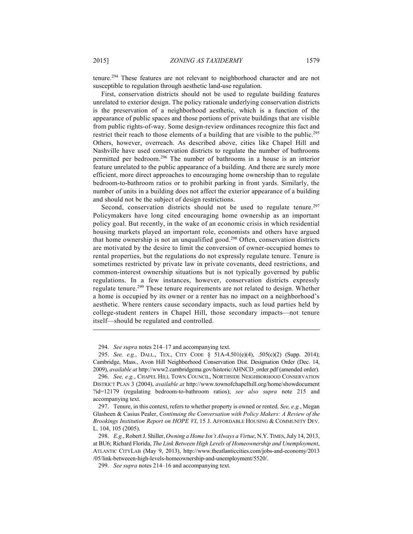tenure.294 These features are not relevant to neighborhood character and are not susceptible to regulation through aesthetic land-use regulation.

First, conservation districts should not be used to regulate building features unrelated to exterior design. The policy rationale underlying conservation districts is the preservation of a neighborhood aesthetic, which is a function of the appearance of public spaces and those portions of private buildings that are visible from public rights-of-way. Some design-review ordinances recognize this fact and restrict their reach to those elements of a building that are visible to the public.<sup>295</sup> Others, however, overreach. As described above, cities like Chapel Hill and Nashville have used conservation districts to regulate the number of bathrooms permitted per bedroom.296 The number of bathrooms in a house is an interior feature unrelated to the public appearance of a building. And there are surely more efficient, more direct approaches to encouraging home ownership than to regulate bedroom-to-bathroom ratios or to prohibit parking in front yards. Similarly, the number of units in a building does not affect the exterior appearance of a building and should not be the subject of design restrictions.

Second, conservation districts should not be used to regulate tenure.<sup>297</sup> Policymakers have long cited encouraging home ownership as an important policy goal. But recently, in the wake of an economic crisis in which residential housing markets played an important role, economists and others have argued that home ownership is not an unqualified good.298 Often, conservation districts are motivated by the desire to limit the conversion of owner-occupied homes to rental properties, but the regulations do not expressly regulate tenure. Tenure is sometimes restricted by private law in private covenants, deed restrictions, and common-interest ownership situations but is not typically governed by public regulations. In a few instances, however, conservation districts expressly regulate tenure.299 These tenure requirements are not related to design. Whether a home is occupied by its owner or a renter has no impact on a neighborhood's aesthetic. Where renters cause secondary impacts, such as loud parties held by college-student renters in Chapel Hill, those secondary impacts—not tenure itself—should be regulated and controlled.

 <sup>294.</sup> *See supra* notes 214–17 and accompanying text.

 <sup>295.</sup> *See, e.g.*, DALL., TEX., CITY CODE § 51A-4.501(e)(4), .505(c)(2) (Supp. 2014); Cambridge, Mass., Avon Hill Neighborhood Conservation Dist. Designation Order (Dec. 14, 2009), *available at* http://www2.cambridgema.gov/historic/AHNCD\_order.pdf (amended order).

 <sup>296.</sup> *See, e.g.*, CHAPEL HILL TOWN COUNCIL, NORTHSIDE NEIGHBORHOOD CONSERVATION DISTRICT PLAN 3 (2004), *available at* http://www.townofchapelhill.org/home/showdocument ?id=12179 (regulating bedroom-to-bathroom ratios); *see also supra* note 215 and accompanying text.

 <sup>297.</sup> Tenure, in this context, refers to whether property is owned or rented. *See, e.g.*, Megan Glasheen & Casius Pealer, *Continuing the Conversation with Policy Makers: A Review of the Brookings Institution Report on HOPE VI*, 15 J. AFFORDABLE HOUSING & COMMUNITY DEV. L. 104, 105 (2005).

 <sup>298.</sup> *E.g.*, Robert J. Shiller, *Owning a Home Isn't Always a Virtue*, N.Y.TIMES, July 14, 2013, at BU6; Richard Florida, *The Link Between High Levels of Homeownership and Unemployment*, ATLANTIC CITYLAB (May 9, 2013), http://www.theatlanticcities.com/jobs-and-economy/2013 /05/link-betweeen-high-levels-homeownership-and-unemployment/5520/.

 <sup>299.</sup> *See supra* notes 214–16 and accompanying text.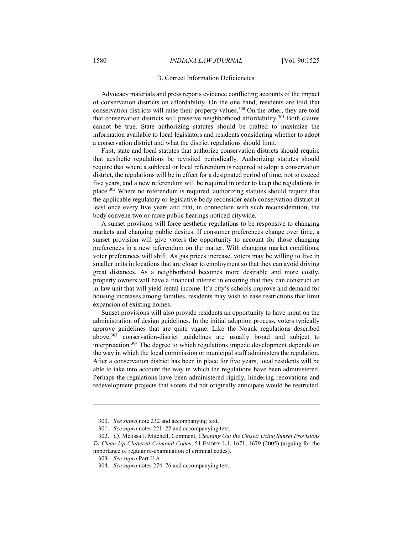#### 3. Correct Information Deficiencies

Advocacy materials and press reports evidence conflicting accounts of the impact of conservation districts on affordability. On the one hand, residents are told that conservation districts will raise their property values.<sup>300</sup> On the other, they are told that conservation districts will preserve neighborhood affordability.<sup>301</sup> Both claims cannot be true. State authorizing statutes should be crafted to maximize the information available to local legislators and residents considering whether to adopt a conservation district and what the district regulations should limit.

First, state and local statutes that authorize conservation districts should require that aesthetic regulations be revisited periodically. Authorizing statutes should require that where a sublocal or local referendum is required to adopt a conservation district, the regulations will be in effect for a designated period of time, not to exceed five years, and a new referendum will be required in order to keep the regulations in place.302 Where no referendum is required, authorizing statutes should require that the applicable regulatory or legislative body reconsider each conservation district at least once every five years and that, in connection with such reconsideration, the body convene two or more public hearings noticed citywide.

A sunset provision will force aesthetic regulations to be responsive to changing markets and changing public desires. If consumer preferences change over time, a sunset provision will give voters the opportunity to account for those changing preferences in a new referendum on the matter. With changing market conditions, voter preferences will shift. As gas prices increase, voters may be willing to live in smaller units in locations that are closer to employment so that they can avoid driving great distances. As a neighborhood becomes more desirable and more costly, property owners will have a financial interest in ensuring that they can construct an in-law unit that will yield rental income. If a city's schools improve and demand for housing increases among families, residents may wish to ease restrictions that limit expansion of existing homes.

Sunset provisions will also provide residents an opportunity to have input on the administration of design guidelines. In the initial adoption process, voters typically approve guidelines that are quite vague. Like the Noank regulations described above,303 conservation-district guidelines are usually broad and subject to interpretation.304 The degree to which regulations impede development depends on the way in which the local commission or municipal staff administers the regulation. After a conservation district has been in place for five years, local residents will be able to take into account the way in which the regulations have been administered. Perhaps the regulations have been administered rigidly, hindering renovations and redevelopment projects that voters did not originally anticipate would be restricted.

 <sup>300.</sup> *See supra* note 232 and accompanying text.

 <sup>301.</sup> *See supra* notes 221–22 and accompanying text.

 <sup>302.</sup> *Cf.* Melissa J. Mitchell, Comment, *Cleaning Out the Closet: Using Sunset Provisions To Clean Up Cluttered Criminal Codes*, 54 EMORY L.J. 1671, 1679 (2005) (arguing for the importance of regular re-examination of criminal codes).

 <sup>303.</sup> *See supra* Part II.A.

 <sup>304.</sup> *See supra* notes 274–76 and accompanying text.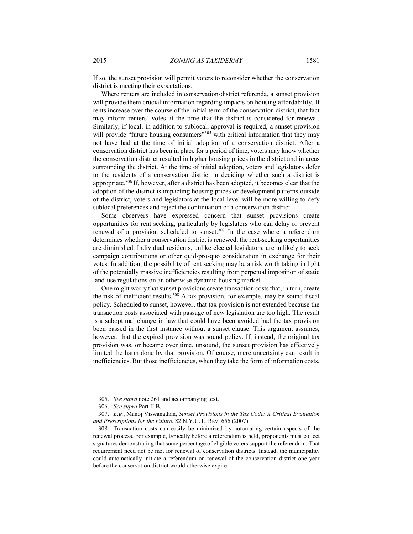If so, the sunset provision will permit voters to reconsider whether the conservation district is meeting their expectations.

Where renters are included in conservation-district referenda, a sunset provision will provide them crucial information regarding impacts on housing affordability. If rents increase over the course of the initial term of the conservation district, that fact may inform renters' votes at the time that the district is considered for renewal. Similarly, if local, in addition to sublocal, approval is required, a sunset provision will provide "future housing consumers"<sup>305</sup> with critical information that they may not have had at the time of initial adoption of a conservation district. After a conservation district has been in place for a period of time, voters may know whether the conservation district resulted in higher housing prices in the district and in areas surrounding the district. At the time of initial adoption, voters and legislators defer to the residents of a conservation district in deciding whether such a district is appropriate.306 If, however, after a district has been adopted, it becomes clear that the adoption of the district is impacting housing prices or development patterns outside of the district, voters and legislators at the local level will be more willing to defy sublocal preferences and reject the continuation of a conservation district.

Some observers have expressed concern that sunset provisions create opportunities for rent seeking, particularly by legislators who can delay or prevent renewal of a provision scheduled to sunset.<sup>307</sup> In the case where a referendum determines whether a conservation district is renewed, the rent-seeking opportunities are diminished. Individual residents, unlike elected legislators, are unlikely to seek campaign contributions or other quid-pro-quo consideration in exchange for their votes. In addition, the possibility of rent seeking may be a risk worth taking in light of the potentially massive inefficiencies resulting from perpetual imposition of static land-use regulations on an otherwise dynamic housing market.

One might worry that sunset provisions create transaction costs that, in turn, create the risk of inefficient results.308 A tax provision, for example, may be sound fiscal policy. Scheduled to sunset, however, that tax provision is not extended because the transaction costs associated with passage of new legislation are too high. The result is a suboptimal change in law that could have been avoided had the tax provision been passed in the first instance without a sunset clause. This argument assumes, however, that the expired provision was sound policy. If, instead, the original tax provision was, or became over time, unsound, the sunset provision has effectively limited the harm done by that provision. Of course, mere uncertainty can result in inefficiencies. But those inefficiencies, when they take the form of information costs,

 <sup>305.</sup> *See supra* note 261 and accompanying text.

 <sup>306.</sup> *See supra* Part II.B.

 <sup>307.</sup> *E.g.*, Manoj Viswanathan, *Sunset Provisions in the Tax Code: A Critical Evaluation and Prescriptions for the Future*, 82 N.Y.U. L. REV. 656 (2007).

 <sup>308.</sup> Transaction costs can easily be minimized by automating certain aspects of the renewal process. For example, typically before a referendum is held, proponents must collect signatures demonstrating that some percentage of eligible voters support the referendum. That requirement need not be met for renewal of conservation districts. Instead, the municipality could automatically initiate a referendum on renewal of the conservation district one year before the conservation district would otherwise expire.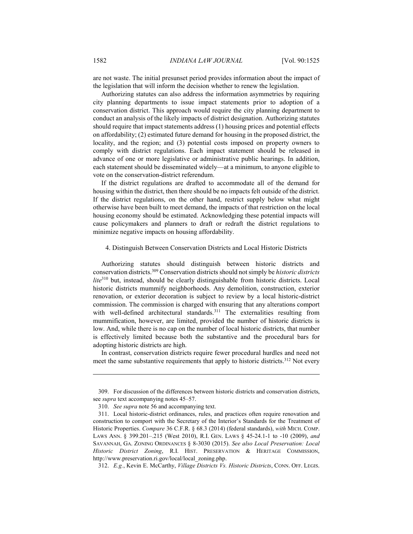are not waste. The initial presunset period provides information about the impact of the legislation that will inform the decision whether to renew the legislation.

Authorizing statutes can also address the information asymmetries by requiring city planning departments to issue impact statements prior to adoption of a conservation district. This approach would require the city planning department to conduct an analysis of the likely impacts of district designation. Authorizing statutes should require that impact statements address (1) housing prices and potential effects on affordability; (2) estimated future demand for housing in the proposed district, the locality, and the region; and (3) potential costs imposed on property owners to comply with district regulations. Each impact statement should be released in advance of one or more legislative or administrative public hearings. In addition, each statement should be disseminated widely—at a minimum, to anyone eligible to vote on the conservation-district referendum.

If the district regulations are drafted to accommodate all of the demand for housing within the district, then there should be no impacts felt outside of the district. If the district regulations, on the other hand, restrict supply below what might otherwise have been built to meet demand, the impacts of that restriction on the local housing economy should be estimated. Acknowledging these potential impacts will cause policymakers and planners to draft or redraft the district regulations to minimize negative impacts on housing affordability.

# 4. Distinguish Between Conservation Districts and Local Historic Districts

Authorizing statutes should distinguish between historic districts and conservation districts.309 Conservation districts should not simply be *historic districts lite*310 but, instead, should be clearly distinguishable from historic districts. Local historic districts mummify neighborhoods. Any demolition, construction, exterior renovation, or exterior decoration is subject to review by a local historic-district commission. The commission is charged with ensuring that any alterations comport with well-defined architectural standards.<sup>311</sup> The externalities resulting from mummification, however, are limited, provided the number of historic districts is low. And, while there is no cap on the number of local historic districts, that number is effectively limited because both the substantive and the procedural bars for adopting historic districts are high.

In contrast, conservation districts require fewer procedural hurdles and need not meet the same substantive requirements that apply to historic districts.<sup>312</sup> Not every

312. *E.g.*, Kevin E. McCarthy, *Village Districts Vs. Historic Districts*, CONN. OFF. LEGIS.

 <sup>309.</sup> For discussion of the differences between historic districts and conservation districts, see *supra* text accompanying notes 45–57.

 <sup>310.</sup> *See supra* note 56 and accompanying text.

 <sup>311.</sup> Local historic-district ordinances, rules, and practices often require renovation and construction to comport with the Secretary of the Interior's Standards for the Treatment of Historic Properties. *Compare* 36 C.F.R. § 68.3 (2014) (federal standards), *with* MICH. COMP. LAWS ANN. § 399.201–.215 (West 2010), R.I. GEN. LAWS § 45-24.1-1 to -10 (2009), *and* SAVANNAH, GA. ZONING ORDINANCES § 8-3030 (2015). *See also Local Preservation: Local Historic District Zoning*, R.I. HIST. PRESERVATION & HERITAGE COMMISSION, http://www.preservation.ri.gov/local/local\_zoning.php.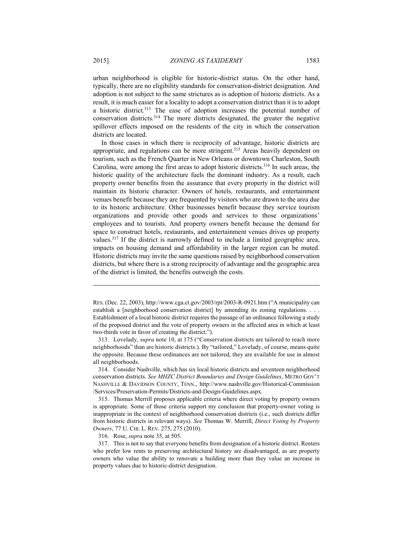urban neighborhood is eligible for historic-district status. On the other hand, typically, there are no eligibility standards for conservation-district designation. And adoption is not subject to the same strictures as is adoption of historic districts. As a result, it is much easier for a locality to adopt a conservation district than it is to adopt a historic district.313 The ease of adoption increases the potential number of conservation districts.314 The more districts designated, the greater the negative spillover effects imposed on the residents of the city in which the conservation districts are located.

In those cases in which there is reciprocity of advantage, historic districts are appropriate, and regulations can be more stringent.<sup>315</sup> Areas heavily dependent on tourism, such as the French Quarter in New Orleans or downtown Charleston, South Carolina, were among the first areas to adopt historic districts.316 In such areas, the historic quality of the architecture fuels the dominant industry. As a result, each property owner benefits from the assurance that every property in the district will maintain its historic character. Owners of hotels, restaurants, and entertainment venues benefit because they are frequented by visitors who are drawn to the area due to its historic architecture. Other businesses benefit because they service tourism organizations and provide other goods and services to those organizations' employees and to tourists. And property owners benefit because the demand for space to construct hotels, restaurants, and entertainment venues drives up property values.317 If the district is narrowly defined to include a limited geographic area, impacts on housing demand and affordability in the larger region can be muted. Historic districts may invite the same questions raised by neighborhood conservation districts, but where there is a strong reciprocity of advantage and the geographic area of the district is limited, the benefits outweigh the costs.

316. Rose, *supra* note 35, at 505.

RES. (Dec. 22, 2003), http://www.cga.ct.gov/2003/rpt/2003-R-0921.htm ("A municipality can establish a [neighborhood conservation district] by amending its zoning regulations. . . . Establishment of a local historic district requires the passage of an ordinance following a study of the proposed district and the vote of property owners in the affected area in which at least two-thirds vote in favor of creating the district.").

 <sup>313.</sup> Lovelady, *supra* note 10, at 175 ("Conservation districts are tailored to reach more neighborhoods" than are historic districts.). By "tailored," Lovelady, of course, means quite the opposite. Because these ordinances are not tailored, they are available for use in almost all neighborhoods.

 <sup>314.</sup> Consider Nashville, which has six local historic districts and seventeen neighborhood conservation districts. *See MHZC District Boundaries and Design Guidelines*, METRO GOV'T NASHVILLE & DAVIDSON COUNTY, TENN., http://www.nashville.gov/Historical-Commission /Services/Preservation-Permits/Districts-and-Design-Guidelines.aspx.

 <sup>315.</sup> Thomas Merrill proposes applicable criteria where direct voting by property owners is appropriate. Some of those criteria support my conclusion that property-owner voting is inappropriate in the context of neighborhood conservation districts (i.e., such districts differ from historic districts in relevant ways). *See* Thomas W. Merrill, *Direct Voting by Property Owners*, 77 U. CHI. L. REV. 275, 275 (2010).

 <sup>317.</sup> This is not to say that everyone benefits from designation of a historic district. Renters who prefer low rents to preserving architectural history are disadvantaged, as are property owners who value the ability to renovate a building more than they value an increase in property values due to historic-district designation.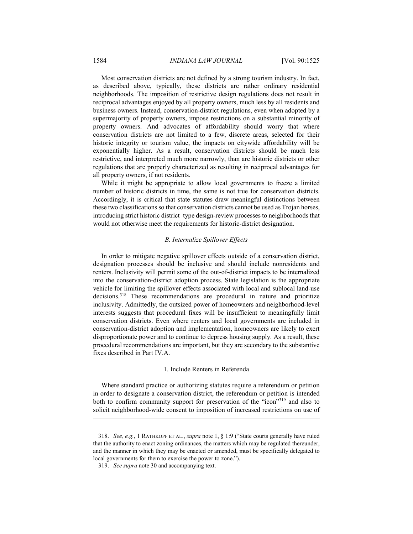Most conservation districts are not defined by a strong tourism industry. In fact, as described above, typically, these districts are rather ordinary residential neighborhoods. The imposition of restrictive design regulations does not result in reciprocal advantages enjoyed by all property owners, much less by all residents and business owners. Instead, conservation-district regulations, even when adopted by a supermajority of property owners, impose restrictions on a substantial minority of property owners. And advocates of affordability should worry that where conservation districts are not limited to a few, discrete areas, selected for their historic integrity or tourism value, the impacts on citywide affordability will be exponentially higher. As a result, conservation districts should be much less restrictive, and interpreted much more narrowly, than are historic districts or other regulations that are properly characterized as resulting in reciprocal advantages for all property owners, if not residents.

While it might be appropriate to allow local governments to freeze a limited number of historic districts in time, the same is not true for conservation districts. Accordingly, it is critical that state statutes draw meaningful distinctions between these two classifications so that conservation districts cannot be used as Trojan horses, introducing strict historic district–type design-review processes to neighborhoods that would not otherwise meet the requirements for historic-district designation.

## *B. Internalize Spillover Effects*

In order to mitigate negative spillover effects outside of a conservation district, designation processes should be inclusive and should include nonresidents and renters. Inclusivity will permit some of the out-of-district impacts to be internalized into the conservation-district adoption process. State legislation is the appropriate vehicle for limiting the spillover effects associated with local and sublocal land-use decisions.<sup>318</sup> These recommendations are procedural in nature and prioritize inclusivity. Admittedly, the outsized power of homeowners and neighborhood-level interests suggests that procedural fixes will be insufficient to meaningfully limit conservation districts. Even where renters and local governments are included in conservation-district adoption and implementation, homeowners are likely to exert disproportionate power and to continue to depress housing supply. As a result, these procedural recommendations are important, but they are secondary to the substantive fixes described in Part IV.A.

#### 1. Include Renters in Referenda

Where standard practice or authorizing statutes require a referendum or petition in order to designate a conservation district, the referendum or petition is intended both to confirm community support for preservation of the "icon"319 and also to solicit neighborhood-wide consent to imposition of increased restrictions on use of

 <sup>318.</sup> *See, e.g.*, 1 RATHKOPF ET AL., *supra* note 1, § 1:9 ("State courts generally have ruled that the authority to enact zoning ordinances, the matters which may be regulated thereunder, and the manner in which they may be enacted or amended, must be specifically delegated to local governments for them to exercise the power to zone.").

 <sup>319.</sup> *See supra* note 30 and accompanying text.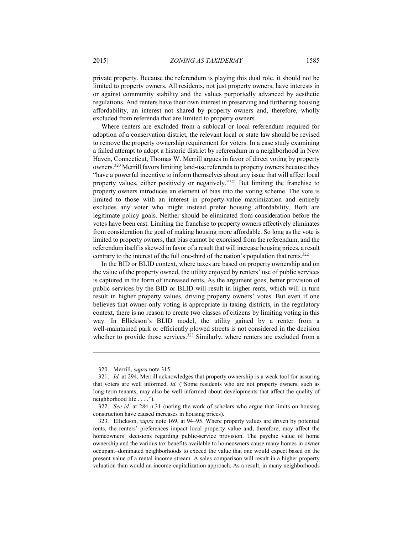private property. Because the referendum is playing this dual role, it should not be limited to property owners. All residents, not just property owners, have interests in or against community stability and the values purportedly advanced by aesthetic regulations. And renters have their own interest in preserving and furthering housing affordability, an interest not shared by property owners and, therefore, wholly excluded from referenda that are limited to property owners.

Where renters are excluded from a sublocal or local referendum required for adoption of a conservation district, the relevant local or state law should be revised to remove the property ownership requirement for voters. In a case study examining a failed attempt to adopt a historic district by referendum in a neighborhood in New Haven, Connecticut, Thomas W. Merrill argues in favor of direct voting by property owners.320 Merrill favors limiting land-use referenda to property owners because they "have a powerful incentive to inform themselves about any issue that will affect local property values, either positively or negatively."321 But limiting the franchise to property owners introduces an element of bias into the voting scheme. The vote is limited to those with an interest in property-value maximization and entirely excludes any voter who might instead prefer housing affordability. Both are legitimate policy goals. Neither should be eliminated from consideration before the votes have been cast. Limiting the franchise to property owners effectively eliminates from consideration the goal of making housing more affordable. So long as the vote is limited to property owners, that bias cannot be exorcised from the referendum, and the referendum itself is skewed in favor of a result that will increase housing prices, a result contrary to the interest of the full one-third of the nation's population that rents.<sup>322</sup>

In the BID or BLID context, where taxes are based on property ownership and on the value of the property owned, the utility enjoyed by renters' use of public services is captured in the form of increased rents. As the argument goes, better provision of public services by the BID or BLID will result in higher rents, which will in turn result in higher property values, driving property owners' votes. But even if one believes that owner-only voting is appropriate in taxing districts, in the regulatory context, there is no reason to create two classes of citizens by limiting voting in this way. In Ellickson's BLID model, the utility gained by a renter from a well-maintained park or efficiently plowed streets is not considered in the decision whether to provide those services.<sup>323</sup> Similarly, where renters are excluded from a

 <sup>320.</sup> Merrill, *supra* note 315.

 <sup>321.</sup> *Id.* at 294. Merrill acknowledges that property ownership is a weak tool for assuring that voters are well informed. *Id.* ("Some residents who are not property owners, such as long-term tenants, may also be well informed about developments that affect the quality of neighborhood life . . . .").

 <sup>322.</sup> *See id.* at 284 n.31 (noting the work of scholars who argue that limits on housing construction have caused increases in housing prices).

 <sup>323.</sup> Ellickson, *supra* note 169, at 94–95. Where property values are driven by potential rents, the renters' preferences impact local property value and, therefore, may affect the homeowners' decisions regarding public-service provision. The psychic value of home ownership and the various tax benefits available to homeowners cause many homes in owner occupant–dominated neighborhoods to exceed the value that one would expect based on the present value of a rental income stream. A sales comparison will result in a higher property valuation than would an income-capitalization approach. As a result, in many neighborhoods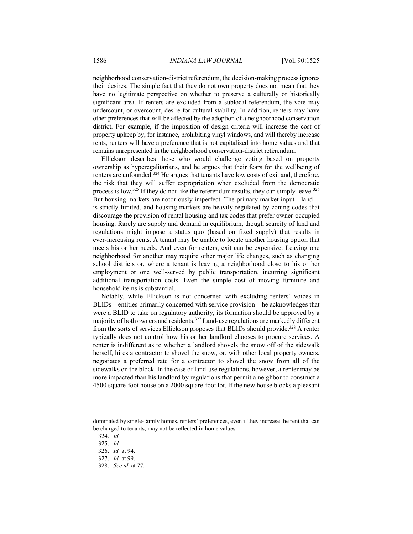neighborhood conservation-district referendum, the decision-making process ignores their desires. The simple fact that they do not own property does not mean that they have no legitimate perspective on whether to preserve a culturally or historically significant area. If renters are excluded from a sublocal referendum, the vote may undercount, or overcount, desire for cultural stability. In addition, renters may have other preferences that will be affected by the adoption of a neighborhood conservation district. For example, if the imposition of design criteria will increase the cost of property upkeep by, for instance, prohibiting vinyl windows, and will thereby increase rents, renters will have a preference that is not capitalized into home values and that remains unrepresented in the neighborhood conservation-district referendum.

Ellickson describes those who would challenge voting based on property ownership as hyperegalitarians, and he argues that their fears for the wellbeing of renters are unfounded.324 He argues that tenants have low costs of exit and, therefore, the risk that they will suffer expropriation when excluded from the democratic process is low.<sup>325</sup> If they do not like the referendum results, they can simply leave.<sup>326</sup> But housing markets are notoriously imperfect. The primary market input—land is strictly limited, and housing markets are heavily regulated by zoning codes that discourage the provision of rental housing and tax codes that prefer owner-occupied housing. Rarely are supply and demand in equilibrium, though scarcity of land and regulations might impose a status quo (based on fixed supply) that results in ever-increasing rents. A tenant may be unable to locate another housing option that meets his or her needs. And even for renters, exit can be expensive. Leaving one neighborhood for another may require other major life changes, such as changing school districts or, where a tenant is leaving a neighborhood close to his or her employment or one well-served by public transportation, incurring significant additional transportation costs. Even the simple cost of moving furniture and household items is substantial.

Notably, while Ellickson is not concerned with excluding renters' voices in BLIDs—entities primarily concerned with service provision—he acknowledges that were a BLID to take on regulatory authority, its formation should be approved by a majority of both owners and residents.327 Land-use regulations are markedly different from the sorts of services Ellickson proposes that BLIDs should provide.<sup>328</sup> A renter typically does not control how his or her landlord chooses to procure services. A renter is indifferent as to whether a landlord shovels the snow off of the sidewalk herself, hires a contractor to shovel the snow, or, with other local property owners, negotiates a preferred rate for a contractor to shovel the snow from all of the sidewalks on the block. In the case of land-use regulations, however, a renter may be more impacted than his landlord by regulations that permit a neighbor to construct a 4500 square-foot house on a 2000 square-foot lot. If the new house blocks a pleasant

dominated by single-family homes, renters' preferences, even if they increase the rent that can be charged to tenants, may not be reflected in home values.

 <sup>324.</sup> *Id.* 

 <sup>325.</sup> *Id.*

 <sup>326.</sup> *Id.* at 94.

 <sup>327.</sup> *Id.* at 99.

 <sup>328.</sup> *See id.* at 77.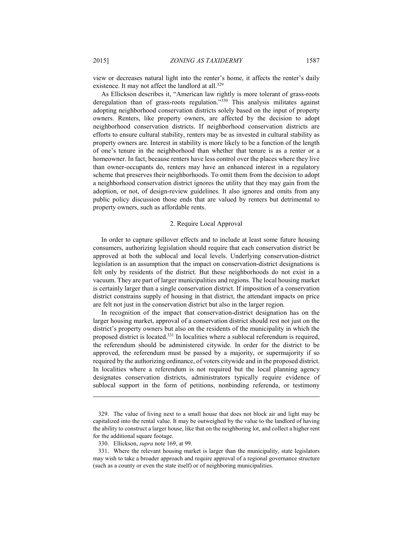view or decreases natural light into the renter's home, it affects the renter's daily existence. It may not affect the landlord at all.<sup>329</sup>

As Ellickson describes it, "American law rightly is more tolerant of grass-roots deregulation than of grass-roots regulation."330 This analysis militates against adopting neighborhood conservation districts solely based on the input of property owners. Renters, like property owners, are affected by the decision to adopt neighborhood conservation districts. If neighborhood conservation districts are efforts to ensure cultural stability, renters may be as invested in cultural stability as property owners are. Interest in stability is more likely to be a function of the length of one's tenure in the neighborhood than whether that tenure is as a renter or a homeowner. In fact, because renters have less control over the places where they live than owner-occupants do, renters may have an enhanced interest in a regulatory scheme that preserves their neighborhoods. To omit them from the decision to adopt a neighborhood conservation district ignores the utility that they may gain from the adoption, or not, of design-review guidelines. It also ignores and omits from any public policy discussion those ends that are valued by renters but detrimental to property owners, such as affordable rents.

#### 2. Require Local Approval

In order to capture spillover effects and to include at least some future housing consumers, authorizing legislation should require that each conservation district be approved at both the sublocal and local levels. Underlying conservation-district legislation is an assumption that the impact on conservation-district designations is felt only by residents of the district. But these neighborhoods do not exist in a vacuum. They are part of larger municipalities and regions. The local housing market is certainly larger than a single conservation district. If imposition of a conservation district constrains supply of housing in that district, the attendant impacts on price are felt not just in the conservation district but also in the larger region.

In recognition of the impact that conservation-district designation has on the larger housing market, approval of a conservation district should rest not just on the district's property owners but also on the residents of the municipality in which the proposed district is located.331 In localities where a sublocal referendum is required, the referendum should be administered citywide. In order for the district to be approved, the referendum must be passed by a majority, or supermajority if so required by the authorizing ordinance, of voters citywide and in the proposed district. In localities where a referendum is not required but the local planning agency designates conservation districts, administrators typically require evidence of sublocal support in the form of petitions, nonbinding referenda, or testimony

 <sup>329.</sup> The value of living next to a small house that does not block air and light may be capitalized into the rental value. It may be outweighed by the value to the landlord of having the ability to construct a larger house, like that on the neighboring lot, and collect a higher rent for the additional square footage.

 <sup>330.</sup> Ellickson, *supra* note 169, at 99.

 <sup>331.</sup> Where the relevant housing market is larger than the municipality, state legislators may wish to take a broader approach and require approval of a regional governance structure (such as a county or even the state itself) or of neighboring municipalities.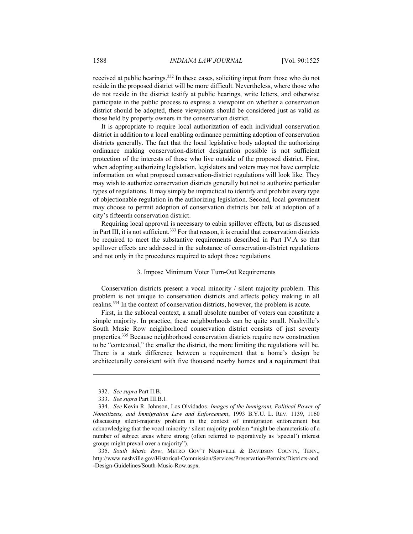received at public hearings.332 In these cases, soliciting input from those who do not reside in the proposed district will be more difficult. Nevertheless, where those who do not reside in the district testify at public hearings, write letters, and otherwise participate in the public process to express a viewpoint on whether a conservation district should be adopted, these viewpoints should be considered just as valid as those held by property owners in the conservation district.

It is appropriate to require local authorization of each individual conservation district in addition to a local enabling ordinance permitting adoption of conservation districts generally. The fact that the local legislative body adopted the authorizing ordinance making conservation-district designation possible is not sufficient protection of the interests of those who live outside of the proposed district. First, when adopting authorizing legislation, legislators and voters may not have complete information on what proposed conservation-district regulations will look like. They may wish to authorize conservation districts generally but not to authorize particular types of regulations. It may simply be impractical to identify and prohibit every type of objectionable regulation in the authorizing legislation. Second, local government may choose to permit adoption of conservation districts but balk at adoption of a city's fifteenth conservation district.

Requiring local approval is necessary to cabin spillover effects, but as discussed in Part III, it is not sufficient.<sup>333</sup> For that reason, it is crucial that conservation districts be required to meet the substantive requirements described in Part IV.A so that spillover effects are addressed in the substance of conservation-district regulations and not only in the procedures required to adopt those regulations.

## 3. Impose Minimum Voter Turn-Out Requirements

Conservation districts present a vocal minority / silent majority problem. This problem is not unique to conservation districts and affects policy making in all realms.334 In the context of conservation districts, however, the problem is acute.

First, in the sublocal context, a small absolute number of voters can constitute a simple majority. In practice, these neighborhoods can be quite small. Nashville's South Music Row neighborhood conservation district consists of just seventy properties.335 Because neighborhood conservation districts require new construction to be "contextual," the smaller the district, the more limiting the regulations will be. There is a stark difference between a requirement that a home's design be architecturally consistent with five thousand nearby homes and a requirement that

 <sup>332.</sup> *See supra* Part II.B.

 <sup>333.</sup> *See supra* Part III.B.1.

 <sup>334.</sup> *See* Kevin R. Johnson, Los Olvidados*: Images of the Immigrant, Political Power of Noncitizens, and Immigration Law and Enforcement*, 1993 B.Y.U. L. REV. 1139, 1160 (discussing silent-majority problem in the context of immigration enforcement but acknowledging that the vocal minority / silent majority problem "might be characteristic of a number of subject areas where strong (often referred to pejoratively as 'special') interest groups might prevail over a majority").

 <sup>335.</sup> *South Music Row*, METRO GOV'T NASHVILLE & DAVIDSON COUNTY, TENN., http://www.nashville.gov/Historical-Commission/Services/Preservation-Permits/Districts-and -Design-Guidelines/South-Music-Row.aspx.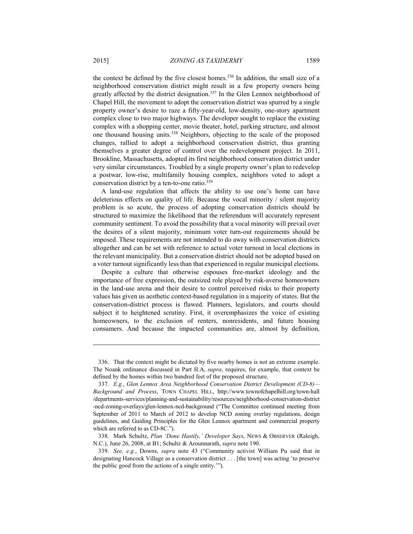the context be defined by the five closest homes.<sup>336</sup> In addition, the small size of a neighborhood conservation district might result in a few property owners being greatly affected by the district designation.<sup>337</sup> In the Glen Lennox neighborhood of Chapel Hill, the movement to adopt the conservation district was spurred by a single property owner's desire to raze a fifty-year-old, low-density, one-story apartment complex close to two major highways. The developer sought to replace the existing complex with a shopping center, movie theater, hotel, parking structure, and almost one thousand housing units.338 Neighbors, objecting to the scale of the proposed changes, rallied to adopt a neighborhood conservation district, thus granting themselves a greater degree of control over the redevelopment project. In 2011, Brookline, Massachusetts, adopted its first neighborhood conservation district under very similar circumstances. Troubled by a single property owner's plan to redevelop a postwar, low-rise, multifamily housing complex, neighbors voted to adopt a conservation district by a ten-to-one ratio.339

A land-use regulation that affects the ability to use one's home can have deleterious effects on quality of life. Because the vocal minority / silent majority problem is so acute, the process of adopting conservation districts should be structured to maximize the likelihood that the referendum will accurately represent community sentiment. To avoid the possibility that a vocal minority will prevail over the desires of a silent majority, minimum voter turn-out requirements should be imposed. These requirements are not intended to do away with conservation districts altogether and can be set with reference to actual voter turnout in local elections in the relevant municipality. But a conservation district should not be adopted based on a voter turnout significantly less than that experienced in regular municipal elections.

Despite a culture that otherwise espouses free-market ideology and the importance of free expression, the outsized role played by risk-averse homeowners in the land-use arena and their desire to control perceived risks to their property values has given us aesthetic context-based regulation in a majority of states. But the conservation-district process is flawed. Planners, legislators, and courts should subject it to heightened scrutiny. First, it overemphasizes the voice of existing homeowners, to the exclusion of renters, nonresidents, and future housing consumers. And because the impacted communities are, almost by definition,

 338. Mark Schultz, *Plan 'Done Hastily,' Developer Says*, NEWS & OBSERVER (Raleigh, N.C.), June 26, 2008, at B1; Schultz & Arounnarath, *supra* note 190.

 <sup>336.</sup> That the context might be dictated by five nearby homes is not an extreme example. The Noank ordinance discussed in Part II.A, *supra*, requires, for example, that context be defined by the homes within two hundred feet of the proposed structure.

 <sup>337.</sup> *E.g.*, *Glen Lennox Area Neighborhood Conservation District Development (CD-8)— Background and Process*, TOWN CHAPEL HILL, http://www.townofchapelhill.org/town-hall /departments-services/planning-and-sustainability/resources/neighborhood-conservation-district -ncd-zoning-overlays/glen-lennox-ncd-background ("The Committee continued meeting from September of 2011 to March of 2012 to develop NCD zoning overlay regulations, design guidelines, and Guiding Principles for the Glen Lennox apartment and commercial property which are referred to as CD-8C.").

 <sup>339.</sup> *See, e.g.*, Downs, *supra* note 43 ("Community activist William Pu said that in designating Hancock Village as a conservation district . . . [the town] was acting 'to preserve the public good from the actions of a single entity.'").